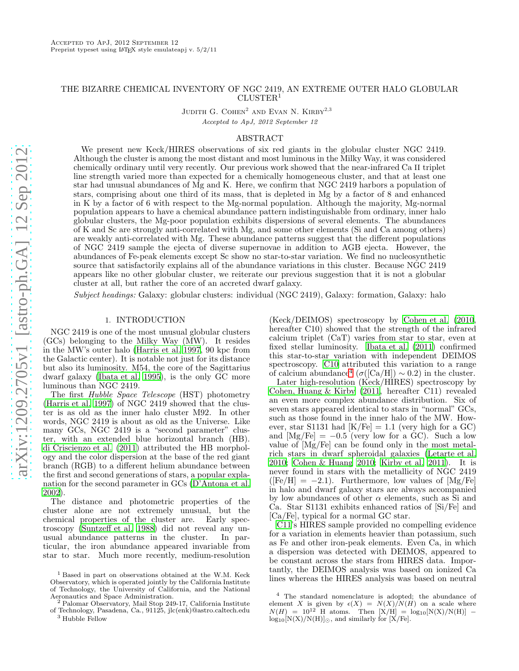# THE BIZARRE CHEMICAL INVENTORY OF NGC 2419, AN EXTREME OUTER HALO GLOBULAR CLUSTER<sup>1</sup>

JUDITH G. COHEN<sup>2</sup> AND EVAN N. KIRBY<sup>2,3</sup> Accepted to ApJ, 2012 September 12

#### ABSTRACT

We present new Keck/HIRES observations of six red giants in the globular cluster NGC 2419. Although the cluster is among the most distant and most luminous in the Milky Way, it was considered chemically ordinary until very recently. Our previous work showed that the near-infrared Ca II triplet line strength varied more than expected for a chemically homogeneous cluster, and that at least one star had unusual abundances of Mg and K. Here, we confirm that NGC 2419 harbors a population of stars, comprising about one third of its mass, that is depleted in Mg by a factor of 8 and enhanced in K by a factor of 6 with respect to the Mg-normal population. Although the majority, Mg-normal population appears to have a chemical abundance pattern indistinguishable from ordinary, inner halo globular clusters, the Mg-poor population exhibits dispersions of several elements. The abundances of K and Sc are strongly anti-correlated with Mg, and some other elements (Si and Ca among others) are weakly anti-correlated with Mg. These abundance patterns suggest that the different populations of NGC 2419 sample the ejecta of diverse supernovae in addition to AGB ejecta. However, the abundances of Fe-peak elements except Sc show no star-to-star variation. We find no nucleosynthetic source that satisfactorily explains all of the abundance variations in this cluster. Because NGC 2419 appears like no other globular cluster, we reiterate our previous suggestion that it is not a globular cluster at all, but rather the core of an accreted dwarf galaxy.

Subject headings: Galaxy: globular clusters: individual (NGC 2419), Galaxy: formation, Galaxy: halo

## 1. INTRODUCTION

NGC 2419 is one of the most unusual globular clusters (GCs) belonging to the Milky Way (MW). It resides in the MW's outer halo [\(Harris et al. 1997,](#page-13-0) 90 kpc from the Galactic center). It is notable not just for its distance but also its luminosity. M54, the core of the Sagittarius dwarf galaxy [\(Ibata et al. 1995\)](#page-13-1), is the only GC more luminous than NGC 2419.

The first Hubble Space Telescope (HST) photometry [\(Harris et al. 1997\)](#page-13-0) of NGC 2419 showed that the cluster is as old as the inner halo cluster M92. In other words, NGC 2419 is about as old as the Universe. Like many GCs, NGC 2419 is a "second parameter" cluster, with an extended blue horizontal branch (HB). [di Criscienzo et al. \(2011\)](#page-13-2) attributed the HB morphology and the color dispersion at the base of the red giant branch (RGB) to a different helium abundance between the first and second generations of stars, a popular explanation for the second parameter in GCs [\(D'Antona et al.](#page-13-3) [2002\)](#page-13-3).

The distance and photometric properties of the cluster alone are not extremely unusual, but the chemical properties of the cluster are. Early spectroscopy [\(Suntzeff et al. 1988\)](#page-13-4) did not reveal any unusual abundance patterns in the cluster. ticular, the iron abundance appeared invariable from star to star. Much more recently, medium-resolution

(Keck/DEIMOS) spectroscopy by [Cohen et al. \(2010](#page-13-5), hereafter C10) showed that the strength of the infrared calcium triplet (CaT) varies from star to star, even at fixed stellar luminosity. [Ibata et al. \(2011](#page-13-6)) confirmed this star-to-star variation with independent DEIMOS spectroscopy. [C10](#page-13-5) attributed this variation to a range of calcium abundance<sup>[4](#page-0-0)</sup> ( $\sigma$ ([Ca/H]) ~ 0.2) in the cluster.

Later high-resolution (Keck/HIRES) spectroscopy by [Cohen, Huang & Kirby \(2011](#page-13-7), hereafter C11) revealed an even more complex abundance distribution. Six of seven stars appeared identical to stars in "normal" GCs, such as those found in the inner halo of the MW. However, star S1131 had  $[K/Fe] = 1.1$  (very high for a GC) and  $[Mg/Fe] = -0.5$  (very low for a GC). Such a low value of [Mg/Fe] can be found only in the most metalrich stars in dwarf spheroidal galaxies [\(Letarte et al.](#page-13-8) [2010;](#page-13-8) [Cohen & Huang 2010;](#page-13-9) [Kirby et al. 2011](#page-13-10)). It is never found in stars with the metallicity of NGC 2419  $(Fe/H] = -2.1$ ). Furthermore, low values of [Mg/Fe] in halo and dwarf galaxy stars are always accompanied by low abundances of other  $\alpha$  elements, such as Si and Ca. Star S1131 exhibits enhanced ratios of [Si/Fe] and [Ca/Fe], typical for a normal GC star.

[C11'](#page-13-7)s HIRES sample provided no compelling evidence for a variation in elements heavier than potassium, such as Fe and other iron-peak elements. Even Ca, in which a dispersion was detected with DEIMOS, appeared to be constant across the stars from HIRES data. Importantly, the DEIMOS analysis was based on ionized Ca lines whereas the HIRES analysis was based on neutral

<sup>&</sup>lt;sup>1</sup> Based in part on observations obtained at the W.M. Keck Observatory, which is operated jointly by the California Institute of Technology, the University of California, and the National Aeronautics and Space Administration. <sup>2</sup> Palomar Observatory, Mail Stop 249-17, California Institute

of Technology, Pasadena, Ca., 91125, jlc(enk)@astro.caltech.edu

<sup>3</sup> Hubble Fellow

<span id="page-0-0"></span><sup>4</sup> The standard nomenclature is adopted; the abundance of element X is given by  $\epsilon(X) = N(X)/N(H)$  on a scale where  $N(H) = 10^{12}$  H atoms. Then  $[X/H] = log_{10}[N(X)/N(H)]$  –  $log_{10}[N(X)/N(H)]_{\odot}$ , and similarly for [X/Fe].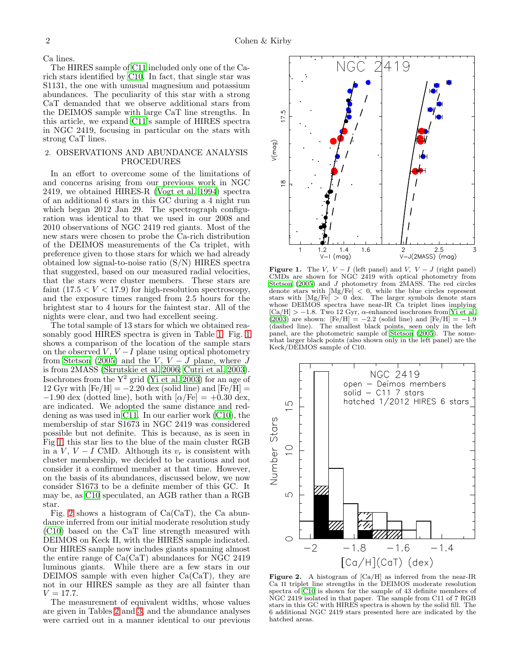Ca lines.

The HIRES sample of [C11](#page-13-7) included only one of the Carich stars identified by [C10](#page-13-5). In fact, that single star was S1131, the one with unusual magnesium and potassium abundances. The peculiarity of this star with a strong CaT demanded that we observe additional stars from the DEIMOS sample with large CaT line strengths. In this article, we expand [C11'](#page-13-7)s sample of HIRES spectra in NGC 2419, focusing in particular on the stars with strong CaT lines.

## 2. OBSERVATIONS AND ABUNDANCE ANALYSIS PROCEDURES

In an effort to overcome some of the limitations of and concerns arising from our previous work in NGC 2419, we obtained HIRES-R [\(Vogt et al. 1994\)](#page-13-11) spectra of an additional 6 stars in this GC during a 4 night run which began 2012 Jan 29. The spectrograph configuration was identical to that we used in our 2008 and 2010 observations of NGC 2419 red giants. Most of the new stars were chosen to probe the Ca-rich distribution of the DEIMOS measurements of the Ca triplet, with preference given to those stars for which we had already obtained low signal-to-noise ratio (S/N) HIRES spectra that suggested, based on our measured radial velocities, that the stars were cluster members. These stars are faint  $(17.5 < V < 17.9)$  for high-resolution spectroscopy, and the exposure times ranged from 2.5 hours for the brightest star to 4 hours for the faintest star. All of the nights were clear, and two had excellent seeing.

The total sample of 13 stars for which we obtained reasonably good HIRES spectra is given in Table [1.](#page-2-0) Fig. [1](#page-1-0) shows a comparison of the location of the sample stars on the observed  $V, V-I$  plane using optical photometry from [Stetson \(2005](#page-13-12)) and the V,  $V - J$  plane, where J is from 2MASS [\(Skrutskie et al. 2006;](#page-13-13) [Cutri et al. 2003\)](#page-13-14). Isochrones from the  $Y^2$  grid [\(Yi et al. 2003\)](#page-13-15) for an age of  $12 \,\mathrm{Gyr}$  with  $\text{[Fe/H]} = -2.20 \,\mathrm{dex}$  (solid line) and  $\text{[Fe/H]} =$  $-1.90$  dex (dotted line), both with  $\alpha$ /Fe] = +0.30 dex, are indicated. We adopted the same distance and reddening as was used in [C11.](#page-13-7) In our earlier work [\(C10\)](#page-13-5), the membership of star S1673 in NGC 2419 was considered possible but not definite. This is because, as is seen in Fig [1,](#page-1-0) this star lies to the blue of the main cluster RGB in a V,  $V - I$  CMD. Although its  $v_r$  is consistent with cluster membership, we decided to be cautious and not consider it a confirmed member at that time. However, on the basis of its abundances, discussed below, we now consider S1673 to be a definite member of this GC. It may be, as [C10](#page-13-5) speculated, an AGB rather than a RGB star.

Fig. [2](#page-1-1) shows a histogram of  $Ca(CaT)$ , the Ca abundance inferred from our initial moderate resolution study [\(C10\)](#page-13-5) based on the CaT line strength measured with DEIMOS on Keck II, with the HIRES sample indicated. Our HIRES sample now includes giants spanning almost the entire range of  $Ca(CaT)$  abundances for NGC 2419 luminous giants. While there are a few stars in our DEIMOS sample with even higher Ca(CaT), they are not in our HIRES sample as they are all fainter than  $V = 17.7.$ 

The measurement of equivalent widths, whose values are given in Tables [2](#page-16-0) and [3,](#page-19-0) and the abundance analyses were carried out in a manner identical to our previous



<span id="page-1-0"></span>**Figure 1.** The V,  $V - I$  (left panel) and V,  $V - J$  (right panel) CMDs are shown for NGC 2419 with optical photometry from [Stetson \(2005\)](#page-13-12) and J photometry from 2MASS. The red circles denote stars with  $[Mg/Fe] < 0$ , while the blue circles represent stars with [Mg/Fe] > 0 dex. The larger symbols denote stars whose DEIMOS spectra have near-IR Ca triplet lines implying  $\mathrm{[Ca/H]} > -1.8$ . Two 12 Gyr,  $\alpha$ -enhanced isochrones from [Yi et al.](#page-13-15)  $(2003)$  are shown:  $[Fe/H] = -2.2$  (solid line) and  $[Fe/H] = -1.9$ (dashed line). The smallest black points, seen only in the left panel, are the photometric sample of [Stetson \(2005](#page-13-12)). The somewhat larger black points (also shown only in the left panel) are the Keck/DEIMOS sample of C10.



<span id="page-1-1"></span>**Figure 2.** A histogram of  $\text{[Ca/H]}$  as inferred from the near-IR Ca II triplet line strengths in the DEIMOS moderate resolution spectra of [C10](#page-13-5) is shown for the sample of 43 definite members of NGC 2419 isolated in that paper. The sample from C11 of 7 RGB stars in this GC with HIRES spectra is shown by the solid fill. The 6 additional NGC 2419 stars presented here are indicated by the hatched areas.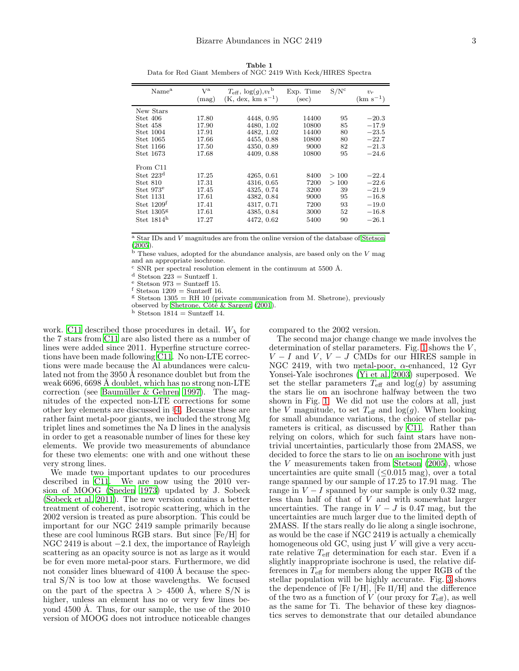| Name <sup>a</sup>     | Va<br>(mag) | $T_{\text{eff}}$ , $\log(g)$ , $v_t$ <sup>b</sup><br>$(K, dex, km s^{-1})$ | Exp. Time<br>$(\sec)$ | S/N <sup>c</sup> | $v_r$<br>$(km s^{-1})$ |
|-----------------------|-------------|----------------------------------------------------------------------------|-----------------------|------------------|------------------------|
| New Stars             |             |                                                                            |                       |                  |                        |
| Stet 406              | 17.80       | 4448, 0.95                                                                 | 14400                 | 95               | $-20.3$                |
| Stet 458              | 17.90       | 4480, 1.02                                                                 | 10800                 | 85               | $-17.9$                |
| Stet 1004             | 17.91       | 4482, 1.02                                                                 | 14400                 | 80               | $-23.5$                |
| Stet 1065             | 17.66       | 4455, 0.88                                                                 | 10800                 | 80               | $-22.7$                |
| Stet 1166             | 17.50       | 4350, 0.89                                                                 | 9000                  | 82               | $-21.3$                |
| Stet 1673             | 17.68       | 4409, 0.88                                                                 | 10800                 | 95               | $-24.6$                |
| From C11              |             |                                                                            |                       |                  |                        |
| Stet $223d$           | 17.25       | 4265, 0.61                                                                 | 8400                  | >100             | $-22.4$                |
| Stet 810              | 17.31       | 4316, 0.65                                                                 | 7200                  | >100             | $-22.6$                |
| Stet 973 <sup>e</sup> | 17.45       | 4325, 0.74                                                                 | 3200                  | 39               | $-21.9$                |
| Stet 1131             | 17.61       | 4382, 0.84                                                                 | 9000                  | 95               | $-16.8$                |
| Stet $1209f$          | 17.41       | 4317, 0.71                                                                 | 7200                  | 93               | $-19.0$                |
| Stet $1305g$          | 17.61       | 4385, 0.84                                                                 | 3000                  | 52               | $-16.8$                |
| Stet $1814h$          | 17.27       | 4472, 0.62                                                                 | 5400                  | 90               | $-26.1$                |
|                       |             |                                                                            |                       |                  |                        |

<span id="page-2-0"></span>Table 1 Data for Red Giant Members of NGC 2419 With Keck/HIRES Spectra

<sup>a</sup> Star IDs and V magnitudes are from the online version of the database of [Stetson](#page-13-12)  $(2005).$  $(2005).$ 

 $^{\rm \dot b}$  These values, adopted for the abundance analysis, are based only on the  $V$  mag and an appropriate isochrone.

 $\rm{c}$  SNR per spectral resolution element in the continuum at 5500 Å.

 $^{\rm d}$  Stetson 223 = Suntzeff 1.

 $e$  Stetson 973 = Suntzeff 15.

f Stetson  $1209 =$  Suntzeff 16.

 $S$  Stetson 1305 = RH 10 (private communication from M. Shetrone), previously observed by Shetrone, Côté & Sargent  $(2001)$ .

h Stetson  $1814 =$  Suntzeff 14.

work. [C11](#page-13-7) described those procedures in detail.  $W_{\lambda}$  for the 7 stars from [C11](#page-13-7) are also listed there as a number of lines were added since 2011. Hyperfine structure corrections have been made following [C11.](#page-13-7) No non-LTE corrections were made because the Al abundances were calculated not from the 3950 Å resonance doublet but from the weak 6696, 6698 A doublet, which has no strong non-LTE correction (see Baumüller  $& Gehren 1997$ ). The magnitudes of the expected non-LTE corrections for some other key elements are discussed in §[4.](#page-7-0) Because these are rather faint metal-poor giants, we included the strong Mg triplet lines and sometimes the Na D lines in the analysis in order to get a reasonable number of lines for these key elements. We provide two measurements of abundance for these two elements: one with and one without these very strong lines.

We made two important updates to our procedures described in [C11.](#page-13-7) We are now using the 2010 version of MOOG [\(Sneden 1973](#page-13-17)) updated by J. Sobeck [\(Sobeck et al. 2011\)](#page-13-18). The new version contains a better treatment of coherent, isotropic scattering, which in the 2002 version is treated as pure absorption. This could be important for our NGC 2419 sample primarily because these are cool luminous RGB stars. But since [Fe/H] for NGC 2419 is about −2.1 dex, the importance of Rayleigh scattering as an opacity source is not as large as it would be for even more metal-poor stars. Furthermore, we did not consider lines blueward of 4100 Å because the spectral S/N is too low at those wavelengths. We focused on the part of the spectra  $\lambda > 4500$  Å, where S/N is higher, unless an element has no or very few lines beyond 4500 Å. Thus, for our sample, the use of the  $2010$ version of MOOG does not introduce noticeable changes

compared to the 2002 version.

The second major change change we made involves the determination of stellar parameters. Fig. [1](#page-1-0) shows the  $V$ ,  $V - I$  and  $V, V - J$  CMDs for our HIRES sample in NGC 2419, with two metal-poor,  $\alpha$ -enhanced, 12 Gyr Yonsei-Yale isochrones [\(Yi et al. 2003\)](#page-13-15) superposed. We set the stellar parameters  $T_{\text{eff}}$  and  $\log(g)$  by assuming the stars lie on an isochrone halfway between the two shown in Fig. [1.](#page-1-0) We did not use the colors at all, just the V magnitude, to set  $T_{\text{eff}}$  and log(g). When looking for small abundance variations, the choice of stellar parameters is critical, as discussed by [C11.](#page-13-7) Rather than relying on colors, which for such faint stars have nontrivial uncertainties, particularly those from 2MASS, we decided to force the stars to lie on an isochrone with just the V measurements taken from [Stetson \(2005\)](#page-13-12), whose uncertainties are quite small  $(\leq 0.015 \text{ mag})$ , over a total range spanned by our sample of 17.25 to 17.91 mag. The range in  $V - I$  spanned by our sample is only 0.32 mag, less than half of that of V and with somewhat larger uncertainties. The range in  $V - J$  is 0.47 mag, but the uncertainties are much larger due to the limited depth of 2MASS. If the stars really do lie along a single isochrone, as would be the case if NGC 2419 is actually a chemically homogeneous old GC, using just  $V$  will give a very accurate relative  $T_{\text{eff}}$  determination for each star. Even if a slightly inappropriate isochrone is used, the relative differences in  $T_{\text{eff}}$  for members along the upper RGB of the stellar population will be highly accurate. Fig. [3](#page-3-0) shows the dependence of  $[Fe I/H]$ ,  $[Fe II/H]$  and the difference of the two as a function of  $V$  (our proxy for  $T_{\text{eff}}$ ), as well as the same for Ti. The behavior of these key diagnostics serves to demonstrate that our detailed abundance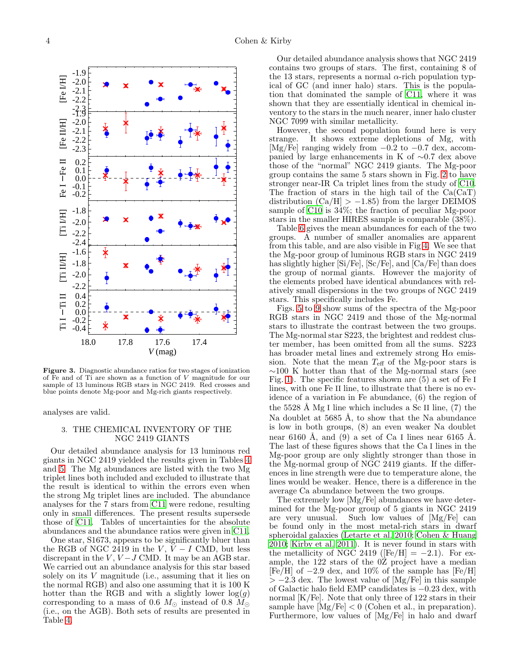

<span id="page-3-0"></span>Figure 3. Diagnostic abundance ratios for two stages of ionization of Fe and of Ti are shown as a function of  $V$  magnitude for our sample of 13 luminous RGB stars in NGC 2419. Red crosses and blue points denote Mg-poor and Mg-rich giants respectively.

analyses are valid.

#### 3. THE CHEMICAL INVENTORY OF THE NGC 2419 GIANTS

Our detailed abundance analysis for 13 luminous red giants in NGC 2419 yielded the results given in Tables [4](#page-14-0) and [5.](#page-15-0) The Mg abundances are listed with the two Mg triplet lines both included and excluded to illustrate that the result is identical to within the errors even when the strong Mg triplet lines are included. The abundance analyses for the 7 stars from [C11](#page-13-7) were redone, resulting only in small differences. The present results supersede those of [C11.](#page-13-7) Tables of uncertainties for the absolute abundances and the abundance ratios were given in [C11](#page-13-7).

One star, S1673, appears to be significantly bluer than the RGB of NGC 2419 in the  $V, V - I$  CMD, but less discrepant in the  $V, V-J$  CMD. It may be an AGB star. We carried out an abundance analysis for this star based solely on its  $V$  magnitude (i.e., assuming that it lies on the normal RGB) and also one assuming that it is 100 K hotter than the RGB and with a slightly lower  $log(g)$ corresponding to a mass of 0.6  $M_{\odot}$  instead of 0.8  $M_{\odot}$ (i.e., on the AGB). Both sets of results are presented in Table [4.](#page-14-0)

Our detailed abundance analysis shows that NGC 2419 contains two groups of stars. The first, containing 8 of the 13 stars, represents a normal  $\alpha$ -rich population typical of GC (and inner halo) stars. This is the population that dominated the sample of [C11,](#page-13-7) where it was shown that they are essentially identical in chemical inventory to the stars in the much nearer, inner halo cluster NGC 7099 with similar metallicity.

However, the second population found here is very strange. It shows extreme depletions of Mg, with It shows extreme depletions of Mg, with [Mg/Fe] ranging widely from −0.2 to −0.7 dex, accompanied by large enhancements in K of ∼0.7 dex above those of the "normal" NGC 2419 giants. The Mg-poor group contains the same 5 stars shown in Fig. [2](#page-1-1) to have stronger near-IR Ca triplet lines from the study of [C10](#page-13-5). The fraction of stars in the high tail of the Ca(CaT) distribution  $(Ca/H] > -1.85$  from the larger DEIMOS sample of [C10](#page-13-5) is 34%; the fraction of peculiar Mg-poor stars in the smaller HIRES sample is comparable (38%).

Table [6](#page-4-0) gives the mean abundances for each of the two groups. A number of smaller anomalies are apparent from this table, and are also visible in Fig [4.](#page-5-0) We see that the Mg-poor group of luminous RGB stars in NGC 2419 has slightly higher [Si/Fe], [Sc/Fe], and [Ca/Fe] than does the group of normal giants. However the majority of the elements probed have identical abundances with relatively small dispersions in the two groups of NGC 2419 stars. This specifically includes Fe.

Figs. [5](#page-5-1) to [9](#page-6-0) show sums of the spectra of the Mg-poor RGB stars in NGC 2419 and those of the Mg-normal stars to illustrate the contrast between the two groups. The Mg-normal star S223, the brightest and reddest cluster member, has been omitted from all the sums. S223 has broader metal lines and extremely strong  $H\alpha$  emission. Note that the mean  $T_{\text{eff}}$  of the Mg-poor stars is ∼100 K hotter than that of the Mg-normal stars (see Fig. [1\)](#page-1-0). The specific features shown are (5) a set of Fe I lines, with one Fe II line, to illustrate that there is no evidence of a variation in Fe abundance, (6) the region of the  $5528 \text{ Å}$  Mg I line which includes a Sc II line, (7) the Na doublet at  $5685 \text{ Å}$ , to show that the Na abundance is low in both groups, (8) an even weaker Na doublet near 6160 Å, and  $(9)$  a set of Ca I lines near 6165 Å. The last of these figures shows that the Ca I lines in the Mg-poor group are only slightly stronger than those in the Mg-normal group of NGC 2419 giants. If the differences in line strength were due to temperature alone, the lines would be weaker. Hence, there is a difference in the average Ca abundance between the two groups.

The extremely low [Mg/Fe] abundances we have determined for the Mg-poor group of 5 giants in NGC 2419 are very unusual. Such low values of [Mg/Fe] can be found only in the most metal-rich stars in dwarf spheroidal galaxies [\(Letarte et al. 2010;](#page-13-8) [Cohen & Huang](#page-13-9) [2010;](#page-13-9) [Kirby et al. 2011\)](#page-13-10). It is never found in stars with the metallicity of NGC 2419 ( $[Fe/H] = -2.1$ ). For example, the 122 stars of the 0Z project have a median [Fe/H] of −2.9 dex, and 10% of the sample has [Fe/H]  $> -2.3$  dex. The lowest value of [Mg/Fe] in this sample of Galactic halo field EMP candidates is −0.23 dex, with normal [K/Fe]. Note that only three of 122 stars in their sample have  $[Mg/Fe] < 0$  (Cohen et al., in preparation). Furthermore, low values of [Mg/Fe] in halo and dwarf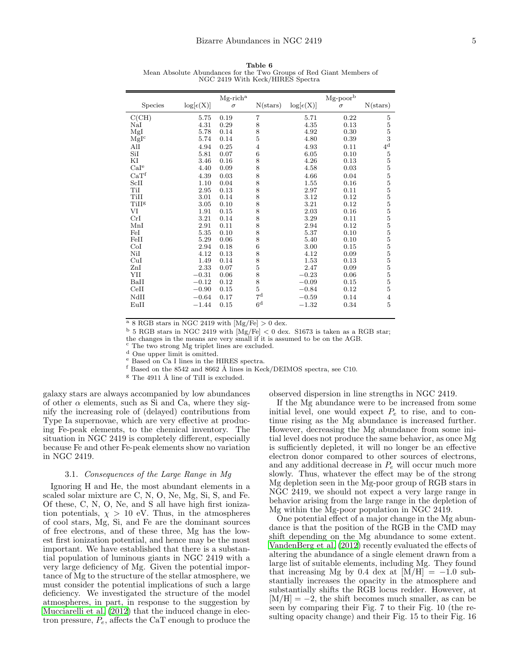<span id="page-4-0"></span>Table 6 Mean Absolute Abundances for the Two Groups of Red Giant Members of NGC 2419 With Keck/HIRES Spectra

| Species          | $\log[\epsilon(X)]$ | $Mg$ -rich <sup>a</sup><br>$\sigma$ | $N{\text{(stars)}}$ | $\log[\epsilon(X)]$ | $Mg$ -poorb<br>$\sigma$ | $N{\text{(stars)}}$ |
|------------------|---------------------|-------------------------------------|---------------------|---------------------|-------------------------|---------------------|
|                  |                     |                                     |                     |                     |                         |                     |
| C(CH)            | 5.75                | 0.19                                | 7                   | 5.71                | 0.22                    | 5                   |
| NaI              | 4.31                | 0.29                                | 8                   | 4.35                | 0.13                    | $\frac{5}{3}$       |
| MgI              | 5.78                | 0.14                                | 8                   | 4.92                | 0.30                    |                     |
| Mglc             | 5.74                | 0.14                                | 5                   | 4.80                | 0.39                    |                     |
| AlI              | 4.94                | 0.25                                | $\overline{4}$      | 4.93                | 0.11                    | $4^{\rm d}$         |
| SiI              | 5.81                | 0.07                                | $\,6$               | 6.05                | 0.10                    | $\mathbf 5$         |
| ΚI               | 3.46                | 0.16                                | 8                   | 4.26                | 0.13                    | $\overline{5}$      |
| CaI <sup>e</sup> | 4.40                | 0.09                                | 8                   | 4.58                | 0.03                    | $\overline{5}$      |
| CaT <sup>f</sup> | 4.39                | 0.03                                | 8                   | 4.66                | 0.04                    | $\overline{5}$      |
| ScII             | 1.10                | 0.04                                | 8                   | 1.55                | 0.16                    | $\overline{5}$      |
| TiI              | 2.95                | 0.13                                | 8                   | 2.97                | 0.11                    | $\overline{5}$      |
| TiII             | 3.01                | 0.14                                | 8                   | 3.12                | 0.12                    |                     |
| TiIIg            | 3.05                | 0.10                                | 8                   | 3.21                | 0.12                    | $\frac{5}{5}$       |
| VI               | 1.91                | 0.15                                | 8                   | 2.03                | 0.16                    | $\overline{5}$      |
| CrI              | 3.21                | 0.14                                | 8                   | 3.29                | 0.11                    | $\overline{5}$      |
| MnI              | 2.91                | 0.11                                | 8                   | 2.94                | 0.12                    | $\overline{5}$      |
| FeI              | 5.35                | 0.10                                | 8                   | 5.37                | 0.10                    | $\overline{5}$      |
| FeII             | 5.29                | 0.06                                | 8                   | 5.40                | 0.10                    |                     |
| CoI              | 2.94                | 0.18                                | $\boldsymbol{6}$    | 3.00                | 0.15                    | $\frac{5}{5}$       |
| NiI              | 4.12                | 0.13                                | 8                   | 4.12                | 0.09                    | $\overline{5}$      |
| CuI              | 1.49                | 0.14                                | 8                   | 1.53                | 0.13                    | $\overline{5}$      |
| ZnI              | 2.33                | 0.07                                |                     | 2.47                | 0.09                    | $\overline{5}$      |
| YII              | $-0.31$             | 0.06                                | $\frac{5}{8}$       | $-0.23$             | 0.06                    | $\overline{5}$      |
| BaII             | $-0.12$             | 0.12                                |                     | $-0.09$             | 0.15                    | $\overline{5}$      |
| CeII             | $-0.90$             | 0.15                                | $\frac{8}{5}$       | $-0.84$             | 0.12                    | 5                   |
| NdII             | $-0.64$             | 0.17                                | $7^{\rm d}$         | $-0.59$             | 0.14                    | 4                   |
| EuII             | $-1.44$             | 0.15                                | 6 <sup>d</sup>      | $-1.32$             | 0.34                    | 5                   |
|                  |                     |                                     |                     |                     |                         |                     |

 $\frac{a}{a}$  8 RGB stars in NGC 2419 with  $[Mg/Fe] > 0$  dex.

 $^{\rm b}$  5 RGB stars in NGC 2419 with [Mg/Fe]  $<$  0 dex. S1673 is taken as a RGB star;

the changes in the means are very small if it is assumed to be on the AGB.

<sup>c</sup> The two strong Mg triplet lines are excluded.

<sup>d</sup> One upper limit is omitted.

<sup>e</sup> Based on Ca I lines in the HIRES spectra.

 $f$  Based on the 8542 and 8662 Å lines in Keck/DEIMOS spectra, see C10.

 $\frac{g}{h}$  The 4911 Å line of TiII is excluded.

galaxy stars are always accompanied by low abundances of other  $\alpha$  elements, such as Si and Ca, where they signify the increasing role of (delayed) contributions from Type Ia supernovae, which are very effective at producing Fe-peak elements, to the chemical inventory. The situation in NGC 2419 is completely different, especially because Fe and other Fe-peak elements show no variation in NGC 2419.

#### 3.1. Consequences of the Large Range in Mg

Ignoring H and He, the most abundant elements in a scaled solar mixture are C, N, O, Ne, Mg, Si, S, and Fe. Of these, C, N, O, Ne, and S all have high first ionization potentials,  $\chi > 10$  eV. Thus, in the atmospheres of cool stars, Mg, Si, and Fe are the dominant sources of free electrons, and of these three, Mg has the lowest first ionization potential, and hence may be the most important. We have established that there is a substantial population of luminous giants in NGC 2419 with a very large deficiency of Mg. Given the potential importance of Mg to the structure of the stellar atmosphere, we must consider the potential implications of such a large deficiency. We investigated the structure of the model atmospheres, in part, in response to the suggestion by [Mucciarelli et al. \(2012\)](#page-13-19) that the induced change in electron pressure,  $P_e$ , affects the CaT enough to produce the

observed dispersion in line strengths in NGC 2419.

If the Mg abundance were to be increased from some initial level, one would expect  $P_e$  to rise, and to continue rising as the Mg abundance is increased further. However, decreasing the Mg abundance from some initial level does not produce the same behavior, as once Mg is sufficiently depleted, it will no longer be an effective electron donor compared to other sources of electrons, and any additional decrease in  $P_e$  will occur much more slowly. Thus, whatever the effect may be of the strong Mg depletion seen in the Mg-poor group of RGB stars in NGC 2419, we should not expect a very large range in behavior arising from the large range in the depletion of Mg within the Mg-poor population in NGC 2419.

One potential effect of a major change in the Mg abundance is that the position of the RGB in the CMD may shift depending on the Mg abundance to some extent. [VandenBerg et al. \(2012](#page-13-20)) recently evaluated the effects of altering the abundance of a single element drawn from a large list of suitable elements, including Mg. They found that increasing Mg by 0.4 dex at  $[M/H] = -1.0$  substantially increases the opacity in the atmosphere and substantially shifts the RGB locus redder. However, at  $[M/H] = -2$ , the shift becomes much smaller, as can be seen by comparing their Fig. 7 to their Fig. 10 (the resulting opacity change) and their Fig. 15 to their Fig. 16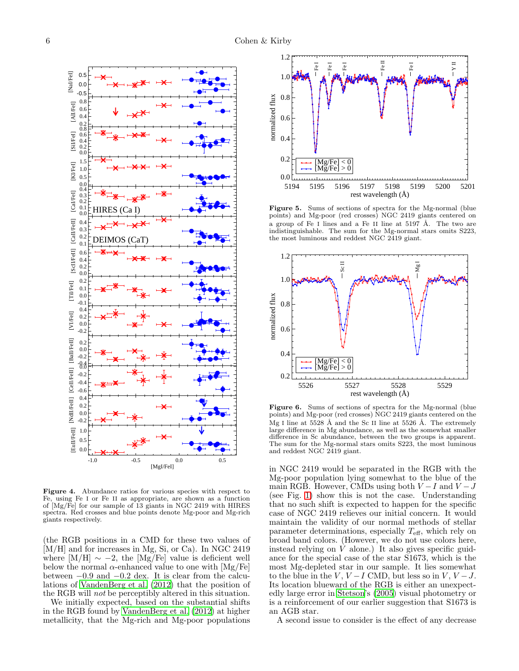

<span id="page-5-0"></span>Figure 4. Abundance ratios for various species with respect to Fe, using Fe I or Fe II as appropriate, are shown as a function of [Mg/Fe] for our sample of 13 giants in NGC 2419 with HIRES spectra. Red crosses and blue points denote Mg-poor and Mg-rich giants respectively.

(the RGB positions in a CMD for these two values of [M/H] and for increases in Mg, Si, or Ca). In NGC 2419 where  $[M/H] \sim -2$ , the  $[Mg/Fe]$  value is deficient well below the normal  $\alpha$ -enhanced value to one with [Mg/Fe] between −0.9 and −0.2 dex. It is clear from the calculations of [VandenBerg et al. \(2012](#page-13-20)) that the position of the RGB will not be perceptibly altered in this situation.

We initially expected, based on the substantial shifts in the RGB found by [VandenBerg et al. \(2012\)](#page-13-20) at higher metallicity, that the Mg-rich and Mg-poor populations



<span id="page-5-1"></span>Figure 5. Sums of sections of spectra for the Mg-normal (blue points) and Mg-poor (red crosses) NGC 2419 giants centered on a group of Fe I lines and a Fe II line at  $5197 \text{ Å}$ . The two are indistinguishable. The sum for the Mg-normal stars omits S223, the most luminous and reddest NGC 2419 giant.



<span id="page-5-2"></span>Figure 6. Sums of sections of spectra for the Mg-normal (blue points) and Mg-poor (red crosses) NGC 2419 giants centered on the Mg I line at  $5528 \text{ Å}$  and the Sc II line at  $5526 \text{ Å}$ . The extremely large difference in Mg abundance, as well as the somewhat smaller difference in Sc abundance, between the two groups is apparent. The sum for the Mg-normal stars omits S223, the most luminous and reddest NGC 2419 giant.

in NGC 2419 would be separated in the RGB with the Mg-poor population lying somewhat to the blue of the main RGB. However, CMDs using both  $V-I$  and  $V-J$ (see Fig. [1\)](#page-1-0) show this is not the case. Understanding that no such shift is expected to happen for the specific case of NGC 2419 relieves our initial concern. It would maintain the validity of our normal methods of stellar parameter determinations, especially  $T_{\text{eff}}$ , which rely on broad band colors. (However, we do not use colors here, instead relying on  $\dot{V}$  alone.) It also gives specific guidance for the special case of the star S1673, which is the most Mg-depleted star in our sample. It lies somewhat to the blue in the V,  $V - I$  CMD, but less so in V,  $V - J$ . Its location blueward of the RGB is either an unexpectedly large error in [Stetson](#page-13-12)'s [\(2005](#page-13-12)) visual photometry or is a reinforcement of our earlier suggestion that S1673 is an AGB star.

A second issue to consider is the effect of any decrease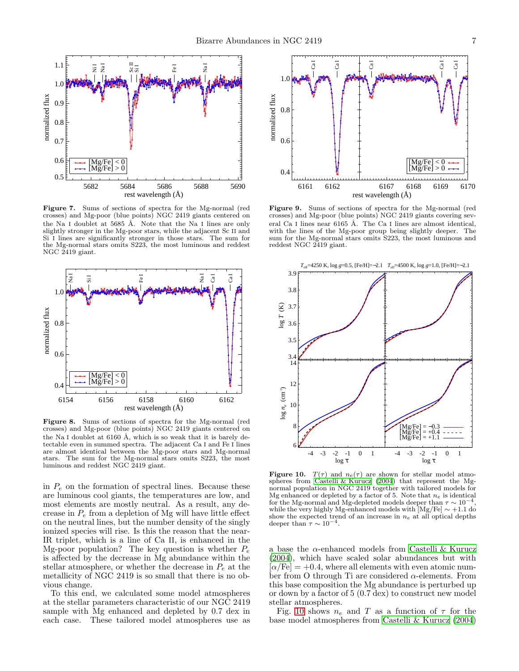

<span id="page-6-2"></span>Figure 7. Sums of sections of spectra for the Mg-normal (red crosses) and Mg-poor (blue points) NGC 2419 giants centered on the Na I doublet at 5685 Å. Note that the Na I lines are only slightly stronger in the Mg-poor stars, while the adjacent Sc II and Si I lines are significantly stronger in those stars. The sum for the Mg-normal stars omits S223, the most luminous and reddest NGC 2419 giant.



Figure 8. Sums of sections of spectra for the Mg-normal (red crosses) and Mg-poor (blue points) NGC 2419 giants centered on the Na I doublet at  $6160$  Å, which is so weak that it is barely detectable even in summed spectra. The adjacent Ca I and Fe I lines are almost identical between the Mg-poor stars and Mg-normal stars. The sum for the Mg-normal stars omits S223, the most luminous and reddest NGC 2419 giant.

in  $P_e$  on the formation of spectral lines. Because these are luminous cool giants, the temperatures are low, and most elements are mostly neutral. As a result, any decrease in  $P_e$  from a depletion of Mg will have little effect on the neutral lines, but the number density of the singly ionized species will rise. Is this the reason that the near-IR triplet, which is a line of Ca II, is enhanced in the Mg-poor population? The key question is whether  $P_e$ is affected by the decrease in Mg abundance within the stellar atmosphere, or whether the decrease in  $P_e$  at the metallicity of NGC 2419 is so small that there is no obvious change.

To this end, we calculated some model atmospheres at the stellar parameters characteristic of our NGC 2419 sample with Mg enhanced and depleted by 0.7 dex in each case. These tailored model atmospheres use as



<span id="page-6-0"></span>Figure 9. Sums of sections of spectra for the Mg-normal (red crosses) and Mg-poor (blue points) NGC 2419 giants covering several Ca I lines near  $6165$  Å. The Ca I lines are almost identical, with the lines of the Mg-poor group being slightly deeper. The sum for the Mg-normal stars omits S223, the most luminous and reddest NGC 2419 giant.



<span id="page-6-1"></span>**Figure 10.**  $T(\tau)$  and  $n_e(\tau)$  are shown for stellar model atmospheres from Castelli & Kurucz  $(2004)$  that represent the Mgnormal population in NGC 2419 together with tailored models for Mg enhanced or depleted by a factor of 5. Note that  $n_e$  is identical for the Mg-normal and Mg-depleted models deeper than  $\tau \sim 10^{-4}$ , while the very highly Mg-enhanced models with  $[Mg/Fe] \sim +1.1$  do show the expected trend of an increase in  $n_e$  at all optical depths deeper than  $\tau \sim 10^{-4}$ .

a base the  $\alpha$ -enhanced models from [Castelli & Kurucz](#page-12-1) [\(2004\)](#page-12-1), which have scaled solar abundances but with  $\alpha$  Fe] = +0.4, where all elements with even atomic number from O through Ti are considered  $\alpha$ -elements. From this base composition the Mg abundance is perturbed up or down by a factor of 5 (0.7 dex) to construct new model stellar atmospheres.

Fig. [10](#page-6-1) shows  $n_e$  and T as a function of  $\tau$  for the base model atmospheres from [Castelli & Kurucz \(2004](#page-12-1))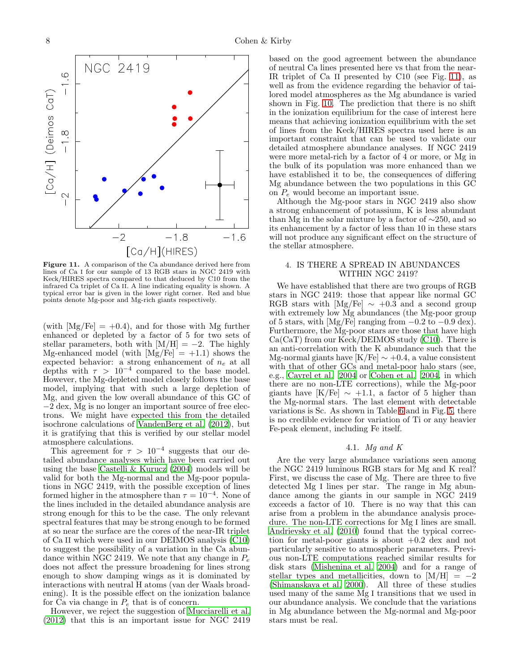

<span id="page-7-1"></span>Figure 11. A comparison of the Ca abundance derived here from lines of Ca I for our sample of 13 RGB stars in NGC 2419 with Keck/HIRES spectra compared to that deduced by C10 from the infrared Ca triplet of Ca II. A line indicating equality is shown. A typical error bar is given in the lower right corner. Red and blue points denote Mg-poor and Mg-rich giants respectively.

(with  $[Mg/Fe] = +0.4$ ), and for those with Mg further enhanced or depleted by a factor of 5 for two sets of stellar parameters, both with  $[M/H] = -2$ . The highly Mg-enhanced model (with  $[Mg/Fe] = +1.1$ ) shows the expected behavior: a strong enhancement of  $n_e$  at all depths with  $\tau > 10^{-4}$  compared to the base model. However, the Mg-depleted model closely follows the base model, implying that with such a large depletion of Mg, and given the low overall abundance of this GC of −2 dex, Mg is no longer an important source of free electrons. We might have expected this from the detailed isochrone calculations of [VandenBerg et al. \(2012](#page-13-20)), but it is gratifying that this is verified by our stellar model atmosphere calculations.

This agreement for  $\tau > 10^{-4}$  suggests that our detailed abundance analyses which have been carried out using the base [Castelli & Kurucz \(2004\)](#page-12-1) models will be valid for both the Mg-normal and the Mg-poor populations in NGC 2419, with the possible exception of lines formed higher in the atmosphere than  $\tau = 10^{-4}$ . None of the lines included in the detailed abundance analysis are strong enough for this to be the case. The only relevant spectral features that may be strong enough to be formed at so near the surface are the cores of the near-IR triplet of Ca II which were used in our DEIMOS analysis [\(C10](#page-13-5)) to suggest the possibility of a variation in the Ca abundance within NGC 2419. We note that any change in  $P_e$ does not affect the pressure broadening for lines strong enough to show damping wings as it is dominated by interactions with neutral H atoms (van der Waals broadening). It is the possible effect on the ionization balance for  $\tilde{Ca}$  via change in  $P_e$  that is of concern.

However, we reject the suggestion of [Mucciarelli et al.](#page-13-19) [\(2012\)](#page-13-19) that this is an important issue for NGC 2419

based on the good agreement between the abundance of neutral Ca lines presented here vs that from the near-IR triplet of Ca II presented by C10 (see Fig. [11\)](#page-7-1), as well as from the evidence regarding the behavior of tailored model atmospheres as the Mg abundance is varied shown in Fig. [10.](#page-6-1) The prediction that there is no shift in the ionization equilibrium for the case of interest here means that achieving ionization equilibrium with the set of lines from the Keck/HIRES spectra used here is an important constraint that can be used to validate our detailed atmosphere abundance analyses. If NGC 2419 were more metal-rich by a factor of 4 or more, or Mg in the bulk of its population was more enhanced than we have established it to be, the consequences of differing Mg abundance between the two populations in this GC on  $P_e$  would become an important issue.

Although the Mg-poor stars in NGC 2419 also show a strong enhancement of potassium, K is less abundant than Mg in the solar mixture by a factor of ∼250, and so its enhancement by a factor of less than 10 in these stars will not produce any significant effect on the structure of the stellar atmosphere.

## <span id="page-7-0"></span>4. IS THERE A SPREAD IN ABUNDANCES WITHIN NGC 2419?

We have established that there are two groups of RGB stars in NGC 2419: those that appear like normal GC RGB stars with  $[Mg/Fe] \sim +0.3$  and a second group with extremely low Mg abundances (the Mg-poor group of 5 stars, with [Mg/Fe] ranging from  $-0.2$  to  $-0.9$  dex). Furthermore, the Mg-poor stars are those that have high Ca(CaT) from our Keck/DEIMOS study [\(C10](#page-13-5)). There is an anti-correlation with the K abundance such that the Mg-normal giants have  $[K/Fe] \sim +0.4$ , a value consistent with that of other GCs and metal-poor halo stars (see, e.g., [Cayrel et al. 2004](#page-12-2) or [Cohen et al. 2004](#page-13-21), in which there are no non-LTE corrections), while the Mg-poor giants have  $[K/Fe] \sim +1.1$ , a factor of 5 higher than the Mg-normal stars. The last element with detectable variations is Sc. As shown in Table [6](#page-4-0) and in Fig. [5,](#page-5-1) there is no credible evidence for variation of Ti or any heavier Fe-peak element, including Fe itself.

# 4.1. Mg and K

Are the very large abundance variations seen among the NGC 2419 luminous RGB stars for Mg and K real? First, we discuss the case of Mg. There are three to five detected Mg I lines per star. The range in Mg abundance among the giants in our sample in NGC 2419 exceeds a factor of 10. There is no way that this can arise from a problem in the abundance analysis procedure. The non-LTE corrections for Mg I lines are small. [Andrievsky et al. \(2010\)](#page-12-3) found that the typical correction for metal-poor giants is about  $+0.2$  dex and not particularly sensitive to atmospheric parameters. Previous non-LTE computations reached similar results for disk stars [\(Mishenina et al. 2004\)](#page-13-22) and for a range of stellar types and metallicities, down to  $[M/H] = -2$ [\(Shimanskaya et al. 2000](#page-13-23)). All three of these studies used many of the same Mg I transitions that we used in our abundance analysis. We conclude that the variations in Mg abundance between the Mg-normal and Mg-poor stars must be real.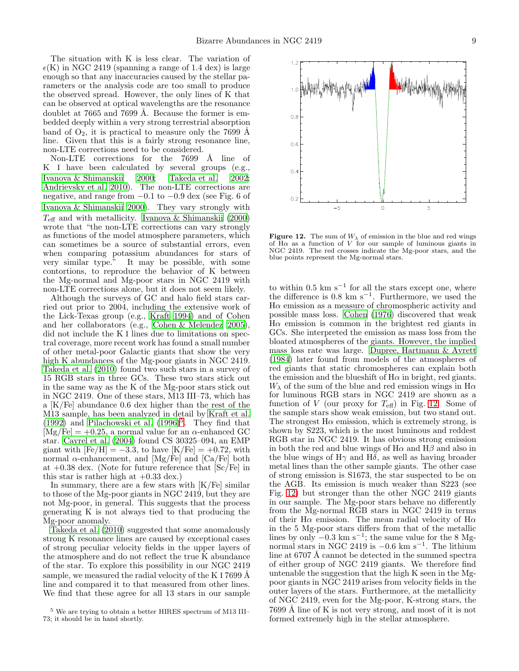The situation with K is less clear. The variation of  $\epsilon(K)$  in NGC 2419 (spanning a range of 1.4 dex) is large enough so that any inaccuracies caused by the stellar parameters or the analysis code are too small to produce the observed spread. However, the only lines of K that can be observed at optical wavelengths are the resonance doublet at 7665 and 7699 Å. Because the former is embedded deeply within a very strong terrestrial absorption band of  $O_2$ , it is practical to measure only the 7699 Å line. Given that this is a fairly strong resonance line, non-LTE corrections need to be considered.

Non-LTE corrections for the 7699 Å line of K I have been calculated by several groups (e.g., Ivanova & Shimanskii 2000; [Takeda et al. 2002;](#page-13-25) [Andrievsky et al. 2010](#page-12-3)). The non-LTE corrections are negative, and range from −0.1 to −0.9 dex (see Fig. 6 of Ivanova & Shimanskii 2000). They vary strongly with  $T_{\text{eff}}$  and with metallicity. Ivanova & Shimanskii<sup>'</sup> (2000) wrote that "the non-LTE corrections can vary strongly as functions of the model atmosphere parameters, which can sometimes be a source of substantial errors, even when comparing potassium abundances for stars of very similar type.<sup> $\ddot{v}$ </sup> It may be possible, with some contortions, to reproduce the behavior of K between the Mg-normal and Mg-poor stars in NGC 2419 with non-LTE corrections alone, but it does not seem likely.

Although the surveys of GC and halo field stars carried out prior to 2004, including the extensive work of the Lick-Texas group (e.g., [Kraft 1994](#page-13-26)) and of Cohen and her collaborators (e.g., [Cohen & Melendez 2005\)](#page-13-27), did not include the K I lines due to limitations on spectral coverage, more recent work has found a small number of other metal-poor Galactic giants that show the very high K abundances of the Mg-poor giants in NGC 2419. [Takeda et al. \(2010\)](#page-13-28) found two such stars in a survey of 15 RGB stars in three GCs. These two stars stick out in the same way as the K of the Mg-poor stars stick out in NGC 2419. One of these stars, M13 III–73, which has a [K/Fe] abundance 0.6 dex higher than the rest of the M13 sample, has been analyzed in detail by [Kraft et al.](#page-13-29)  $(1992)$  and Pilachowski et al.  $(1996)^5$  $(1996)^5$ . They find that  $[Mg/Fe] = +0.25$ , a normal value for an  $\alpha$ -enhanced GC star. [Cayrel et al. \(2004\)](#page-12-2) found CS 30325–094, an EMP giant with  $[Fe/H] = -3.3$ , to have  $[K/Fe] = +0.72$ , with normal α-enhancement, and  $[Mg/Fe]$  and  $[Ca/Fe]$  both at  $+0.38$  dex. (Note for future reference that  $\left[Sc/Fe\right]$  in this star is rather high at  $+0.33$  dex.)

In summary, there are a few stars with  $K/Fe$  similar to those of the Mg-poor giants in NGC 2419, but they are not Mg-poor, in general. This suggests that the process generating K is not always tied to that producing the Mg-poor anomaly.

[Takeda et al. \(2010\)](#page-13-28) suggested that some anomalously strong K resonance lines are caused by exceptional cases of strong peculiar velocity fields in the upper layers of the atmosphere and do not reflect the true K abundance of the star. To explore this possibility in our NGC 2419 sample, we measured the radial velocity of the K I 7699  $\AA$ line and compared it to that measured from other lines. We find that these agree for all 13 stars in our sample



<span id="page-8-1"></span>Figure 12. The sum of  $W_{\lambda}$  of emission in the blue and red wings of  $H\alpha$  as a function of V for our sample of luminous giants in NGC 2419. The red crosses indicate the Mg-poor stars, and the blue points represent the Mg-normal stars.

to within  $0.5 \text{ km s}^{-1}$  for all the stars except one, where the difference is  $0.8 \text{ km s}^{-1}$ . Furthermore, we used the  $H\alpha$  emission as a measure of chromospheric activity and possible mass loss. [Cohen \(1976\)](#page-12-4) discovered that weak  $H\alpha$  emission is common in the brightest red giants in GCs. She interpreted the emission as mass loss from the bloated atmospheres of the giants. However, the implied mass loss rate was large. [Dupree, Hartmann & Avrett](#page-13-31) [\(1984\)](#page-13-31) later found from models of the atmospheres of red giants that static chromospheres can explain both the emission and the blueshift of  $H\alpha$  in bright, red giants.  $W_{\lambda}$  of the sum of the blue and red emission wings in H $\alpha$ for luminous RGB stars in NGC 2419 are shown as a function of V (our proxy for  $T_{\text{eff}}$ ) in Fig. [12.](#page-8-1) Some of the sample stars show weak emission, but two stand out. The strongest  $H\alpha$  emission, which is extremely strong, is shown by S223, which is the most luminous and reddest RGB star in NGC 2419. It has obvious strong emission in both the red and blue wings of  $H\alpha$  and  $H\beta$  and also in the blue wings of  $H\gamma$  and  $H\delta$ , as well as having broader metal lines than the other sample giants. The other case of strong emission is S1673, the star suspected to be on the AGB. Its emission is much weaker than S223 (see Fig. [12\)](#page-8-1) but stronger than the other NGC 2419 giants in our sample. The Mg-poor stars behave no differently from the Mg-normal RGB stars in NGC 2419 in terms of their H $\alpha$  emission. The mean radial velocity of H $\alpha$ in the 5 Mg-poor stars differs from that of the metallic lines by only  $-0.3 \text{ km s}^{-1}$ ; the same value for the 8 Mgnormal stars in NGC 2419 is  $-0.6 \text{ km s}^{-1}$ . The lithium line at  $6707 \text{ Å}$  cannot be detected in the summed spectra of either group of NGC 2419 giants. We therefore find untenable the suggestion that the high K seen in the Mgpoor giants in NGC 2419 arises from velocity fields in the outer layers of the stars. Furthermore, at the metallicity of NGC 2419, even for the Mg-poor, K-strong stars, the 7699 Å line of K is not very strong, and most of it is not formed extremely high in the stellar atmosphere.

<span id="page-8-0"></span><sup>5</sup> We are trying to obtain a better HIRES spectrum of M13 III– 73; it should be in hand shortly.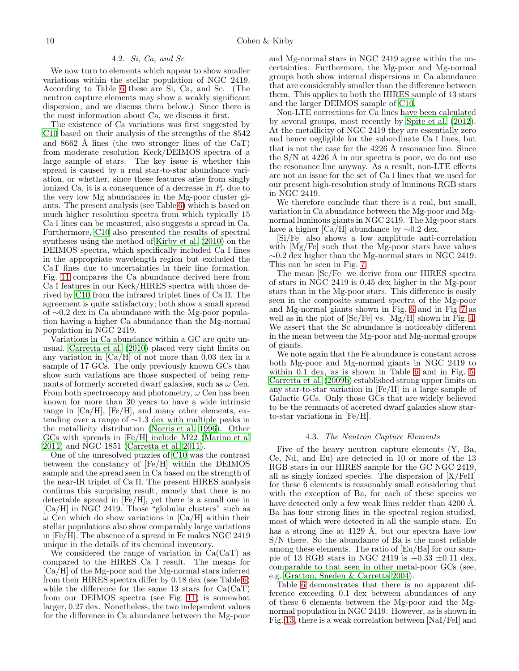#### 4.2. Si, Ca, and Sc

We now turn to elements which appear to show smaller variations within the stellar population of NGC 2419. According to Table [6](#page-4-0) these are Si, Ca, and Sc. (The neutron capture elements may show a weakly significant dispersion, and we discuss them below.) Since there is the most information about Ca, we discuss it first.

The existence of Ca variations was first suggested by [C10](#page-13-5) based on their analysis of the strengths of the 8542 and 8662 Å lines (the two stronger lines of the  $CaT$ ) from moderate resolution Keck/DEIMOS spectra of a large sample of stars. The key issue is whether this spread is caused by a real star-to-star abundance variation, or whether, since these features arise from singly ionized Ca, it is a consequence of a decrease in  $P_e$  due to the very low Mg abundances in the Mg-poor cluster giants. The present analysis (see Table [6\)](#page-4-0) which is based on much higher resolution spectra from which typically 15 Ca I lines can be measured, also suggests a spread in Ca. Furthermore, [C10](#page-13-5) also presented the results of spectral syntheses using the method of [Kirby et al. \(2010\)](#page-13-32) on the DEIMOS spectra, which specifically included Ca I lines in the appropriate wavelength region but excluded the CaT lines due to uncertainties in their line formation. Fig. [11](#page-7-1) compares the Ca abundance derived here from Ca I features in our Keck/HIRES spectra with those derived by [C10](#page-13-5) from the infrared triplet lines of Ca II. The agreement is quite satisfactory; both show a small spread of ∼0.2 dex in Ca abundance with the Mg-poor population having a higher Ca abundance than the Mg-normal population in NGC 2419.

Variations in Ca abundance within a GC are quite unusual. [Carretta et al. \(2010\)](#page-12-5) placed very tight limits on any variation in  $\text{[Ca/H]}$  of not more than 0.03 dex in a sample of 17 GCs. The only previously known GCs that show such variations are those suspected of being remnants of formerly accreted dwarf galaxies, such as  $\omega$  Cen. From both spectroscopy and photometry,  $\omega$  Cen has been known for more than 30 years to have a wide intrinsic range in  $\text{[Ca/H]}$ ,  $\text{[Fe/H]}$ , and many other elements, extending over a range of ∼1.3 dex with multiple peaks in the metallicity distribution [\(Norris et al. 1996\)](#page-13-33). Other GCs with spreads in [Fe/H] include M22 [\(Marino et al](#page-13-34) [2011\)](#page-13-34) and NGC 1851 [\(Carretta et al. 2011](#page-12-6)).

One of the unresolved puzzles of [C10](#page-13-5) was the contrast between the constancy of [Fe/H] within the DEIMOS sample and the spread seen in Ca based on the strength of the near-IR triplet of Ca II. The present HIRES analysis confirms this surprising result, namely that there is no detectable spread in [Fe/H], yet there is a small one in [Ca/H] in NGC 2419. Those "globular clusters" such as  $\omega$  Cen which do show variations in [Ca/H] within their stellar populations also show comparably large variations in [Fe/H]. The absence of a spread in Fe makes NGC 2419 unique in the details of its chemical inventory.

We considered the range of variation in Ca(CaT) as compared to the HIRES Ca I result. The means for [Ca/H] of the Mg-poor and the Mg-normal stars inferred from their HIRES spectra differ by 0.18 dex (see Table [6\)](#page-4-0) while the difference for the same 13 stars for  $Ca(CaT)$ from our DEIMOS spectra (see Fig. [11\)](#page-7-1) is somewhat larger, 0.27 dex. Nonetheless, the two independent values for the difference in Ca abundance between the Mg-poor

and Mg-normal stars in NGC 2419 agree within the uncertainties. Furthermore, the Mg-poor and Mg-normal groups both show internal dispersions in Ca abundance that are considerably smaller than the difference between them. This applies to both the HIRES sample of 13 stars and the larger DEIMOS sample of [C10.](#page-13-5)

Non-LTE corrections for Ca lines have been calculated by several groups, most recently by [Spite et al. \(2012](#page-13-35)). At the metallicity of NGC 2419 they are essentially zero and hence negligible for the subordinate Ca I lines, but that is not the case for the  $4226$  Å resonance line. Since the  $S/N$  at 4226 A in our spectra is poor, we do not use the resonance line anyway. As a result, non-LTE effects are not an issue for the set of Ca I lines that we used for our present high-resolution study of luminous RGB stars in NGC 2419.

We therefore conclude that there is a real, but small, variation in Ca abundance between the Mg-poor and Mgnormal luminous giants in NGC 2419. The Mg-poor stars have a higher [Ca/H] abundance by  $\sim 0.2$  dex.

[Si/Fe] also shows a low amplitude anti-correlation with [Mg/Fe] such that the Mg-poor stars have values ∼0.2 dex higher than the Mg-normal stars in NGC 2419. This can be seen in Fig. [7.](#page-6-2)

The mean [Sc/Fe] we derive from our HIRES spectra of stars in NGC 2419 is 0.45 dex higher in the Mg-poor stars than in the Mg-poor stars. This difference is easily seen in the composite summed spectra of the Mg-poor and Mg-normal giants shown in Fig. [6](#page-5-2) and in Fig [7](#page-6-2) as well as in the plot of [Sc/Fe] vs. [Mg/H] shown in Fig. [4.](#page-5-0) We assert that the Sc abundance is noticeably different in the mean between the Mg-poor and Mg-normal groups of giants.

We note again that the Fe abundance is constant across both Mg-poor and Mg-normal giants in NGC 2419 to within 0.1 dex, as is shown in Table [6](#page-4-0) and in Fig. [5.](#page-5-1) [Carretta et al. \(2009b\)](#page-12-7) established strong upper limits on any star-to-star variation in [Fe/H] in a large sample of Galactic GCs. Only those GCs that are widely believed to be the remnants of accreted dwarf galaxies show starto-star variations in [Fe/H].

#### 4.3. The Neutron Capture Elements

Five of the heavy neutron capture elements (Y, Ba, Ce, Nd, and Eu) are detected in 10 or more of the 13 RGB stars in our HIRES sample for the GC NGC 2419, all as singly ionized species. The dispersion of [X/FeII] for these 6 elements is reasonably small considering that with the exception of Ba, for each of these species we have detected only a few weak lines redder than 4200 Å. Ba has four strong lines in the spectral region studied, most of which were detected in all the sample stars. Eu has a strong line at  $4129 \text{ Å}$ , but our spectra have low S/N there. So the abundance of Ba is the most reliable among these elements. The ratio of [Eu/Ba] for our sample of 13 RGB stars in NGC 2419 is  $+0.33 \pm 0.11$  dex, comparable to that seen in other metal-poor GCs (see, e.g. [Gratton, Sneden & Carretta 2004\)](#page-13-36).

Table [6](#page-4-0) demonstrates that there is no apparent difference exceeding 0.1 dex between abundances of any of these 6 elements between the Mg-poor and the Mgnormal population in NGC 2419. However, as is shown in Fig. [13,](#page-10-0) there is a weak correlation between [NaI/FeI] and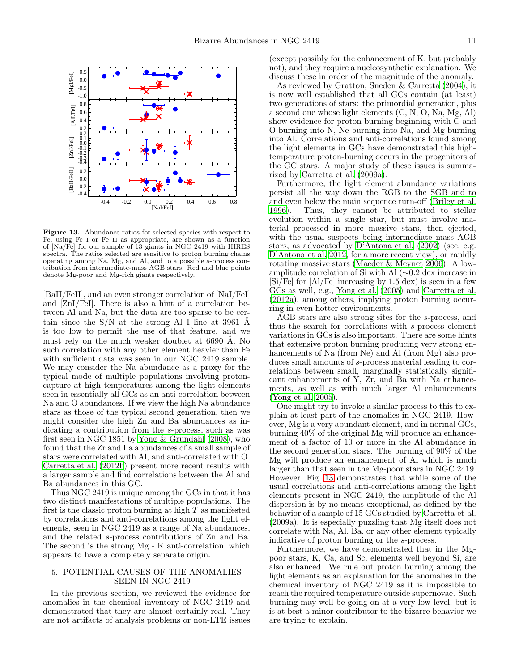

<span id="page-10-0"></span>Figure 13. Abundance ratios for selected species with respect to Fe, using Fe I or Fe II as appropriate, are shown as a function of [Na/Fe] for our sample of 13 giants in NGC 2419 with HIRES spectra. The ratios selected are sensitive to proton burning chains operating among Na, Mg, and Al, and to a possible s-process contribution from intermediate-mass AGB stars. Red and blue points denote Mg-poor and Mg-rich giants respectively.

[BaII/FeII], and an even stronger correlation of [NaI/FeI] and [ZnI/FeI]. There is also a hint of a correlation between Al and Na, but the data are too sparse to be certain since the  $S/N$  at the strong Al I line at 3961 Å is too low to permit the use of that feature, and we must rely on the much weaker doublet at  $6690$  Å. No such correlation with any other element heavier than Fe with sufficient data was seen in our NGC 2419 sample. We may consider the Na abundance as a proxy for the typical mode of multiple populations involving protoncapture at high temperatures among the light elements seen in essentially all GCs as an anti-correlation between Na and O abundances. If we view the high Na abundance stars as those of the typical second generation, then we might consider the high Zn and Ba abundances as indicating a contribution from the s-process, such as was first seen in NGC 1851 by [Yong & Grundahl \(2008\)](#page-13-37), who found that the Zr and La abundances of a small sample of stars were correlated with Al, and anti-correlated with O. [Carretta et al. \(2012b](#page-12-8)) present more recent results with a larger sample and find correlations between the Al and Ba abundances in this GC.

Thus NGC 2419 is unique among the GCs in that it has two distinct manifestations of multiple populations. The first is the classic proton burning at high  $T$  as manifested by correlations and anti-correlations among the light elements, seen in NGC 2419 as a range of Na abundances, and the related s-process contributions of Zn and Ba. The second is the strong Mg - K anti-correlation, which appears to have a completely separate origin.

## 5. POTENTIAL CAUSES OF THE ANOMALIES SEEN IN NGC 2419

In the previous section, we reviewed the evidence for anomalies in the chemical inventory of NGC 2419 and demonstrated that they are almost certainly real. They are not artifacts of analysis problems or non-LTE issues (except possibly for the enhancement of K, but probably not), and they require a nucleosynthetic explanation. We discuss these in order of the magnitude of the anomaly.

As reviewed by [Gratton, Sneden & Carretta \(2004\)](#page-13-36), it is now well established that all GCs contain (at least) two generations of stars: the primordial generation, plus a second one whose light elements (C, N, O, Na, Mg, Al) show evidence for proton burning beginning with C and O burning into N, Ne burning into Na, and Mg burning into Al. Correlations and anti-correlations found among the light elements in GCs have demonstrated this hightemperature proton-burning occurs in the progenitors of the GC stars. A major study of these issues is summarized by [Carretta et al. \(2009a\)](#page-12-9).

Furthermore, the light element abundance variations persist all the way down the RGB to the SGB and to and even below the main sequence turn-off [\(Briley et al.](#page-12-10) [1996\)](#page-12-10). Thus, they cannot be attributed to stellar evolution within a single star, but must involve material processed in more massive stars, then ejected, with the usual suspects being intermediate mass AGB stars, as advocated by [D'Antona et al. \(2002\)](#page-13-3) (see, e.g. [D'Antona et al. 2012](#page-13-38), for a more recent view), or rapidly rotating massive stars [\(Maeder & Meynet 2006\)](#page-13-39). A lowamplitude correlation of Si with Al (∼0.2 dex increase in [Si/Fe] for [Al/Fe] increasing by 1.5 dex) is seen in a few GCs as well, e.g., [Yong et al. \(2005](#page-13-40)) and [Carretta et al.](#page-12-11) [\(2012a\)](#page-12-11), among others, implying proton burning occurring in even hotter environments.

AGB stars are also strong sites for the s-process, and thus the search for correlations with s-process element variations in GCs is also important. There are some hints that extensive proton burning producing very strong enhancements of Na (from Ne) and Al (from Mg) also produces small amounts of s-process material leading to correlations between small, marginally statistically significant enhancements of  $\overline{Y}$ ,  $\overline{Z}$ r, and  $\overline{B}$ a with Na enhancements, as well as with much larger Al enhancements [\(Yong et al. 2005\)](#page-13-40).

One might try to invoke a similar process to this to explain at least part of the anomalies in NGC 2419. However, Mg is a very abundant element, and in normal GCs, burning 40% of the original Mg will produce an enhancement of a factor of 10 or more in the Al abundance in the second generation stars. The burning of 90% of the Mg will produce an enhancement of Al which is much larger than that seen in the Mg-poor stars in NGC 2419. However, Fig. [13](#page-10-0) demonstrates that while some of the usual correlations and anti-correlations among the light elements present in NGC 2419, the amplitude of the Al dispersion is by no means exceptional, as defined by the behavior of a sample of 15 GCs studied by [Carretta et al.](#page-12-9) [\(2009a\)](#page-12-9). It is especially puzzling that Mg itself does not correlate with Na, Al, Ba, or any other element typically indicative of proton burning or the s-process.

Furthermore, we have demonstrated that in the Mgpoor stars, K, Ca, and Sc, elements well beyond Si, are also enhanced. We rule out proton burning among the light elements as an explanation for the anomalies in the chemical inventory of NGC 2419 as it is impossible to reach the required temperature outside supernovae. Such burning may well be going on at a very low level, but it is at best a minor contributor to the bizarre behavior we are trying to explain.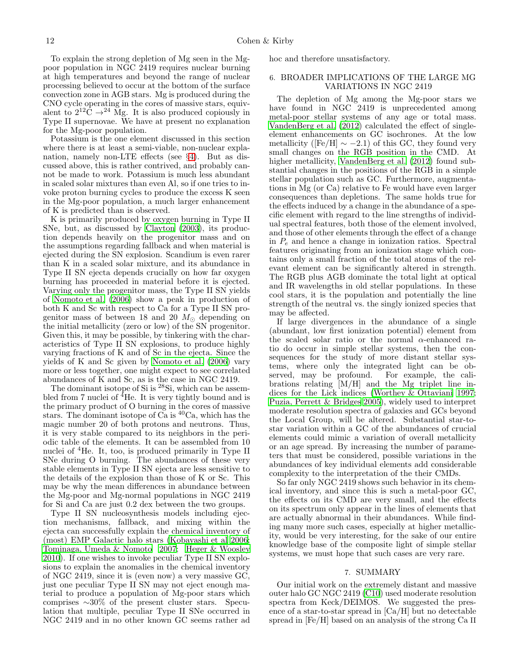To explain the strong depletion of Mg seen in the Mgpoor population in NGC 2419 requires nuclear burning at high temperatures and beyond the range of nuclear processing believed to occur at the bottom of the surface convection zone in AGB stars. Mg is produced during the CNO cycle operating in the cores of massive stars, equivalent to  $2^{12}\text{C} \rightarrow ^{24} \text{Mg}$ . It is also produced copiously in Type II supernovae. We have at present no explanation for the Mg-poor population.

Potassium is the one element discussed in this section where there is at least a semi-viable, non-nuclear explanation, namely non-LTE effects (see §[4\)](#page-7-0). But as discussed above, this is rather contrived, and probably cannot be made to work. Potassium is much less abundant in scaled solar mixtures than even Al, so if one tries to invoke proton burning cycles to produce the excess K seen in the Mg-poor population, a much larger enhancement of K is predicted than is observed.

K is primarily produced by oxygen burning in Type II SNe, but, as discussed by [Clayton \(2003\)](#page-12-12), its production depends heavily on the progenitor mass and on the assumptions regarding fallback and when material is ejected during the SN explosion. Scandium is even rarer than K in a scaled solar mixture, and its abundance in Type II SN ejecta depends crucially on how far oxygen burning has proceeded in material before it is ejected. Varying only the progenitor mass, the Type II SN yields of [Nomoto et al. \(2006](#page-13-41)) show a peak in production of both K and Sc with respect to Ca for a Type II SN progenitor mass of between 18 and 20  $M_{\odot}$  depending on the initial metallicity (zero or low) of the SN progenitor. Given this, it may be possible, by tinkering with the characteristics of Type II SN explosions, to produce highly varying fractions of K and of Sc in the ejecta. Since the yields of K and Sc given by [Nomoto et al. \(2006](#page-13-41)) vary more or less together, one might expect to see correlated abundances of K and Sc, as is the case in NGC 2419.

The dominant isotope of Si is <sup>28</sup>Si, which can be assembled from 7 nuclei of  ${}^{4}$ He. It is very tightly bound and is the primary product of O burning in the cores of massive stars. The dominant isotope of  $\tilde{Ca}$  is  ${}^{40}Ca$ , which has the magic number 20 of both protons and neutrons. Thus, it is very stable compared to its neighbors in the periodic table of the elements. It can be assembled from 10 nuclei of <sup>4</sup>He. It, too, is produced primarily in Type II SNe during O burning. The abundances of these very stable elements in Type II SN ejecta are less sensitive to the details of the explosion than those of K or Sc. This may be why the mean differences in abundance between the Mg-poor and Mg-normal populations in NGC 2419 for Si and Ca are just 0.2 dex between the two groups.

Type II SN nucleosynthesis models including ejection mechanisms, fallback, and mixing within the ejecta can successfully explain the chemical inventory of (most) EMP Galactic halo stars [\(Kobayashi et al 2006;](#page-13-42) [Tominaga, Umeda & Nomoto 2007;](#page-13-43) [Heger & Woosley](#page-13-44) [2010\)](#page-13-44). If one wishes to invoke peculiar Type II SN explosions to explain the anomalies in the chemical inventory of NGC 2419, since it is (even now) a very massive GC, just one peculiar Type II SN may not eject enough material to produce a population of Mg-poor stars which comprises ∼30% of the present cluster stars. Speculation that multiple, peculiar Type II SNe occurred in NGC 2419 and in no other known GC seems rather ad hoc and therefore unsatisfactory.

## 6. BROADER IMPLICATIONS OF THE LARGE MG VARIATIONS IN NGC 2419

The depletion of Mg among the Mg-poor stars we have found in NGC 2419 is unprecedented among metal-poor stellar systems of any age or total mass. [VandenBerg et al. \(2012\)](#page-13-20) calculated the effect of singleelement enhancements on GC isochrones. At the low metallicity ( $[Fe/H] \sim -2.1$ ) of this GC, they found very small changes on the RGB position in the CMD. At higher metallicity, VandenBerg et al.  $(2012)$  found substantial changes in the positions of the RGB in a simple stellar population such as GC. Furthermore, augmentations in Mg (or Ca) relative to Fe would have even larger consequences than depletions. The same holds true for the effects induced by a change in the abundance of a specific element with regard to the line strengths of individual spectral features, both those of the element involved, and those of other elements through the effect of a change in  $P_e$  and hence a change in ionization ratios. Spectral features originating from an ionization stage which contains only a small fraction of the total atoms of the relevant element can be significantly altered in strength. The RGB plus AGB dominate the total light at optical and IR wavelengths in old stellar populations. In these cool stars, it is the population and potentially the line strength of the neutral vs. the singly ionized species that may be affected.

If large divergences in the abundance of a single (abundant, low first ionization potential) element from the scaled solar ratio or the normal  $\alpha$ -enhanced ratio do occur in simple stellar systems, then the consequences for the study of more distant stellar systems, where only the integrated light can be observed, may be profound. For example, the calibrations relating [M/H] and the Mg triplet line indices for the Lick indices [\(Worthey & Ottaviani 1997](#page-13-45); [Puzia, Perrett & Bridges 2005](#page-13-46)), widely used to interpret moderate resolution spectra of galaxies and GCs beyond the Local Group, will be altered. Substantial star-tostar variation within a GC of the abundances of crucial elements could mimic a variation of overall metallicity or an age spread. By increasing the number of parameters that must be considered, possible variations in the abundances of key individual elements add considerable complexity to the interpretation of the their CMDs.

So far only NGC 2419 shows such behavior in its chemical inventory, and since this is such a metal-poor GC, the effects on its CMD are very small, and the effects on its spectrum only appear in the lines of elements that are actually abnormal in their abundances. While finding many more such cases, especially at higher metallicity, would be very interesting, for the sake of our entire knowledge base of the composite light of simple stellar systems, we must hope that such cases are very rare.

#### 7. SUMMARY

Our initial work on the extremely distant and massive outer halo GC NGC 2419 [\(C10](#page-13-5)) used moderate resolution spectra from Keck/DEIMOS. We suggested the presence of a star-to-star spread in [Ca/H] but no detectable spread in [Fe/H] based on an analysis of the strong Ca II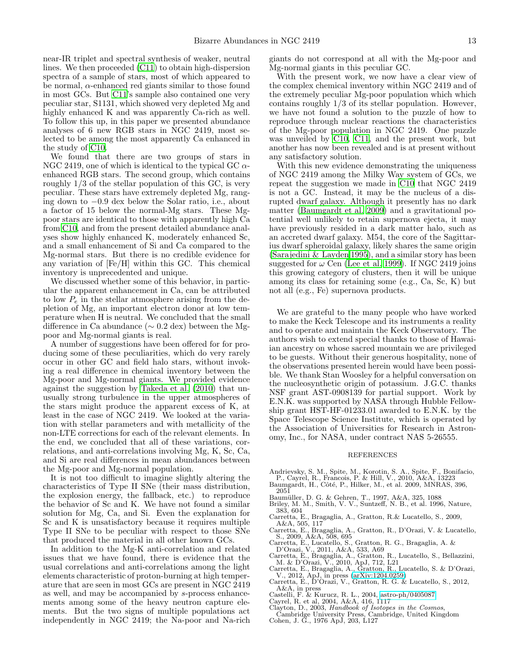near-IR triplet and spectral synthesis of weaker, neutral lines. We then proceeded [\(C11\)](#page-13-7) to obtain high-dispersion spectra of a sample of stars, most of which appeared to be normal,  $\alpha$ -enhanced red giants similar to those found in most GCs. But [C11'](#page-13-7)s sample also contained one very peculiar star, S1131, which showed very depleted Mg and highly enhanced K and was apparently Ca-rich as well. To follow this up, in this paper we presented abundance analyses of 6 new RGB stars in NGC 2419, most selected to be among the most apparently Ca enhanced in the study of [C10.](#page-13-5)

We found that there are two groups of stars in NGC 2419, one of which is identical to the typical GC  $\alpha$ enhanced RGB stars. The second group, which contains roughly 1/3 of the stellar population of this GC, is very peculiar. These stars have extremely depleted Mg, ranging down to −0.9 dex below the Solar ratio, i.e., about a factor of 15 below the normal-Mg stars. These Mgpoor stars are identical to those with apparently high Ca from [C10,](#page-13-5) and from the present detailed abundance analyses show highly enhanced K, moderately enhanced Sc, and a small enhancement of Si and Ca compared to the Mg-normal stars. But there is no credible evidence for any variation of [Fe/H] within this GC. This chemical inventory is unprecedented and unique.

We discussed whether some of this behavior, in particular the apparent enhancement in Ca, can be attributed to low  $P_e$  in the stellar atmosphere arising from the depletion of Mg, an important electron donor at low temperature when H is neutral. We concluded that the small difference in Ca abundance (∼ 0.2 dex) between the Mgpoor and Mg-normal giants is real.

A number of suggestions have been offered for for producing some of these peculiarities, which do very rarely occur in other GC and field halo stars, without invoking a real difference in chemical inventory between the Mg-poor and Mg-normal giants. We provided evidence against the suggestion by [Takeda et al. \(2010\)](#page-13-28) that unusually strong turbulence in the upper atmospheres of the stars might produce the apparent excess of K, at least in the case of NGC 2419. We looked at the variation with stellar parameters and with metallicity of the non-LTE corrections for each of the relevant elements. In the end, we concluded that all of these variations, correlations, and anti-correlations involving Mg, K, Sc, Ca, and Si are real differences in mean abundances between the Mg-poor and Mg-normal population.

It is not too difficult to imagine slightly altering the characteristics of Type II SNe (their mass distribution, the explosion energy, the fallback, etc.) to reproduce the behavior of Sc and K. We have not found a similar solution for Mg, Ca, and Si. Even the explanation for Sc and K is unsatisfactory because it requires multiple Type II SNe to be peculiar with respect to those SNe that produced the material in all other known GCs.

In addition to the Mg-K anti-correlation and related issues that we have found, there is evidence that the usual correlations and anti-correlations among the light elements characteristic of proton-burning at high temperature that are seen in most GCs are present in NGC 2419 as well, and may be accompanied by s-process enhancements among some of the heavy neutron capture elements. But the two signs of multiple populations act independently in NGC 2419; the Na-poor and Na-rich giants do not correspond at all with the Mg-poor and Mg-normal giants in this peculiar GC.

With the present work, we now have a clear view of the complex chemical inventory within NGC 2419 and of the extremely peculiar Mg-poor population which which contains roughly 1/3 of its stellar population. However, we have not found a solution to the puzzle of how to reproduce through nuclear reactions the characteristics of the Mg-poor population in NGC 2419. One puzzle was unveiled by [C10,](#page-13-5) [C11,](#page-13-7) and the present work, but another has now been revealed and is at present without any satisfactory solution.

With this new evidence demonstrating the uniqueness of NGC 2419 among the Milky Way system of GCs, we repeat the suggestion we made in [C10](#page-13-5) that NGC 2419 is not a GC. Instead, it may be the nucleus of a disrupted dwarf galaxy. Although it presently has no dark matter [\(Baumgardt et al. 2009\)](#page-12-13) and a gravitational potential well unlikely to retain supernova ejecta, it may have previously resided in a dark matter halo, such as an accreted dwarf galaxy. M54, the core of the Sagittarius dwarf spheroidal galaxy, likely shares the same origin [\(Sarajedini & Layden 1995\)](#page-13-47), and a similar story has been suggested for  $\omega$  Cen [\(Lee et al. 1999\)](#page-13-48). If NGC 2419 joins this growing category of clusters, then it will be unique among its class for retaining some (e.g., Ca, Sc, K) but not all (e.g., Fe) supernova products.

We are grateful to the many people who have worked to make the Keck Telescope and its instruments a reality and to operate and maintain the Keck Observatory. The authors wish to extend special thanks to those of Hawaiian ancestry on whose sacred mountain we are privileged to be guests. Without their generous hospitality, none of the observations presented herein would have been possible. We thank Stan Woosley for a helpful conversation on the nucleosynthetic origin of potassium. J.G.C. thanks NSF grant AST-0908139 for partial support. Work by E.N.K. was supported by NASA through Hubble Fellowship grant HST-HF-01233.01 awarded to E.N.K. by the Space Telescope Science Institute, which is operated by the Association of Universities for Research in Astronomy, Inc., for NASA, under contract NAS 5-26555.

#### REFERENCES

- <span id="page-12-3"></span>
- Andrievsky, S. M., Spite, M., Korotin, S. A., Spite, F., Bonifacio,<br>P., Cayrel, R., Francois, P. & Hill, V., 2010, A&A, 13223<br>Baumgardt, H., Côté, P., Hilker, M., et al. 2009, MNRAS, 396, 2051
- <span id="page-12-13"></span><span id="page-12-0"></span>
- <span id="page-12-10"></span>Baumüller, D. G. & Gehren, T., 1997, A&A, 325, 1088<br>Briley, M. M., Smith, V. V., Suntzeff, N. B., et al. 1996, Nature, 383, 604
- <span id="page-12-9"></span>Carretta, E., Bragaglia, A., Gratton, R.& Lucatello, S., 2009,
- <span id="page-12-7"></span>A&A, 505, 117 Carretta, E., Bragaglia, A., Gratton, R., D'Orazi, V. & Lucatello, S., 2009, A&A, 508, 695
- <span id="page-12-6"></span>Carretta, E., Lucatello, S., Gratton, R. G., Bragaglia, A. & D'Orazi, V., 2011, A&A, 533, A69
- <span id="page-12-5"></span>
- Carretta, E., Bragaglia, A., Gratton, R., Lucatello, S., Bellazzini, M. & D'Orazi, V., 2010, ApJ, 712, L21<br>Carretta, E., Bragaglia, A., Gratton, R., Lucatello, S. & D'Orazi, V., 2012, ApJ, in press [\(arXiv:1204.0259\)](http://arxiv.org/abs/1204.0259)<br>Carret
- <span id="page-12-11"></span><span id="page-12-8"></span>
- <span id="page-12-1"></span>A&A, in press Castelli, F. & Kurucz, R. L., 2004, [astro-ph/0405087](http://arxiv.org/abs/astro-ph/0405087) Cayrel, R. et al, 2004, A&A, 416, 1117
- 
- <span id="page-12-12"></span><span id="page-12-2"></span>Clayton, D., 2003, Handbook of Isotopes in the Cosmos, Cambridge University Press, Cambridge, United Kingdom
- <span id="page-12-4"></span>Cohen, J. G., 1976 ApJ, 203, L127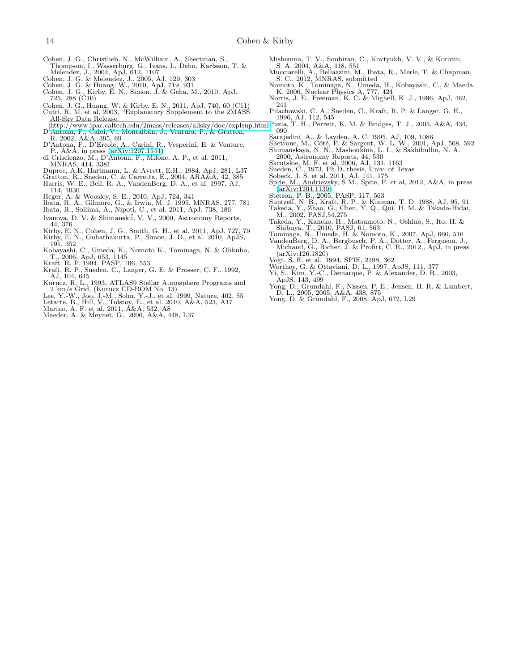- <span id="page-13-21"></span>Cohen, J. G., Christlieb, N., McWilliam, A., Shectman, S.,
- Thompson, I., Wasserburg, G., Ivans, I., Dehn, Karlsson, T. &<br>Melendez, J., 2004, ApJ, 612, 1107<br>Cohen, J. G. & Melendez, J., 2005, AJ, 129, 303<br>Cohen, J. G. & Huang, W., 2010, ApJ, 719, 931<br>Cohen, J. G., Kirby, E. N., Sim
- <span id="page-13-27"></span><span id="page-13-9"></span>
- 
- <span id="page-13-5"></span>725, 288 (C10)
- <span id="page-13-14"></span><span id="page-13-7"></span>Cohen, J. G., Huang, W. & Kirby, E. N., 2011, ApJ, 740, 60 (C11) Cutri, R. M. et al, 2003, "Explanatory Supplement to the 2MASS All-Sky Data Release,
- <http://www.ipac.caltech.edu/2mass/releases/allsky/doc/explsup.html> D'Antona, F., Caloi, V., Montalb´an, J., Ventura, P., & Gratton,
- <span id="page-13-3"></span>R. 2002, A&A, 395, 69 D'Antona, F., D'Ercole, A., Carini, R., Vesperini, E. & Venture,
- <span id="page-13-38"></span>P., A&A, in press [\(arXiv:1207.1544\)](http://arxiv.org/abs/1207.1544)
- <span id="page-13-2"></span>di Criscienzo, M., D'Antona, F., Milone, A. P., et al. 2011, MNRAS, 414, 3381
- 
- <span id="page-13-36"></span><span id="page-13-0"></span>
- <span id="page-13-31"></span>Dupree, A.K, Hartmann, L. & Avrett, E.H., 1984, ApJ, 281, L37 Gratton, R., Sneden, C. & Carretta, E., 2004, ARA&A, 42, 385 Harris, W. E., Bell, R. A., VandenBerg, D. A., et al. 1997, AJ, 114, 1030
- <span id="page-13-44"></span>Heger, A. & Woosley, S. E., 2010, ApJ, 724, 341
- <span id="page-13-1"></span>Ibata, R. A., Gilmore, G., & Irwin, M. J. 1995, MNRAS, 277, 781 Ibata, R., Sollima, A., Nipoti, C., et al. 2011, ApJ, 738, 186
- <span id="page-13-6"></span>
- <span id="page-13-24"></span>Ivanova, D. V. & Shimanskii, V. V., 2000, Astronomy Reports,
- <span id="page-13-10"></span>44, 376 Kirby, E. N., Cohen, J. G., Smith, G. H., et al. 2011, ApJ, 727, 79 Kirby, E. N., Guhathakurta, P., Simon, J. D., et al. 2010, ApJS,
- <span id="page-13-32"></span>191, 352
- <span id="page-13-42"></span>Kobayashi, C., Umeda, K., Nomoto K., Tominaga, N. & Ohkubo,
- <span id="page-13-29"></span><span id="page-13-26"></span>
- T., 2006, ApJ, 653, 1145 Kraft, R. P. 1994, PASP, 106, 553 Kraft, R. P., Sneden, C., Langer, G. E. & Prosser, C. F.. 1992, AJ, 104, 645
- Kurucz, R. L., 1993, ATLAS9 Stellar Atmosphere Programs and<br>2 km/s Grid, (Kurucz CD-ROM No. 13)<br>Lee, Y.-W., Joo, J.-M., Sohn, Y.-J., et al. 1999, Nature, 402, 55<br>Letarte, B., Hill, V., Tolstoy, E., et al. 2010, A&A, 523, A
- <span id="page-13-48"></span>
- <span id="page-13-8"></span>
- <span id="page-13-34"></span>
- <span id="page-13-39"></span>Maeder, A. & Meynet, G., 2006, A&A, 448, L37
- <span id="page-13-22"></span>
- Mishenina, T. V., Soubiran, C., Kovtyukh, V. V., & Korotin, S. A. 2004, A&A, 418, 551 Mucciarelli, A., Bellazzini, M., Ibata, R., Merle, T. & Chapman,
- <span id="page-13-41"></span><span id="page-13-19"></span>S. C., 2012, MNRAS, submitted Nomoto, K., Tominaga, N., Umeda, H., Kobayashi, C., & Maeda, K. 2006, Nuclear Physics A, 777, 424
- <span id="page-13-33"></span>Norris, J. E., Freeman, K. C. & Mighell, K. J., 1996, ApJ, 462, 241
- <span id="page-13-30"></span>Pilachowski, C. A., Sneden, C., Kraft, R. P. & Langer, G. E., 1996, AJ, 112, 545
- <span id="page-13-46"></span>Puzia, T. H., Perrett, K. M. & Bridges, T. J., 2005, A&A, 434, 090
- 
- <span id="page-13-47"></span><span id="page-13-16"></span>Sarajedini, A., & Layden, A. C. 1995, AJ, 109, 1086<br>Shetrone, M., Côté, P. & Sargent, W. L. W., 2001, ApJ, 568, 592<br>Shimanskaya, N. N., Mashonkina, L. I., & Sakhibullin, N. A.
- <span id="page-13-23"></span>
- <span id="page-13-13"></span>
- 2000, Astronomy Reports, 44, 530 Skrutskie, M. F. et al, 2006, AJ, 131, 1163 Sneden, C., 1973, Ph.D. thesis, Univ. of Texas Sobeck, J. S. et al, 2011, AJ, 141, 175
- <span id="page-13-18"></span><span id="page-13-17"></span>
- <span id="page-13-35"></span>Spite, M., Andrievsky, S M., Spite, F. et al, 2012, A&A, in press
- <span id="page-13-12"></span>
- <span id="page-13-4"></span>
- <span id="page-13-25"></span>
- [\(arXiv:1204.1139\)](http://arxiv.org/abs/1204.1139)<br>
Stetson, P. B., 2005, PASP, 117, 563<br>
Suntzeff, N. B., Kraft, R. P., & Kinman, T. D. 1988, AJ, 95, 91<br>
Takeda, Y., Zhao, G., Chen, Y. Q., Qui, H. M. & Takada-Hidai,<br>
M., 2002, PASJ,54,275<br>
Takeda, Y., Ka
- <span id="page-13-43"></span><span id="page-13-28"></span>
- <span id="page-13-20"></span>VandenBerg, D. A., Bergbusch, P. A., Dotter, A., Ferguson, J., Michaud, G., Richer, J. & Profitt, C. R., 2012,, ApJ, in press (arXiv:126.1820) Vogt, S. E. et al. 1994, SPIE, 2198, 362 Worthey, G. & Ottaviani, D. L., 1997, ApJS, 111, 377
- <span id="page-13-11"></span>
- <span id="page-13-45"></span>
- 
- <span id="page-13-15"></span>Yi, S., Kim, Y.-C., Demarque, P. & Alexander, D. R., 2003, ApJS, 143, 499 Yong, D., Grundahl, F., Nissen, P. E., Jensen, H. R. & Lambert, D. L., 2005, 2005, A&A, 438, 875 Yong, D. & Grundahl, F., 2008, ApJ, 672, L29
- <span id="page-13-40"></span><span id="page-13-37"></span>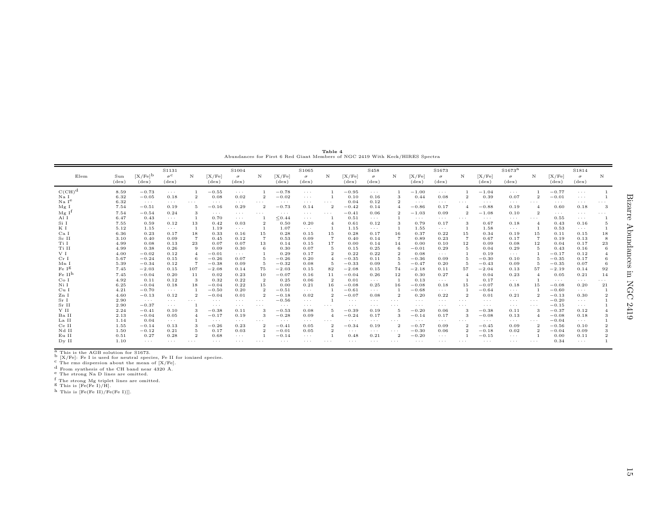<span id="page-14-0"></span>Table <sup>4</sup> Abundances for First <sup>6</sup> Red Giant Members of NGC <sup>2419</sup> With Keck/HIRES Spectra

|                    |                       |                                | S1131                              |                |                          | S1004                      |                         |                          | S1065                      |                |                          | S <sub>458</sub>           |                      |                          | S1673                      |                         |                          | S1673 <sup>a</sup>         |                         |                          | S1814                      |          |
|--------------------|-----------------------|--------------------------------|------------------------------------|----------------|--------------------------|----------------------------|-------------------------|--------------------------|----------------------------|----------------|--------------------------|----------------------------|----------------------|--------------------------|----------------------------|-------------------------|--------------------------|----------------------------|-------------------------|--------------------------|----------------------------|----------|
| Elem               | Sun<br>$(\text{dex})$ | $[X/Fe]^{b}$<br>$(\text{dex})$ | $\sigma^{\rm c}$<br>$(\text{dex})$ | N              | [X/Fe]<br>$(\text{dex})$ | $\sigma$<br>$(\text{dex})$ | N                       | [X/Fe]<br>$(\text{dex})$ | $\sigma$<br>$(\text{dex})$ | N              | [X/Fe]<br>$(\text{dex})$ | $\sigma$<br>$(\text{dex})$ | N                    | [X/Fe]<br>$(\text{dex})$ | $\sigma$<br>$(\text{dex})$ | N                       | [X/Fe]<br>$(\text{dex})$ | $\sigma$<br>$(\text{dex})$ | N                       | [X/Fe]<br>$(\text{dex})$ | $\sigma$<br>$(\text{dex})$ | N        |
| $C(CH)^d$          | 8.59                  | $-0.73$                        | $\cdots$                           |                | $-0.55$                  | $\sim$ $\sim$ $\sim$       |                         | $-0.78$                  | $\cdots$                   |                | $-0.95$                  | $\sim$ $\sim$ $\sim$       |                      | $-1.00$                  | $\sim$ $\sim$ $\sim$       |                         | $-1.04$                  | $\sim$ $\sim$ $\sim$       |                         | $-0.77$                  | $\cdots$                   |          |
| Na I               | 6.32                  | $-0.05$                        | 0.18                               | $\overline{2}$ | 0.08                     | 0.02                       |                         | $-0.02$                  | $\cdots$                   |                | 0.10                     | 0.16                       | 3                    | 0.44                     | 0.08                       | $\mathbf{2}$            | 0.39                     | 0.07                       | $\overline{2}$          | $-0.01$                  | $\sim$ $\sim$ $\sim$       |          |
| Na I <sup>e</sup>  | 6.32                  | $\sim$ $\sim$ $\sim$           | $\sim$ $\sim$ $\sim$               | $\cdots$       | $\sim$ $\sim$ $\sim$     | $\cdots$                   | $\cdots$                | $\cdots$                 | $\cdots$                   | $\ldots$ .     | 0.04                     | 0.12                       | $\overline{2}$       | $\cdots$                 | $\cdots$                   | $\cdots$                | $\sim$ $\sim$ $\sim$     | $\sim$ $\sim$ $\sim$       | $\cdots$                | $\sim$ $\sim$ $\sim$     | $\cdots$                   | $\cdots$ |
| Mg I               | 7.54                  | $-0.51$                        | 0.19                               | -5             | $-0.16$                  | 0.29                       | 2                       | $-0.73$                  | 0.14                       | $\overline{2}$ | $-0.42$                  | 0.14                       |                      | $-0.86$                  | 0.17                       | $\overline{A}$          | $-0.88$                  | 0.19                       | $\overline{4}$          | 0.60                     | 0.18                       | 3        |
| Mg I <sup>t</sup>  | 7.54                  | $-0.54$                        | 0.24                               | 3              | $\sim$ $\sim$ $\sim$     | $\sim$ $\sim$ $\sim$       | $\cdots$                | $\cdots$                 | $\cdots$                   | $\cdots$       | $-0.41$                  | 0.06                       | -2                   | $-1.03$                  | 0.09                       | $\mathbf{2}$            | $-1.08$                  | 0.10                       | $\overline{\mathbf{2}}$ | $\sim$ $\sim$ $\sim$     | $\sim$ $\sim$ $\sim$       | $\cdots$ |
| Al I               | 6.47                  | 0.43                           | $\cdots$                           |                | 0.70                     | $\sim$ $\sim$ $\sim$       |                         | < 0.44                   | $\cdots$                   |                | 0.51                     | $\sim$ $\sim$ $\sim$       |                      | $\cdots$                 | $\sim$ $\sim$ $\sim$       | $\sim$ $\sim$ $\sim$    | $\sim$ $\sim$ $\sim$     | $\sim$ $\sim$ $\sim$       | $\sim$ $\sim$ $\sim$    | 0.55                     | $\sim$ $\sim$ $\sim$       |          |
| Si I               | 7.55                  | 0.59                           | 0.12                               | 13             | 0.42                     | 0.03                       |                         | 0.50                     | 0.20                       |                | 0.61                     | 0.12                       | 3                    | 0.79                     | 0.17                       | -3                      | 0.67                     | 0.18                       | -4                      | 0.43                     | 0.16                       |          |
| ΚI                 | 5.12                  | 1.15                           | $\cdots$                           |                | 1.19                     | $\sim$ $\sim$ $\sim$       |                         | 1.07                     | $\cdots$                   |                | 1.15                     | $\sim$ $\sim$ $\sim$       |                      | 1.55                     | $\cdots$                   |                         | 1.58                     | $\sim$ $\sim$ $\sim$       |                         | 0.53                     | $\sim$ $\sim$ $\sim$       |          |
| Ca I               | 6.36                  | 0.23                           | 0.17                               | 18             | 0.33                     | 0.16                       | 15                      | 0.28                     | 0.15                       | 15             | 0.28                     | 0.17                       | 16                   | 0.37                     | 0.22                       | 15                      | 0.34                     | 0.19                       | 15                      | 0.11                     | 0.15                       | 18       |
| Sc II              | 3.10                  | 0.40                           | 0.09                               | $\overline{7}$ | 0.45                     | 0.12                       |                         | 0.53                     | 0.09                       | $\overline{7}$ | 0.40                     | 0.14                       | -7                   | 0.89                     | 0.23                       | $\overline{7}$          | 0.67                     | 0.17                       | $\overline{7}$          | 0.19                     | 0.13                       |          |
| Ti I               | 4.99                  | 0.08                           | 0.13                               | 23             | 0.07                     | 0.07                       | 13                      | 0.14                     | 0.15                       | 17             | 0.00                     | 0.14                       | 14                   | 0.00                     | 0.10                       | 12                      | 0.09                     | 0.08                       | 12                      | 0.04                     | 0.17                       | 23       |
| Ti II              | 4.99                  | 0.38                           | 0.26                               | -9             | 0.09                     | 0.30                       | 6                       | 0.30                     | 0.07                       | -5             | 0.15                     | 0.25                       | -6                   | $-0.01$                  | 0.29                       | -5                      | 0.04                     | 0.29                       | -5                      | 0.43                     | 0.16                       |          |
| V I                | 4.00                  | $-0.02$                        | 0.12                               | -4             | $-0.01$                  | $\cdots$                   |                         | 0.29                     | 0.17                       |                | 0.22                     | 0.22                       | $\overline{2}$       | 0.08                     | $\cdots$                   |                         | 0.19                     | $\sim$ $\sim$ $\sim$       |                         | $-0.17$                  | 0.12                       |          |
| Cr I               | 5.67                  | $-0.24$                        | 0.15                               | -6             | $-0.26$                  | 0.07                       |                         | $-0.26$                  | 0.20                       |                | $-0.35$                  | 0.11                       | 5                    | $-0.36$                  | 0.09                       |                         | $-0.30$                  | 0.10                       |                         | $-0.35$                  | 0.17                       |          |
| Mn I               | 5.39                  | $-0.34$                        | 0.12                               |                | $-0.38$                  | 0.09                       |                         | $-0.32$                  | 0.08                       |                | $-0.33$                  | 0.09                       | -5                   | $-0.47$                  | 0.20                       |                         | $-0.43$                  | 0.09                       |                         | $-0.35$                  | 0.07                       |          |
| Fe I <sup>g</sup>  | 7.45                  | $-2.03$                        | 0.15                               | 107            | $-2.08$                  | 0.14                       | 75                      | $-2.03$                  | 0.15                       | 82             | $-2.08$                  | 0.15                       | 74                   | $-2.18$                  | 0.11                       | 57                      | $-2.04$                  | 0.13                       | 57                      | $-2.19$                  | 0.14                       | 92       |
| Fe II <sup>h</sup> | 7.45                  | $-0.04$                        | 0.20                               | 11             | 0.02                     | 0.23                       | 10                      | $-0.07$                  | 0.16                       | 11             | $-0.04$                  | 0.26                       | 12                   | 0.30                     | 0.27                       | $\overline{4}$          | 0.04                     | 0.23                       | $\overline{4}$          | 0.05                     | 0.21                       | 14       |
| Co I               | 4.92                  | 0.11                           | 0.12                               | -3             | 0.32                     | 0.22                       | $\overline{2}$          | 0.25                     | 0.06                       | $\overline{2}$ | 0.01                     | $\sim$ $\sim$ $\sim$       |                      | 0.13                     | $\cdots$                   |                         | 0.17                     | $\sim$ $\sim$ $\sim$       |                         | $\cdots$                 | $\cdots$                   |          |
| Ni I               | 6.25                  | $-0.04$                        | 0.18                               | 18             | $-0.04$                  | 0.22                       | 15                      | 0.00                     | 0.21                       | 16             | $-0.08$                  | 0.25                       | 16                   | $-0.08$                  | 0.18                       | 15                      | $-0.07$                  | 0.18                       | 15                      | $-0.08$                  | 0.20                       | 21       |
| Cu I               | 4.21                  | $-0.70$                        | $\sim$ $\sim$ $\sim$               |                | $-0.50$                  | 0.20                       | $\Omega$                | $-0.51$                  | $\cdots$                   |                | $-0.61$                  | $\sim$ $\sim$ $\sim$       |                      | $-0.68$                  | $\cdots$                   |                         | $-0.64$                  | $\sim$ $\sim$ $\sim$       |                         | $-0.60$                  | $\sim$ $\sim$ $\sim$       |          |
| Zn I               | 4.60                  | $-0.13$                        | 0.12                               | $\overline{2}$ | $-0.04$                  | 0.01                       |                         | $-0.18$                  | 0.02                       |                | $-0.07$                  | 0.08                       | $\overline{2}$       | 0.20                     | 0.22                       | $\overline{2}$          | 0.01                     | 0.21                       | $\overline{2}$          | $-0.13$                  | 0.30                       |          |
| Sr I               | 2.90                  | $\sim$ $\sim$ $\sim$           | $\cdots$                           | $\cdots$       | $\cdots$                 | $\sim$ $\sim$ $\sim$       | $\cdots$                | $-0.56$                  | $\cdots$                   |                | $\sim$ $\sim$ $\sim$     | $\sim$ $\sim$ $\sim$       | $\cdots$             | $\cdots$                 | $\cdots$                   | $\cdots$                | $\sim$ $\sim$ $\sim$     | $\sim$ $\sim$ $\sim$       | $\cdots$                | $-0.20$                  | $\sim$ $\sim$ $\sim$       |          |
| Sr II              | 2.90                  | $-0.37$                        | $\cdots$                           |                | $\sim$ $\sim$ $\sim$     | $\sim$ $\sim$ $\sim$       | $\cdots$                | $\cdots$                 | $\cdots$                   | .              | $\cdots$                 | $\sim$ $\sim$ $\sim$       | $\cdots$             | $\sim$ $\sim$ $\sim$     | $\cdots$                   | $\cdots$                | $\sim$ $\sim$ $\sim$     | $\sim$ $\sim$ $\sim$       | $\cdots$                | $-0.15$                  | $\sim$ $\sim$ $\sim$       |          |
| Y II               | 2.24                  | $-0.41$                        | 0.10                               |                | $-0.38$                  | 0.11                       |                         | $-0.53$                  | 0.08                       |                | $-0.39$                  | 0.19                       | 5                    | $-0.20$                  | 0.06                       | 3                       | $-0.38$                  | 0.11                       | 3                       | $-0.37$                  | 0.12                       |          |
| Ba II              | 2.13                  | $-0.04$                        | 0.05                               | $\overline{4}$ | $-0.17$                  | 0.19                       | 3                       | $-0.28$                  | 0.09                       | $\overline{A}$ | $-0.24$                  | 0.17                       | -3                   | $-0.14$                  | 0.17                       | 3                       | $-0.08$                  | 0.13                       | $\overline{A}$          | $-0.08$                  | 0.18                       |          |
| La II              | 1.14                  | 0.04                           | $\sim$ $\sim$ $\sim$               |                | $\cdots$                 | $\sim$ $\sim$ $\sim$       | $\cdots$                | $\cdots$                 | $\cdots$                   | $\cdots$       | $\cdots$                 | $\sim$ $\sim$ $\sim$       | $\cdots$             | $\sim$ $\sim$ $\sim$     | $\cdots$                   | $\cdots$                | $\sim$ $\sim$ $\sim$     | $\sim$ $\sim$ $\sim$       | $\cdots$                | $-0.04$                  | $\sim$ $\sim$ $\sim$       |          |
| Ce II              | 1.55                  | $-0.14$                        | 0.13                               | -3             | $-0.26$                  | 0.23                       |                         | $-0.41$                  | 0.05                       |                | $-0.34$                  | 0.19                       | $\overline{2}$       | $-0.57$                  | 0.09                       | $\overline{\mathbf{2}}$ | $-0.45$                  | 0.09                       | $\overline{\mathbf{2}}$ | $-0.56$                  | 0.10                       |          |
| Nd II              | 1.50                  | $-0.12$                        | 0.21                               | -5             | 0.17                     | 0.03                       | 2                       | $-0.01$                  | 0.05                       |                | $\cdots$                 | $\sim$ $\sim$ $\sim$       | $\sim$ $\sim$ $\sim$ | $-0.30$                  | 0.06                       | $\overline{2}$          | $-0.18$                  | 0.02                       | $\boldsymbol{2}$        | $-0.04$                  | 0.09                       |          |
| Eu II              | 0.51                  | 0.27                           | 0.28                               | $\overline{2}$ | 0.68                     | $\sim$ $\sim$ $\sim$       |                         | $-0.14$                  | $\cdots$                   |                | 0.48                     | 0.21                       | $\overline{2}$       | $-0.20$                  | $\cdots$                   |                         | $-0.15$                  | $\sim$ $\sim$ $\sim$       |                         | 0.00                     | 0.11                       |          |
| Dy II              | 1.10                  | $\sim$ $\sim$ $\sim$           | $\cdots$                           | $\cdots$       | $\cdots$                 | $\cdots$                   | $\cdot$ $\cdot$ $\cdot$ | $\cdots$                 | $\cdots$                   | .              | $\cdots$                 | $\cdots$                   | $\cdots$             | $\cdots$                 | $\cdots$                   | $\cdots$                | $\cdots$                 | $\cdots$                   | $\cdots$                | 0.34                     | $\cdots$                   |          |

a This is the AGB solution for S1673. b [X/Fe]: Fe <sup>I</sup> is used for neutral species, Fe II for ionized species. c The rms dispersion about the mean of [X/Fe].

d From synthesis of the CH band near 4320 Å.<br>
f The strong Na D lines are omitted.<br>
f The strong Mg triplet lines are omitted.<br>  $\text{S}$  This is [Fe(Fe I)/H].

 $^{\rm h}$  This is [Fe(Fe II)/Fe(Fe I)]].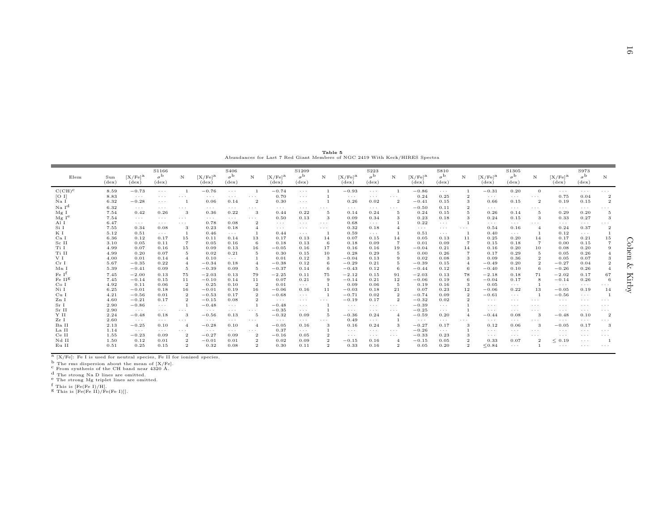<span id="page-15-0"></span>

|                    |                       |                                         |                                             |                      |                                         |                                                        |                |                                       |                                             | Table 5              |                                         |                                            |                      | Abundances for Last 7 Red Giant Members of NGC 2419 With Keck/HIRES Spectra |                                            |                |                                       |                                             |                      |                                       |                                            |                      |         |
|--------------------|-----------------------|-----------------------------------------|---------------------------------------------|----------------------|-----------------------------------------|--------------------------------------------------------|----------------|---------------------------------------|---------------------------------------------|----------------------|-----------------------------------------|--------------------------------------------|----------------------|-----------------------------------------------------------------------------|--------------------------------------------|----------------|---------------------------------------|---------------------------------------------|----------------------|---------------------------------------|--------------------------------------------|----------------------|---------|
| Elem               | Sun<br>$(\text{dex})$ | $[X/Fe]$ <sup>a</sup><br>$(\text{dex})$ | S1166<br>$\sigma^{\rm b}$<br>$(\text{dex})$ | N                    | $[X/Fe]$ <sup>a</sup><br>$(\text{dex})$ | S <sub>406</sub><br>$\sigma^{\rm b}$<br>$(\text{dex})$ | N              | [X/Fe] <sup>a</sup><br>$(\text{dex})$ | S1209<br>$\sigma^{\rm b}$<br>$(\text{dex})$ | N                    | $[X/Fe]$ <sup>a</sup><br>$(\text{dex})$ | S223<br>$\sigma^{\rm b}$<br>$(\text{dex})$ | N                    | [X/Fe] <sup>a</sup><br>$(\text{dex})$                                       | S810<br>$\sigma^{\rm b}$<br>$(\text{dex})$ | $_{\rm N}$     | [X/Fe] <sup>a</sup><br>$(\text{dex})$ | S1305<br>$\sigma^{\rm b}$<br>$(\text{dex})$ | $\mathbf N$          | [X/Fe] <sup>a</sup><br>$(\text{dex})$ | S973<br>$\sigma^{\rm b}$<br>$(\text{dex})$ | N                    |         |
| $C(CH)^c$          | 8.59                  | $-0.73$                                 | $\alpha$ , $\alpha$ , $\alpha$              |                      | $-0.76$                                 | $\alpha$ , $\alpha$ , $\alpha$                         | -1             | $-0.74$                               | $\sim$ $\sim$ $\sim$                        |                      | $-0.93$                                 | $\alpha$ , $\alpha$ , $\alpha$             | $\overline{1}$       | $-0.86$                                                                     | $\sim$ $\sim$ $\sim$                       |                | $-0.31$                               | 0.20                                        | $\overline{0}$       | $\sim$ $\sim$ $\sim$                  | $\cdots$                                   | $\sim$ $\sim$ $\sim$ |         |
| [O I]              | 8.83                  | $\cdots$                                | $\cdots$                                    | $\cdots$             | $\cdots$                                | $\cdots$                                               | $\cdots$       | 0.70                                  | $\ldots$ .                                  |                      | $\cdots$                                | $\cdots$                                   | $\ldots$ .           | 0.24                                                                        | 0.25                                       | $\overline{2}$ | $\cdots$                              | $\cdots$                                    | $\sim$ $\sim$ $\sim$ | 0.75                                  | 0.04                                       |                      |         |
| Na I               | 6.32                  | $-0.28$                                 | $\sim$ $\sim$ $\sim$                        |                      | 0.06                                    | 0.14                                                   | $\,2\,$        | 0.30                                  | $\sim$ $\sim$ $\sim$                        |                      | 0.26                                    | 0.02                                       | $\overline{2}$       | $-0.41$                                                                     | 0.15                                       | 3              | 0.66                                  | 0.15                                        | $\overline{2}$       | 0.19                                  | 0.15                                       | $\overline{2}$       |         |
| NaI <sup>d</sup>   | 6.32                  | $\sim$ $\sim$ $\sim$                    | $\cdots$                                    | $\cdots$             | $\cdots$                                | $\cdots$                                               | $\cdots$       | $\cdots$                              | $\sim$ $\sim$ $\sim$                        | $\cdots$             | $\cdots$                                | $\sim$ $\sim$ $\sim$                       | $\cdots$             | $-0.50$                                                                     | 0.11                                       | $\overline{2}$ | $\cdots$                              | $\cdots$                                    | $\sim$ $\sim$ $\sim$ | $\cdots$                              | $\cdots$                                   | .                    |         |
| Mg I               | 7.54                  | 0.42                                    | 0.26                                        | 3                    | 0.36                                    | 0.22                                                   | 3              | 0.44                                  | 0.22                                        | -5                   | 0.14                                    | 0.24                                       | 5                    | 0.24                                                                        | 0.15                                       | 5              | 0.26                                  | 0.14                                        | -5                   | 0.29                                  | 0.20                                       | 5                    |         |
| Mg I <sup>e</sup>  | 7.54                  | $\sim$ $\sim$ $\sim$                    | $\sim$ $\sim$ $\sim$                        | $\cdots$             | $\cdots$                                | $\cdots$                                               | $\cdots$       | 0.50                                  | 0.13                                        | 3                    | 0.09                                    | 0.34                                       | 3                    | 0.23                                                                        | 0.18                                       | 3              | 0.24                                  | 0.15                                        | 3                    | 0.33                                  | 0.27                                       | -3                   |         |
| Al I               | 6.47                  | $\cdots$                                | $\cdots$                                    | $\cdots$             | 0.78                                    | 0.08                                                   | $\,2\,$        | $\cdots$                              | $\sim$ $\sim$ $\sim$                        | $\sim$ $\sim$ $\sim$ | 0.68                                    | $\alpha$ , $\alpha$ , $\alpha$             | $\mathbf{1}$         | 0.22                                                                        | $\sim$ $\sim$ $\sim$                       | $\overline{1}$ | $\cdots$                              | $\cdots$                                    | $\cdots$             | $\cdots$                              | $\cdots$                                   | $\sim$ $\sim$ $\sim$ |         |
| Si I               | 7.55                  | 0.34                                    | 0.08                                        | 3                    | 0.23                                    | 0.18                                                   | $\overline{4}$ | $\cdots$                              | $\cdots$                                    | $\cdots$             | 0.32                                    | 0.18                                       | $\overline{4}$       | $\cdots$                                                                    | $\sim$ $\sim$ $\sim$                       | $\cdots$       | 0.54                                  | 0.16                                        | $\overline{4}$       | 0.24                                  | 0.37                                       | $\overline{2}$       |         |
| КI                 | 5.12                  | 0.51                                    | $\cdots$                                    |                      | 0.46                                    | $\alpha$ , $\alpha$ , $\alpha$                         | <sup>1</sup>   | 0.44                                  | $\sim$ $\sim$ $\sim$                        |                      | 0.59                                    | $\sim$ $\sim$ $\sim$                       | $\overline{1}$       | 0.51                                                                        | $\sim$ $\sim$ $\sim$                       |                | 0.40                                  | $\cdots$                                    | $\overline{1}$       | 0.12                                  | $\cdots$                                   |                      |         |
| Ca I               | 6.36                  | 0.12                                    | 0.17                                        | 15                   | 0.11                                    | 0.14                                                   | 13             | 0.17                                  | 0.13                                        | 14                   | 0.07                                    | 0.15                                       | 14                   | 0.05                                                                        | 0.13                                       | 11             | 0.25                                  | 0.20                                        | 14                   | 0.17                                  | 0.21                                       | $1\,5$               |         |
| Sc II              | 3.10                  | 0.05                                    | 0.11                                        |                      | 0.05                                    | 0.16                                                   | 6              | 0.18                                  | 0.13                                        | -6                   | 0.18                                    | 0.09                                       | $\overline{7}$       | 0.01                                                                        | 0.09                                       | $\overline{7}$ | 0.15                                  | 0.18                                        | -7                   | 0.00                                  | 0.15                                       | $\overline{7}$       | $\circ$ |
| Ti I               | 4.99                  | 0.07                                    | 0.16                                        | 15                   | 0.09                                    | 0.13                                                   | 16             | $-0.05$                               | 0.16                                        | 17                   | 0.16                                    | 0.16                                       | 19                   | $-0.04$                                                                     | 0.21                                       | 14             | 0.16                                  | 0.20                                        | 10                   | 0.08                                  | 0.20                                       | 9                    |         |
| Ti II              | 4.99                  | 0.20                                    | 0.07                                        | 5                    | 0.02                                    | 0.21                                                   | -5             | 0.30                                  | 0.15                                        | 10                   | 0.28                                    | 0.29                                       | -5                   | 0.00                                                                        | 0.26                                       | $\overline{7}$ | 0.17                                  | 0.29                                        | -5                   | 0.05                                  | 0.26                                       |                      | œ       |
| V I                | 4.00                  | 0.01                                    | 0.14                                        |                      | 0.10                                    | $\sim$ $\sim$ $\sim$                                   | -1             | 0.01                                  | 0.12                                        | 3                    | $-0.04$                                 | 0.13                                       | 9                    | 0.02                                                                        | 0.08                                       | 3              | 0.09                                  | 0.36                                        | $\overline{2}$       | 0.05                                  | 0.07                                       | 3                    |         |
| Cr I               | 5.67                  | $-0.35$                                 | 0.22                                        |                      | $-0.34$                                 | 0.18                                                   | $\overline{4}$ | $-0.38$                               | 0.12                                        | 6                    | $-0.29$                                 | 0.21                                       | 5                    | $-0.39$                                                                     | 0.15                                       | $\overline{4}$ | $-0.49$                               | 0.20                                        | $\,2\,$              | $-0.27$                               | 0.04                                       | $\boldsymbol{2}$     |         |
| Mn I               | 5.39                  | $-0.41$                                 | 0.09                                        | 5                    | $-0.39$                                 | 0.09                                                   | -5             | $-0.37$                               | 0.14                                        | 6                    | $-0.43$                                 | 0.12                                       | 6                    | $-0.44$                                                                     | 0.12                                       | 6              | $-0.40$                               | 0.10                                        | 6                    | $-0.26$                               | 0.26                                       | $\overline{4}$       | چ       |
| FeI <sup>1</sup>   | 7.45                  | $-2.00$                                 | 0.13                                        | 75                   | $-2.03$                                 | 0.13                                                   | 79             | $-2.25$                               | 0.11                                        | 75                   | $-2.12$                                 | 0.15                                       | 91                   | $-2.03$                                                                     | 0.13                                       | 78             | $-2.18$                               | 0.18                                        | 71                   | $-2.02$                               | 0.17                                       | 67                   |         |
| Fe II <sup>g</sup> | 7.45                  | $-0.14$                                 | 0.15                                        | 11                   | $-0.10$                                 | 0.14                                                   | $1\,1$         | 0.07                                  | 0.21                                        | 9                    | $-0.14$                                 | 0.21                                       | 12                   | $-0.06$                                                                     | 0.19                                       | 6              | $-0.04$                               | 0.17                                        | 8                    | $-0.14$                               | 0.26                                       | 6                    | Ki      |
| Co <sub>I</sub>    | 4.92                  | 0.11                                    | 0.06                                        | $\overline{2}$       | 0.25                                    | 0.10                                                   | $\overline{2}$ | 0.01                                  | $\sim$ $\sim$ $\sim$                        |                      | 0.09                                    | 0.06                                       | -5                   | 0.19                                                                        | 0.16                                       | 3              | 0.05                                  | $\sim$ $\sim$ $\sim$                        | $\overline{1}$       | $\sim$ $\sim$ $\sim$                  | $\cdots$                                   | .                    |         |
| Ni I               | 6.25                  | $-0.01$                                 | 0.18                                        | 16                   | $-0.01$                                 | 0.19                                                   | 16             | $-0.06$                               | 0.16                                        | 11                   | $-0.03$                                 | 0.18                                       | 21                   | 0.07                                                                        | 0.23                                       | 12             | $-0.06$                               | 0.22                                        | 13                   | $-0.05$                               | 0.19                                       | 14                   |         |
| Cu I               | 4.21                  | $-0.56$                                 | 0.01                                        | $\overline{2}$       | $-0.53$                                 | 0.17                                                   | $\overline{2}$ | $-0.68$                               | $\sim$ $\sim$ $\sim$                        |                      | $-0.71$                                 | 0.02                                       | $\overline{2}$       | $-0.74$                                                                     | 0.09                                       | $\overline{2}$ | $-0.61$                               | $\cdots$                                    |                      | $-0.56$                               | $\cdots$                                   |                      |         |
| Zn I               | 4.60                  | $-0.21$                                 | 0.17                                        | $\overline{2}$       | $-0.15$                                 | 0.08                                                   | $\overline{2}$ | $\cdots$                              | $\sim$ $\sim$ $\sim$                        | $\cdots$             | $-0.19$                                 | 0.17                                       | $\overline{2}$       | $-0.32$                                                                     | 0.02                                       | $\overline{2}$ | $\cdots$                              | $\cdots$                                    | $\cdots$             | $\cdots$                              | $\cdots$                                   | $\cdots$             |         |
| Sr I               | 2.90                  | $-0.86$                                 | $\cdots$                                    |                      | $-0.48$                                 | $\cdots$                                               | $\overline{1}$ | $-0.48$                               | $\sim$ $\sim$ $\sim$                        |                      | $\cdots$                                | $\sim$ $\sim$ $\sim$                       | $\ldots$ .           | $-0.39$                                                                     | $\sim$ $\sim$ $\sim$                       |                | $\cdots$                              | $\cdots$                                    | $\cdots$             | $\cdots$                              | $\cdot$ $\cdot$ $\cdot$                    | $\cdots$             |         |
| Sr II              | 2.90                  | $\sim$ $\sim$ $\sim$                    | $\cdots$                                    | $\cdots$             | $\cdots$                                | $\cdots$                                               | $\cdots$       | $-0.35$                               | $\sim$ $\sim$ $\sim$                        |                      | $\cdots$                                | $\cdots$                                   | $\cdots$             | $-0.25$                                                                     | $\cdots$                                   |                | $\cdots$                              | $\cdots$                                    | $\cdots$             | $\cdots$                              | $\cdots$                                   | $\cdots$             |         |
| Y II               | 2.24                  | $-0.48$                                 | 0.18                                        | 3                    | $-0.56$                                 | 0.13                                                   | -5             | $-0.32$                               | 0.09                                        | $\overline{5}$       | $-0.36$                                 | 0.24                                       | $\overline{4}$       | $-0.59$                                                                     | 0.20                                       | $\overline{4}$ | $-0.44$                               | 0.08                                        | -3                   | $-0.48$                               | 0.10                                       | $\overline{2}$       |         |
| Zr I               | 2.60                  | $\sim$ $\sim$ $\sim$                    | $\cdots$                                    | $\sim$ $\sim$ $\sim$ | $\cdots$                                | $\cdots$                                               | $\cdots$       | $\cdots$                              | $\sim$ $\sim$ $\sim$                        | $\cdots$             | 0.49                                    | $\sim$ $\sim$ $\sim$                       | $\overline{1}$       | $\cdots$ .                                                                  | $\sim$ $\sim$ $\sim$                       | $\cdots$       | $\cdots$                              | $\cdots$                                    | $\cdots$             | $\cdots$                              | $\cdots$                                   | $\sim$ $\sim$ $\sim$ |         |
| Ba II              | 2.13                  | $-0.25$                                 | 0.10                                        | $\overline{4}$       | $-0.28$                                 | 0.10                                                   | $\overline{4}$ | $-0.05$                               | 0.16                                        | 3                    | 0.16                                    | 0.24                                       | 3                    | $-0.27$                                                                     | 0.17                                       | 3              | 0.12                                  | 0.06                                        | -3                   | $-0.05$                               | 0.17                                       | -3                   |         |
| La II              | 1.14                  | $\sim$ $\sim$ $\sim$                    | $\cdots$                                    | $\sim$ $\sim$ $\sim$ | $\cdots$                                | $\cdots$                                               | $\cdots$       | 0.37                                  | $\sim$ $\sim$ $\sim$                        |                      | $\cdots$                                | $\sim$ $\sim$ $\sim$                       | $\sim$ $\sim$ $\sim$ | $-0.26$                                                                     | $\sim$ $\sim$ $\sim$                       |                | $\cdots$                              | $\sim$ $\sim$ $\sim$                        | $\sim$ $\sim$ $\sim$ | $\sim$ $\sim$ $\sim$                  | $\cdots$                                   | $\sim$ $\sim$ $\sim$ |         |
| Ce II              | 1.55                  | $-0.23$                                 | 0.09                                        | $\overline{2}$       | $-0.27$                                 | 0.09                                                   | $\overline{2}$ | $-0.16$                               | 0.05                                        | $\overline{2}$       | $\cdots$                                | $\sim$ $\sim$ $\sim$                       | $\cdots$             | $-0.33$                                                                     | 0.23                                       | 3              | $\cdots$                              | $\cdots$                                    | $\sim$ $\sim$ $\sim$ | $\cdots$                              | $\cdots$                                   | $\sim$ $\sim$ $\sim$ |         |
| Nd II              | 1.50                  | 0.12                                    | 0.01                                        | $\overline{2}$       | $-0.01$                                 | 0.01                                                   | $\overline{2}$ | 0.02                                  | 0.09                                        | $\overline{2}$       | $-0.15$                                 | 0.16                                       | $\overline{4}$       | $-0.15$                                                                     | 0.05                                       | $\overline{2}$ | 0.33                                  | 0.07                                        | $\overline{2}$       | $\leq 0.19$                           | $\cdots$                                   |                      |         |
| Eu II              | 0.51                  | 0.25                                    | 0.15                                        | $\overline{2}$       | 0.32                                    | 0.08                                                   | $\overline{2}$ | 0.30                                  | 0.11                                        | $\overline{2}$       | 0.33                                    | 0.16                                       | $\overline{2}$       | 0.05                                                                        | 0.20                                       | $\mathcal{D}$  | < 0.84                                | $\cdots$                                    |                      | $\sim$ $\sim$ $\sim$                  | $\cdots$                                   | $\sim$ $\sim$ $\sim$ |         |

<sup>a</sup> [X/Fe]: Fe I is used for neutral species, Fe II for ionized species.<br><sup>b</sup> The rms dispersion about the mean of [X/Fe].<br><sup>c</sup> From synthesis of the CH band near 4320 Å.<br><sup>d</sup> The strong Na D lines are omitted.<br><sup>e</sup> This is [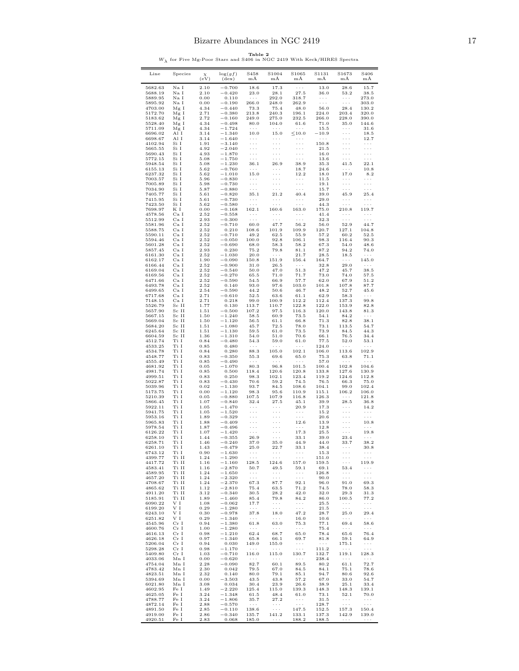|  |  |  |  | Table 2 |  |                                                                                   |  |
|--|--|--|--|---------|--|-----------------------------------------------------------------------------------|--|
|  |  |  |  |         |  | $W_{\lambda}$ for Five Mg-Poor Stars and S406 in NGC 2419 With Keck/HIRES Spectra |  |

<span id="page-16-0"></span>

| Line               | Species           | $\chi$<br>(eV) | $\log(gf)$<br>$(\text{dex})$ | S458<br>mÅ                                   | S1004<br>mÄ                                  | S1065<br>mÅ                                  | S1131<br>mÅ                     | S1673<br>mÅ                                  | S406<br>mÅ                                 |
|--------------------|-------------------|----------------|------------------------------|----------------------------------------------|----------------------------------------------|----------------------------------------------|---------------------------------|----------------------------------------------|--------------------------------------------|
| 5682.63            | Na I              | 2.10           | $-0.700$                     | 18.6                                         | 17.3                                         | $\sim$ $\sim$ $\sim$                         | 13.0                            | 28.6                                         | 15.7                                       |
| 5688.19<br>5889.95 | Na I<br>Na I      | 2.10<br>0.00   | $-0.420$<br>0.110            | 23.0<br>$\sim$ $\sim$ $\sim$                 | 28.1<br>292.0                                | 27.5<br>318.7                                | 36.0<br>$\ldots$ .              | 53.2<br>$\sim$ $\sim$ $\sim$                 | 38.5<br>273.0                              |
| 5895.92            | Na I              | 0.00           | $-0.190$                     | 266.0                                        | 248.0                                        | 262.9                                        | $\sim$ $\sim$ $\sim$            | $\ldots$ .                                   | 303.0                                      |
| 4703.00            | Mg I              | 4.34           | $-0.440$                     | 73.3                                         | 75.4                                         | 48.0                                         | 56.0                            | 28.4                                         | 130.2                                      |
| 5172.70<br>5183.62 | Mg I<br>Mg I      | 2.71<br>2.72   | $-0.380$<br>$-0.160$         | 213.8<br>249.0                               | 240.3<br>275.0                               | 196.1<br>232.5                               | 224.0<br>266.0                  | 203.4<br>228.0                               | 320.0<br>390.0                             |
| 5528.40            | Mg I              | 4.34           | $-0.498$                     | 80.0                                         | 104.0                                        | 61.6                                         | 71.0                            | 35.0                                         | 144.6                                      |
| 5711.09            | Mg I              | 4.34           | $-1.724$                     | $\sim$ $\sim$ $\sim$                         | $\sim$ $\sim$ $\sim$                         | $\sim$ $\sim$ $\sim$                         | 15.5                            | $\sim$ $\sim$ $\sim$                         | 31.6                                       |
| 6696.02<br>6698.67 | Al I<br>Al I      | 3.14<br>3.14   | $-1.340$<br>$-1.640$         | 10.0<br>$\cdots$                             | 15.0<br>$\ldots$ .                           | $\leq 10.0$<br>$\sim$ $\sim$ $\sim$          | $-10.9$<br>$\sim$ $\sim$ $\sim$ | $\sim$ $\sim$ $\sim$<br>$\ldots$ .           | 18.5<br>12.7                               |
| 4102.94            | Si I              | 1.91           | $-3.140$                     | $\ldots$ .                                   | $\epsilon \sim 1$                            | $\sim$ $\sim$                                | 150.8                           | $\sim$ $\sim$ $\sim$                         | $\ldots$ .                                 |
| 5665.55            | Si I              | 4.92           | $-2.040$                     | $\ldots$ .                                   | $\ldots$ .                                   | $\ldots$                                     | 21.5                            | $\sim$ $\sim$ $\sim$                         | $\ldots$ .                                 |
| 5690.43<br>5772.15 | Si I<br>Si I      | 4.93<br>5.08   | $-1.870$<br>$-1.750$         | $\ldots$ .<br>$\sim$ $\sim$ $\sim$           | .<br>$\sim$ $\sim$ $\sim$                    | $\ldots$<br>$\ldots$ .                       | 16.0<br>13.6                    | $\ldots$ .<br>$\sim$ $\sim$ $\sim$           | $\ldots$ .<br>$\cdots$                     |
| 5948.54            | Si I              | 5.08           | $-1.230$                     | 36.1                                         | 26.9                                         | 38.9                                         | 35.3                            | 41.5                                         | 22.1                                       |
| 6155.13            | Si I              | 5.62           | $-0.760$                     | $\ldots$ .                                   | $\ldots$ .                                   | 18.7                                         | 24.6                            | $\sim$ $\sim$ $\sim$                         | 10.8                                       |
| 6237.32<br>7003.57 | Si I<br>Si I      | 5.62<br>5.96   | $-1.010$<br>$-0.830$         | 15.0<br>$\cdots$                             | $\epsilon \sim \epsilon$<br>$\ldots$ .       | 12.2<br>$\ldots$ .                           | 18.0<br>11.5                    | 17.0<br>$\sim$ $\sim$ $\sim$                 | 8.2<br>$\cdots$                            |
| 7005.89            | Si I              | 5.98           | $-0.730$                     | $\epsilon \ll \epsilon$                      | $\ldots$ .                                   | $\sim$ $\sim$ $\sim$                         | 19.1                            | $\sim$ $\sim$ $\sim$                         | $\ldots$ .                                 |
| 7034.90<br>7405.77 | Si I<br>Si I      | 5.87<br>5.61   | $-0.880$<br>$-0.820$         | $\ldots$ .<br>35.1                           | $\ldots$ .<br>21.2                           | $\sim$ $\sim$ $\sim$<br>40.4                 | 15.7<br>39.0                    | $\sim$ $\sim$ $\sim$<br>45.9                 | $\ldots$ .<br>25.4                         |
| 7415.95            | Si I              | 5.61           | $-0.730$                     | $\cdots$                                     | $\cdots$                                     | $\cdots$                                     | 29.0                            | $\sim$ $\sim$ $\sim$                         | $\sim$ $\sim$ $\sim$                       |
| 7423.50            | Si I              | 5.62           | $-0.580$                     | $\sim$ $\sim$ $\sim$                         | $\ldots$ .                                   | $\sim$ $\sim$ $\sim$                         | 44.3                            | $\sim$ $\sim$ $\sim$                         | $\ldots$ .                                 |
| 7698.97<br>4578.56 | ΚI<br>Ca I        | 0.00<br>2.52   | $-0.168$<br>$-0.558$         | 162.1<br>$\cdots$                            | 160.6<br>$\cdots$                            | 163.0<br>$\sim$ $\sim$ $\sim$                | 175.0<br>41.4                   | 210.8<br>$\ldots$                            | 119.7<br>$\ldots$ .                        |
| 5512.99            | Ca I              | 2.93           | $-0.300$                     | $\ldots$ .                                   | $\ldots$ .                                   | $\sim$ $\sim$ $\sim$                         | 32.3                            | $\sim$ $\sim$ $\sim$                         | $\ldots$ .                                 |
| 5581.96            | Ca I              | 2.52           | $-0.710$                     | 60.0                                         | 47.7                                         | 56.2                                         | 56.0                            | 52.9                                         | 44.7                                       |
| 5588.75<br>5590.11 | Ca I<br>Ca I      | 2.52<br>2.52   | 0.210<br>$-0.710$            | 108.6<br>49.2                                | 101.9<br>62.5                                | 109.9<br>55.9                                | 120.7<br>57.2                   | 127.1<br>60.2                                | 104.8<br>52.5                              |
| 5594.46            | Ca I              | 2.52           | $-0.050$                     | 100.0                                        | 92.8                                         | 106.1                                        | 98.3                            | 116.4                                        | 90.3                                       |
| 5601.28            | Ca I              | 2.52           | $-0.690$                     | 68.0                                         | 58.3                                         | 58.2                                         | 67.3                            | 54.0                                         | 48.6                                       |
| 5857.45<br>6161.30 | Ca I<br>Ca I      | 2.93<br>2.52   | 0.230<br>$-1.030$            | 75.2<br>20.0                                 | 79.8<br>$\ldots$ .                           | 81.1<br>21.7                                 | 87.2<br>28.5                    | 94.2<br>18.5                                 | 74.0<br>$\ldots$ .                         |
| 6162.17            | Ca I              | 1.90           | $-0.090$                     | 150.8                                        | 151.9                                        | 156.4                                        | 164.7                           | $\sim$ $\sim$ $\sim$                         | 145.0                                      |
| 6166.44            | Ca I<br>Ca I      | 2.52<br>2.52   | $-0.900$<br>$-0.540$         | 31.0                                         | 26.5                                         | $\sim$ $\sim$ $\sim$<br>51.3                 | 32.8<br>47.2                    | $29.0\,$                                     | $\sim$ $\sim$ $\sim$                       |
| 6169.04<br>6169.56 | Ca I              | 2.52           | $-0.270$                     | 50.0<br>65.5                                 | 47.0<br>71.0                                 | 71.7                                         | 73.0                            | 45.7<br>74.0                                 | 38.5<br>57.5                               |
| 6471.66            | Ca I              | 2.52           | $-0.590$                     | 54.5                                         | 66.9                                         | 57.7                                         | 62.0                            | 67.9                                         | 51.2                                       |
| 6493.78<br>6499.65 | Ca I<br>Ca I      | 2.52<br>2.54   | 0.140<br>$-0.590$            | 93.0<br>44.2                                 | 97.6<br>50.6                                 | 103.0<br>46.7                                | 101.8<br>48.2                   | 107.8<br>52.7                                | 87.7<br>45.6                               |
| 6717.68            | Ca I              | 2.71           | $-0.610$                     | 52.5                                         | 63.6                                         | 61.1                                         | 62.9                            | 58.3                                         | $\ldots$ .                                 |
| 7148.15            | Ca I              | 2.71           | 0.218                        | 99.0                                         | 100.9                                        | 112.2                                        | 112.4                           | 137.3                                        | 99.8                                       |
| 5526.79<br>5657.90 | Sc II<br>Sc II    | 1.77<br>1.51   | 0.130<br>$-0.500$            | 113.7<br>107.2                               | 110.7<br>97.5                                | 122.8<br>116.3                               | 122.0<br>120.0                  | 153.9<br>143.8                               | 82.8<br>81.3                               |
| 5667.15            | Sc II             | 1.50           | $-1.240$                     | 58.5                                         | 60.9                                         | 73.5                                         | 54.1                            | 84.2                                         | $\ldots$ .                                 |
| 5669.04            | Sc II             | 1.50           | $-1.120$                     | 56.5                                         | 61.1                                         | 66.8                                         | 71.3                            | 82.8                                         | 38.1                                       |
| 5684.20<br>6245.64 | Sc II<br>Sc II    | 1.51<br>1.51   | $-1.080$<br>$-1.130$         | 45.7<br>59.5                                 | 72.5<br>61.0                                 | 78.0<br>73.5                                 | 73.1<br>73.9                    | 113.5<br>84.5                                | 54.7<br>44.3                               |
| 6604.59            | Sc II             | 1.36           | $-1.310$                     | 54.0                                         | 51.0                                         | 70.6                                         | 66.1                            | 76.5                                         | 34.4                                       |
| 4512.74            | Ti I              | 0.84           | $-0.480$                     | 54.3                                         | 59.0                                         | 61.0                                         | 77.5                            | 52.0                                         | 53.1                                       |
| 4533.25<br>4534.78 | Ti I<br>Ti I      | 0.85<br>0.84   | 0.480<br>0.280               | $\sim$ $\sim$ $\sim$<br>88.3                 | $\ldots$<br>105.0                            | $\sim$ $\sim$ $\sim$<br>102.1                | 124.0<br>106.0                  | $\alpha$ , $\alpha$ , $\alpha$<br>113.6      | $\cdots$<br>102.9                          |
| 4548.77            | Ti I              | 0.83           | $-0.350$                     | 55.3                                         | 69.6                                         | 65.0                                         | 75.3                            | 63.8                                         | 71.1                                       |
| 4555.49<br>4681.92 | Ti I<br>Ti I      | 0.85<br>0.05   | $-0.490$<br>$-1.070$         | $\sim$ $\sim$ $\sim$<br>80.3                 | $\sim$ $\sim$ $\sim$<br>96.8                 | $\sim$ $\sim$ $\sim$<br>101.5                | 57.0<br>100.4                   | $\sim$ $\sim$ $\sim$<br>102.8                | $\sim$ $\sim$ $\sim$<br>104.6              |
| 4981.74            | Ti I              | 0.85           | 0.500                        | 118.4                                        | 120.6                                        | 120.8                                        | 133.8                           | 127.6                                        | 130.9                                      |
| 4999.51            | Ti I              | 0.83           | 0.250                        | 98.3                                         | 102.1                                        | 123.4                                        | 119.2                           | 124.6                                        | 112.8                                      |
| 5022.87<br>5039.96 | Ti I<br>Ti I      | 0.83<br>0.02   | $-0.430$<br>$-1.130$         | 70.6<br>93.7                                 | 59.2<br>84.5                                 | 74.5<br>108.6                                | 76.5<br>104.1                   | 66.3<br>99.0                                 | 75.0<br>102.4                              |
| 5173.75            | Ti I              | 0.00           | $-1.120$                     | 98.3                                         | 95.6                                         | 110.9                                        | 115.1                           | 106.2                                        | 106.0                                      |
| 5210.39            | Ti I<br>Ti I      | 0.05           | $-0.880$                     | 107.5                                        | 107.9                                        | 116.8                                        | 126.3                           | $\sim$ $\sim$ $\sim$                         | 121.8<br>36.8                              |
| 5866.45<br>5922.11 | Ti I              | 1.07<br>1.05   | $-0.840$<br>$-1.470$         | 32.4<br>$\sim$ $\sim$ $\sim$                 | 27.5<br>$\sim$ $\sim$ $\sim$                 | 45.1<br>20.9                                 | 39.9<br>17.3                    | 28.5<br>$\sim$ $\sim$ $\sim$                 | 14.2                                       |
| 5941.75            | Ti I              | 1.05           | $-1.520$                     | $\epsilon \rightarrow \beta$                 | $\epsilon \rightarrow \infty$                | $\sim$ $\sim$ $\sim$                         | 15.2                            | $\sim$ $\sim$ $\sim$                         | $\cdots$                                   |
| 5953.16<br>5965.83 | Ti I<br>Ti I      | 1.89<br>1.88   | $-0.329$<br>$-0.409$         | $\sim$ $\sim$ $\sim$<br>$\cdots$             | $\ldots$<br>$\cdots$                         | $\sim$ $\sim$ $\sim$<br>12.6                 | 20.6<br>13.9                    | $\sim$ $\sim$ $\sim$<br>$\ldots$             | $\sim$ $\sim$ $\sim$<br>10.8               |
| 5978.54            | Ti I              | 1.87           | $-0.496$                     | $\ldots$ .                                   | $\cdots$                                     | $\sim$ $\sim$ $\sim$                         | 12.8                            | $\ldots$ .                                   | $\ldots$ .                                 |
| 6126.22            | Ti I              | 1.07           | $-1.420$                     | $\ldots$ .                                   | $\cdots$                                     | 17.3                                         | 25.5                            | $\sim$ $\sim$ $\sim$                         | 19.8                                       |
| 6258.10<br>6258.71 | Ti I<br>Ti I      | 1.44<br>1.46   | $-0.355$<br>$-0.240$         | 26.9<br>37.0                                 | $\cdots$<br>35.0                             | 33.1<br>44.9                                 | 39.0<br>44.0                    | 23.4<br>33.7                                 | $\sim$ $\sim$ $\sim$<br>38.2               |
| 6261.10            | TT 1              | 1.43           | $-0.479$                     | 25.U                                         | 22.7                                         | 33.1                                         | 38.4                            |                                              | 30. S                                      |
| 6743.12            | Ti I              | 0.90           | $-1.630$<br>$-1.290$         | $\sim$ $\sim$ $\sim$<br>$\sim$ $\sim$ $\sim$ | $\sim$ $\sim$ $\sim$<br>$\ldots$ .           | $\sim$ $\sim$ $\sim$<br>$\sim$ $\sim$ $\sim$ | 15.3                            | $\sim$ $\sim$ $\sim$<br>$\sim$ $\sim$ $\sim$ | $\sim$ $\sim$ $\sim$<br>$\ldots$ .         |
| 4399.77<br>4417.72 | Ti II<br>Ti II    | 1.24<br>1.16   | $-1.160$                     | 128.5                                        | 124.6                                        | 157.0                                        | 151.0<br>159.5                  | $\sim$ $\sim$ $\sim$                         | 119.9                                      |
| 4583.41            | Ti II             | 1.16           | $-2.870$                     | 50.7                                         | 49.5                                         | 59.1                                         | 69.1                            | 53.4                                         | $\sim$ $\sim$ $\sim$                       |
| 4589.95<br>4657.20 | Ti II<br>Ti II    | 1.24<br>1.24   | $\!-1.650\!$<br>$\!-2.320\!$ | $\sim$ $\sim$ $\sim$<br>$\sim$ $\sim$ $\sim$ | $\sim$ $\sim$ $\sim$<br>$\ldots$ .           | $\sim$ $\sim$ $\sim$<br>$\sim$ $\sim$ $\sim$ | 126.8<br>90.0                   | $\sim$ $\sim$ $\sim$<br>$\sim$ $\sim$ $\sim$ | $\ldots$ .<br>$\alpha \rightarrow -\alpha$ |
| 4708.67            | Ti II             | 1.24           | $-2.370$                     | 67.3                                         | 87.7                                         | 92.1                                         | 96.0                            | 91.0                                         | 69.3                                       |
| 4865.62            | Ti II             | 1.12           | $-\,2.810$                   | 75.4                                         | 63.5                                         | 71.2                                         | 74.5                            | 78.0                                         | 58.3                                       |
| 4911.20<br>5185.91 | Ti II<br>Ti II    | 3.12<br>1.89   | $\!-0.340\!$<br>$\!-1.460$   | 30.5<br>85.4                                 | 28.2<br>79.8                                 | 42.0<br>84.2                                 | 32.0<br>86.0                    | 29.3<br>100.5                                | 31.3<br>77.2                               |
| 6090.22            | V I               | 1.08           | $-0.062$                     | 17.7                                         | $\cdot$ $\cdot$ $\cdot$                      | $\sim$ $\sim$ $\sim$                         | 25.5                            | $\sim$ $\sim$ $\sim$                         | $\sim$ $\sim$ $\sim$                       |
| 6199.20            | $\rm{V}$ I        | 0.29           | $\!-1.280$                   | $\sim$ $\sim$                                | $\ldots$ .                                   | $\sim$ $\sim$ $\sim$                         | 21.5                            | $\sim$ $\sim$ $\sim$                         | $\ldots$ .                                 |
| 6243.10<br>6251.82 | $\rm{V}$ I<br>V I | 0.30<br>0.29   | $-0.978$<br>$\!-1.340$       | 37.8<br>$\sim$ $\sim$ $\sim$                 | 18.0<br>$\sim$ $\sim$ $\sim$                 | 47.2<br>16.0                                 | 28.7<br>10.6                    | 25.0<br>$\alpha \rightarrow -\infty$         | 29.4<br>$\sim$ $\sim$ $\sim$               |
| 4545.96            | Cr I              | 0.94           | $-1.380$                     | 61.8                                         | 63.0                                         | 75.3                                         | 77.1                            | 69.4                                         | 58.6                                       |
| 4600.76            | Cr I              | 1.00           | $\!-1.280$                   | $\sim$ $\sim$ $\sim$                         | $\ldots$ .                                   | $\sim$ $\sim$                                | 75.4                            | $\sim$ $\sim$ $\sim$                         | $\ldots$ .                                 |
| 4616.13<br>4626.18 | Cr I<br>Cr I      | 0.98<br>0.97   | $-\,1.210$<br>$-1.340$       | 62.4<br>65.8                                 | 68.7<br>66.1                                 | 65.0<br>69.7                                 | 78.4<br>81.8                    | 65.6<br>59.1                                 | 76.4<br>64.9                               |
| 5206.04            | Cr I              | 0.94           | 0.030                        | 149.0                                        | 155.0                                        | $\sim$ $\sim$ $\sim$                         | $\epsilon \rightarrow \infty$   | 175.1                                        | $\sim$ $\sim$ $\sim$                       |
| 5298.28<br>5409.80 | Cr I<br>Cr I      | 0.98<br>1.03   | $-1.170$<br>$-0.710$         | $\sim$ $\sim$ $\sim$<br>116.0                | $\sim$ $\sim$ $\sim$<br>115.0                | $\sim$ $\sim$ $\sim$<br>130.7                | 111.2<br>132.7                  | $\sim$ $\sim$ $\sim$                         | $\ldots$ .<br>119.1 128.3                  |
| 4033.06            | Mn I              | 0.00           | $-0.620$                     | $\sim$ $\sim$ $\sim$                         | $\ldots$ .                                   | $\sim$ $\sim$ $\sim$                         | 238.4                           | $\sim$ $\sim$ $\sim$                         | $\sim$ $\sim$ $\sim$                       |
| 4754.04            | Mn I              | 2.28           | $-0.090$                     | 82.7                                         | 60.1                                         | 89.5                                         | 80.2                            | 61.1                                         | 72.7                                       |
| 4783.42<br>4823.51 | Mn I<br>Mn I      | 2.30<br>2.32   | 0.042<br>0.140               | 79.5<br>80.0                                 | 67.0<br>79.1                                 | 84.5<br>85.1                                 | 84.1<br>94.7                    | 75.1<br>80.6                                 | 78.6<br>92.6                               |
| 5394.69            | Mn I              | 0.00           | $-3.503$                     | 43.5                                         | 43.8                                         | 57.2                                         | 67.0                            | 33.0                                         | 54.7                                       |
| 6021.80            | Mn I              | 3.08           | 0.034                        | 30.4                                         | 23.9                                         | 26.6                                         | 38.9                            | 25.1                                         | 33.4                                       |
| 4602.95<br>4625.05 | Fe I<br>Fe I      | 1.49<br>3.24   | $\!-2.220\!$<br>$\!-1.348$   | 125.4<br>61.5                                | 115.0<br>48.4                                | $\frac{20.0}{139.3}$<br>61.0                 | 148.3<br>73.1                   | 148.3<br>52.1                                | 139.1<br>70.0                              |
| 4788.77            | Fe I              | 3.24           | $\!-1.806$                   | 35.7                                         | 27.2                                         | $\sim$ $\sim$ $\sim$                         | 31.5                            | $\sim$ $\sim$ $\sim$                         | $\sim$ $\sim$ $\sim$                       |
| 4872.14<br>4891.50 | Fe I<br>Fe I      | 2.88<br>2.85   | $-0.570$<br>$-0.110$         | $\ldots$ .<br>138.6                          | $\sim$ $\sim$ $\sim$<br>$\sim$ $\sim$ $\sim$ | $\sim$ $\sim$ $\sim$<br>147.5                | 128.7<br>152.5                  | $\ldots$ .<br>157.3                          | $\ldots$ .<br>150.4                        |
| 4919.00            | Fe I              | 2.86           | $-0.340$                     | 135.7                                        | 141.2                                        | 133.1                                        | 137.3                           | 142.9                                        | 139.0                                      |
| 4920.51            | Fe I              | 2.83           | 0.068                        | 185.0                                        | $\sim$ $\sim$ $\sim$                         | 188.2                                        | 188.5                           | $\sim$ $\sim$ $\sim$                         | $\sim$ $\sim$ $\sim$                       |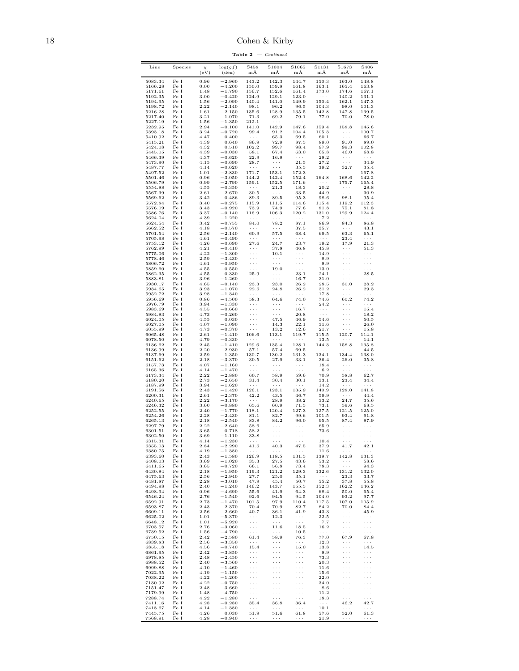18 Cohen & Kirby

| Line               | Species                   | $\chi$<br>(eV) | $\log(gf)$<br>$(\text{dex})$ | S458<br>$m\AA$                                                 | S1004<br>$m\AA$                              | S1065<br>$m\overline{A}$                              | S1131<br>$m\AA$               | S1673<br>$m\AA$                                                        | S406<br>mÅ                         |
|--------------------|---------------------------|----------------|------------------------------|----------------------------------------------------------------|----------------------------------------------|-------------------------------------------------------|-------------------------------|------------------------------------------------------------------------|------------------------------------|
| 5083.34            | Fe I                      | 0.96           | $-2.960$                     | 143.2                                                          | 142.3                                        | 144.7                                                 | 150.3                         | 163.0                                                                  | 148.8                              |
| 5166.28            | Fe I                      | 0.00           | $-4.200$                     | 150.0                                                          | 159.8                                        | 161.8                                                 | 163.1                         | 165.4                                                                  | 163.8                              |
| 5171.61<br>5192.35 | $\rm Fe\ I$<br>$\rm Fe~I$ | 1.48<br>3.00   | $-1.790$<br>$-0.420$         | 156.7<br>124.9                                                 | 152.6<br>129.1                               | 161.4<br>123.0                                        | 173.0<br>$\sim$ $\sim$ $\sim$ | 174.6<br>140.2                                                         | 167.1<br>131.1                     |
| 5194.95            | $\rm Fe\ I$               | 1.56           | $-2.090$                     | 140.4                                                          | 141.0                                        | 149.9                                                 | 150.4                         | 162.1                                                                  | 147.3                              |
| 5198.72<br>5216.28 | Fe I<br>$\rm Fe~I$        | 2.22<br>1.61   | $-2.140$<br>$-2.150$         | 98.1<br>$135.6\,$                                              | 96.2<br>128.9                                | 96.5<br>135.5                                         | 104.3<br>142.8                | 98.0<br>147.8                                                          | 101.3<br>139.5                     |
| 5217.40            | Fe I                      | 3.21           | $-1.070$                     | 71.3                                                           | 69.2                                         | 79.1                                                  | 77.0                          | 70.0                                                                   | 78.0                               |
| 5227.19            | Fe I                      | 1.56           | $-1.350$                     | 212.1                                                          | $\sim$ $\sim$ $\sim$                         | $\sim$ $\sim$ $\sim$                                  | $\ldots$ .                    | $\mathcal{L}^{\mathcal{A}}$ . The $\mathcal{L}^{\mathcal{A}}$<br>158.8 | $\sim$ $\sim$ $\sim$               |
| 5232.95<br>5393.18 | Fe I<br>Fe I              | 2.94<br>3.24   | $-0.100$<br>$-0.720$         | 141.0<br>99.4                                                  | 142.9<br>91.2                                | 147.6<br>104.4                                        | 159.4<br>105.3                | $\sim$ $\sim$ $\sim$                                                   | 145.6<br>100.7                     |
| 5410.92            | Fe I                      | 4.47           | 0.400                        | $\sim$ $\sim$ $\sim$                                           | 65.3                                         | 69.5                                                  | 60.1                          | $\sim$ $\sim$ $\sim$                                                   | 66.7                               |
| 5415.21<br>5424.08 | Fe I<br>Fe I              | 4.39<br>4.32   | 0.640<br>0.510               | 86.9<br>102.2                                                  | 72.9<br>99.7                                 | 87.5<br>98.4                                          | 89.0<br>97.9                  | 91.0<br>99.3                                                           | 89.0<br>102.8                      |
| 5445.05            | Fe I                      | 4.39           | $-0.030$                     | 58.1                                                           | 67.4                                         | 63.0                                                  | 65.8                          | 46.0                                                                   | 68.8                               |
| 5466.39            | Fe I                      | 4.37           | $-0.620$                     | 22.9                                                           | 16.8                                         | $\sim$ $\sim$ $\sim$<br>21.5                          | 28.2                          | $\sim$ $\sim$ $\sim$<br>$\sim$ $\sim$ $\sim$                           | $\sim$ $\sim$ $\sim$<br>34.9       |
| 5473.90<br>5487.77 | $\rm Fe\ I$<br>$\rm Fe~I$ | 4.15<br>4.14   | $-0.690$<br>$-0.620$         | 28.7<br>$\sim$ $\sim$ $\sim$                                   | $\sim$ $\sim$ $\sim$<br>$\sim$ $\sim$ $\sim$ | 35.5                                                  | 27.2<br>39.2                  | 32.7                                                                   | 35.4                               |
| 5497.52            | Fe I                      | 1.01           | $-2.830$                     | 171.7                                                          | 153.1                                        | 172.3                                                 | $\sim$ $\sim$ $\sim$          | $\sim$ $\sim$ $\sim$                                                   | 167.8                              |
| 5501.46<br>5506.79 | Fe I<br>Fe I              | 0.96<br>0.99   | $-3.050$<br>$-2.790$         | 144.2<br>159.1                                                 | 142.4<br>152.5                               | 152.4<br>171.6                                        | 164.8<br>$\sim$ $\sim$ $\sim$ | 168.6<br>175.7                                                         | 142.2<br>165.4                     |
| 5554.88            | Fe I                      | 4.55           | $-0.350$                     | $\sim$ $\sim$ $\sim$                                           | 21.3                                         | 18.3                                                  | 20.2                          | $\sim$ $\sim$ $\sim$                                                   | 28.8                               |
| 5567.39            | Fe I<br>Fe I              | 2.61           | $-2.670$                     | 30.5                                                           | $\sim$ $\sim$ $\sim$<br>89.5                 | 33.5                                                  | 44.9                          | $\sim$ $\sim$ $\sim$                                                   | 30.9                               |
| 5569.62<br>5572.84 | Fe I                      | 3.42<br>3.40   | $-0.486$<br>$-0.275$         | 89.3<br>115.9                                                  | 111.5                                        | 95.3<br>114.6                                         | 98.6<br>115.4                 | 98.1<br>119.2                                                          | 95.4<br>112.3                      |
| 5576.09            | Fe I                      | 3.43           | $-0.920$                     | 73.9                                                           | 74.9                                         | 77.6                                                  | 81.8                          | 75.1                                                                   | 81.8                               |
| 5586.76<br>5624.04 | Fe I<br>Fe I              | 3.37<br>4.39   | $-0.140$<br>$-1.220$         | 116.9<br>$\sim$ $\sim$ $\sim$                                  | 106.3<br>$\sim$ $\sim$ $\sim$                | 120.2<br>$\sim$ $\sim$ $\sim$                         | 131.0<br>7.2                  | 129.9<br>$\sim$ $\sim$ $\sim$                                          | 124.4<br>$\sim$ $\sim$ $\sim$      |
| 5624.54            | Fe I                      | 3.42           | $-0.755$                     | 84.0                                                           | 78.2                                         | 87.1                                                  | 86.9                          | 84.3                                                                   | 86.8                               |
| 5662.52<br>5701.54 | Fe I<br>Fe I              | 4.18<br>2.56   | $-0.570$<br>$-2.140$         | $\sim$ $\sim$ $\sim$<br>60.9                                   | $\sim$ $\sim$ $\sim$<br>57.5                 | 37.5<br>68.4                                          | 35.7<br>69.5                  | $\sim$ $\sim$ $\sim$<br>63.3                                           | 43.1<br>65.1                       |
| 5705.98            | Fe I                      | 4.61           | $-0.490$                     | $\sim$ $\sim$ $\sim$                                           | $\ldots$ .                                   | $\sim$ $\sim$ $\sim$                                  | $\ldots$ .                    | 23.4                                                                   | $\sim$ $\sim$ $\sim$               |
| 5753.12            | Fe I                      | 4.26           | $-0.690$                     | 27.6                                                           | 24.7                                         | 23.7                                                  | 19.2                          | 17.9                                                                   | 21.3                               |
| 5762.99<br>5775.06 | Fe I<br>Fe I              | 4.21<br>4.22   | $-0.410$<br>$-1.300$         | $\cdots$<br>$\cdots$                                           | 37.8<br>10.1                                 | 46.8<br>$\sim$ $\sim$ $\sim$                          | 45.8<br>14.9                  | $\sim$ $\sim$ $\sim$<br>$\ldots$ .                                     | 51.3<br>$\sim$ $\sim$ $\sim$       |
| 5778.46            | Fe I                      | 2.59           | $-3.430$                     | $\cdots$                                                       | $\epsilon \rightarrow \infty$                | $\Box$ .                                              | 8.9                           | $\epsilon \rightarrow \infty$                                          | $\ldots$ .                         |
| 5806.72<br>5859.60 | Fe I<br>Fe I              | 4.61<br>4.55   | $-0.950$<br>$-0.550$         | $\cdots$<br>$\ldots$ .                                         | $\cdots$<br>19.0                             | $\epsilon \rightarrow \infty$<br>$\sim$ $\sim$ $\sim$ | 8.9<br>13.0                   | $\epsilon \rightarrow \infty$<br>$\ldots$ .                            | $\cdots$<br>$\ldots$ .             |
| 5862.35            | Fe I                      | 4.55           | $-0.330$                     | 25.9                                                           | $\cdots$ .                                   | 23.1                                                  | 24.1                          | $\epsilon \rightarrow \infty$                                          | 28.5                               |
| 5883.81<br>5930.17 | Fe I<br>Fe I              | 3.96<br>4.65   | $-1.260$<br>$-0.140$         | $\sim$ $\sim$ $\sim$<br>23.3                                   | $\ldots$ .<br>23.0                           | 16.7<br>26.2                                          | 31.0<br>28.5                  | $\epsilon \sim \epsilon$<br>30.0                                       | $\sim$ $\sim$ $\sim$<br>28.2       |
| 5934.65            | Fe I                      | 3.93           | $-1.070$                     | 22.6                                                           | 24.8                                         | 26.2                                                  | 31.2                          | $\sim$ $\sim$ $\sim$                                                   | 29.3                               |
| 5952.72            | $\rm Fe\ I$               | 3.98           | $-1.340$                     | $\ldots$ .                                                     | $\ldots$ .                                   | $\sim$ $\sim$ $\sim$                                  | 17.8                          | $\epsilon \sim \epsilon$                                               | $\ldots$ .                         |
| 5956.69<br>5976.79 | Fe I<br>Fe I              | 0.86<br>3.94   | $-4.500$<br>$-1.330$         | 58.3<br>$\sim$ $\sim$ $\sim$                                   | 64.6<br>$\sim$ $\sim$ $\sim$                 | 74.0<br>$\sim$ $\sim$ $\sim$                          | 74.6<br>24.2                  | 60.2<br>$\sim$ $\sim$ $\sim$                                           | 74.2<br>$\ldots$ .                 |
| 5983.69            | Fe I                      | 4.55           | $-0.660$                     | $\epsilon \rightarrow \beta$                                   | $\epsilon \rightarrow \infty$                | 16.7                                                  | $\sim$ $\sim$ $\sim$          | $\epsilon \rightarrow \infty$                                          | 15.4                               |
| 5984.83<br>6024.05 | Fe I<br>Fe I              | 4.73<br>4.55   | $-0.260$<br>0.030            | $\epsilon \rightarrow \infty$<br>$\epsilon \rightarrow \infty$ | $\sim$ $\sim$ $\sim$<br>47.5                 | 20.8<br>46.9                                          | $\ldots$<br>54.6              | $\epsilon \rightarrow \infty$<br>$\ldots$ .                            | 18.2<br>50.5                       |
| 6027.05            | Fe I                      | 4.07           | $-1.090$                     | $\sim$ $\sim$ $\sim$                                           | 14.3                                         | 22.1                                                  | 31.6                          | $\epsilon \rightarrow \infty$                                          | 26.0                               |
| 6055.99<br>6065.48 | Fe I<br>Fe I              | 4.73<br>2.61   | $-0.370$<br>$-1.410$         | $\sim$ $\sim$ $\sim$<br>106.6                                  | 13.2<br>113.1                                | 12.6<br>119.7                                         | 21.7<br>115.5                 | $\sim$ $\sim$ $\sim$<br>120.7                                          | 15.8<br>114.1                      |
| 6078.50            | Fe I                      | 4.79           | $-0.330$                     | $\sim$ $\sim$ $\sim$                                           | $\ldots$ .                                   | $\sim$ $\sim$ $\sim$                                  | 13.5                          | $\sim$ $\sim$ $\sim$                                                   | 14.1                               |
| 6136.62            | Fe I                      | 2.45           | $-1.410$                     | 129.6                                                          | 135.4                                        | 128.1                                                 | 144.3                         | 158.8                                                                  | 135.8                              |
| 6136.99<br>6137.69 | Fe I<br>Fe I              | 2.20<br>2.59   | $-2.930$<br>$-1.350$         | 57.1<br>130.7                                                  | 57.4<br>130.2                                | 69.5<br>131.3                                         | $\ldots$ .<br>134.1           | $\sim$ $\sim$ $\sim$<br>134.4                                          | 44.5<br>138.0                      |
| 6151.62            | Fe I                      | 2.18           | $-3.370$                     | 30.5                                                           | 27.9                                         | 33.1                                                  | 36.4                          | 26.0                                                                   | 35.8                               |
| 6157.73<br>6165.36 | Fe I<br>Fe I              | 4.07<br>4.14   | $-1.160$<br>$-1.470$         | $\sim$ $\sim$ $\sim$<br>$\sim$ $\sim$ $\sim$                   | $\cdot$<br>$\ldots$ .                        | $\sim$ $\sim$ $\sim$<br>$\sim$ $\sim$ $\sim$          | 18.4<br>6.2                   | $\sim$ $\sim$ $\sim$<br>$\sim$ $\sim$ $\sim$                           | $\sim$ $\sim$ $\sim$<br>$\ldots$ . |
| 6173.34            | Fe I                      | 2.22           | $-2.880$                     | 60.7                                                           | 58.9                                         | 59.6                                                  | 70.9                          | 58.8                                                                   | 62.7                               |
| 6180.20<br>6187.99 | Fe I<br>Fe I              | 2.73<br>3.94   | $-2.650$<br>$-1.620$         | 31.4<br>$\sim$ $\sim$ $\sim$                                   | 30.4<br>$\sim$ $\sim$ $\sim$                 | 30.1<br>$\sim$ $\sim$ $\sim$                          | 33.1<br>14.2                  | 23.4<br>$\sim$ $\sim$ $\sim$                                           | 34.4<br>$\sim$ $\sim$ $\sim$       |
| 6191.56            | Fe I                      | 2.43           | $-1.420$                     | 126.1                                                          | 123.1                                        | 135.9                                                 | 140.9                         | 128.0                                                                  | 141.8                              |
| 6200.31            | Fe I<br>$\rm Fe\ I$       | 2.61           | $-2.370$                     | 42.2<br>$\sim$ $\sim$ $\sim$                                   | 43.5                                         | 46.7                                                  | 59.9                          | $\sim$ $\sim$ $\sim$                                                   | 44.4                               |
| 6240.65<br>6246.32 | $\rm Fe\ I$               | 2.22<br>3.60   | $-3.170$<br>$-0.880$         | 65.6                                                           | 28.9<br>60.9                                 | 38.2<br>71.5                                          | 33.2<br>73.1                  | 24.7<br>59.6                                                           | 35.6<br>68.5                       |
| 6252.55            | Fe I                      | 2.40           | $-1.770$                     | 118.1                                                          | 120.4                                        | 127.3                                                 | 127.5                         | 121.5                                                                  | 125.0                              |
| 6254.26<br>6265.13 | Fe I<br>Fe I              | 2.28<br>2.18   | $-2.430$<br>$-2.540$         | 81.1<br>83.8                                                   | 82.7<br>84.2                                 | 99.6<br>96.0                                          | 101.5<br>95.5                 | 93.4<br>87.4                                                           | 91.8<br>87.9                       |
| 6297.79            | Fe I                      | 2.22           | $-2.640$                     | 58.6                                                           | $\sim$ $\sim$ $\sim$                         | $\sim$ $\sim$ $\sim$                                  | 65.9                          | $\sim$ $\sim$ $\sim$                                                   | $\sim$ $\sim$ $\sim$               |
| 6301.51<br>6302.50 | Fe I<br>Fe I              | 3.65<br>3.69   | $-0.718$<br>$-1.110$         | 58.2<br>33.8                                                   | $\cdots$                                     | $\cdots$<br>.                                         | 73.6<br>.                     | $\epsilon \rightarrow \infty$                                          | $\cdots$                           |
| 6315.31            | Fe I                      | 4.14           | $-1.230$                     | $\sim$ $\sim$ $\sim$                                           | $\sim$ $\sim$ $\sim$                         | $\sim$ $\sim$ $\sim$                                  | 10.4                          | <b>Service</b>                                                         | $\sim$ $\sim$ $\sim$               |
| 6355.03<br>6380.75 | Fe I<br>Fe I              | 2.84<br>4.19   | $-2.290$<br>$-1.380$         | 41.6<br>$\sim$ $\sim$ $\sim$                                   | 40.3<br>$\ldots$ .                           | 47.5<br>$\sim$ $\sim$ $\sim$                          | 37.9                          | 41.7<br><b>Service</b>                                                 | 42.1<br>$\sim$ $\sim$ $\sim$       |
| 6393.60            | Fe I                      | 2.43           | $-1.580$                     | 126.9                                                          | 118.5                                        | 131.5                                                 | 11.6<br>139.7                 | 142.8                                                                  | 131.3                              |
| 6408.03            | Fe I                      | 3.69           | $-1.020$                     | 35.3                                                           | 27.5                                         | 43.6                                                  | 53.2                          | $\sim$ $\sim$ $\sim$<br>$\sim$ $\sim$ $\sim$                           | 58.6                               |
| 6411.65<br>6430.84 | Fe I<br>Fe I              | 3.65<br>2.18   | $-0.720$<br>$-1.950$         | 66.1<br>119.3                                                  | 56.8<br>121.2                                | 73.4<br>129.3                                         | 78.3<br>132.6                 | 131.2                                                                  | 94.3<br>132.0                      |
| 6475.63            | Fe I                      | 2.56           | $-2.940$                     | 27.7                                                           | 25.0                                         | 35.1                                                  | $\sim$ $\sim$ $\sim$          | 23.3                                                                   | 33.7                               |
| 6481.87<br>6494.98 | Fe I<br>Fe I              | 2.28<br>2.40   | $-3.010$<br>$-1.240$         | 47.9<br>146.2                                                  | 45.4<br>143.7                                | 50.7<br>155.5                                         | $55.2\,$<br>152.3             | 37.8<br>162.2                                                          | 55.8<br>146.2                      |
| 6498.94            | Fe I                      | 0.96           | $-4.690$                     | 55.6                                                           | 41.9                                         | 64.3                                                  | 68.4                          | 50.0                                                                   | 65.4                               |
| 6546.24<br>6592.91 | Fe I<br>Fe I              | 2.76<br>2.73   | $-1.540$<br>$-1.470$         | 92.6<br>101.5                                                  | 94.5<br>97.9                                 | 94.5<br>110.4                                         | 104.0<br>117.5                | 93.2<br>107.0                                                          | 97.7<br>105.9                      |
| 6593.87            | Fe I                      | 2.43           | $-2.370$                     | 70.4                                                           | 70.9                                         | 82.7                                                  | 84.2                          | 70.0                                                                   | 84.4                               |
| 6609.11<br>6625.02 | Fe I                      | 2.56           | $-2.660$<br>$-5.370$         | 40.7<br>$\sim$ $\sim$ $\sim$                                   | 36.1                                         | 41.9<br>$\sim$ $\sim$ $\sim$                          | 43.3                          | $\sim$ $\sim$ $\sim$<br>$\sim$ $\sim$ $\sim$                           | 45.9<br>$\sim$ $\sim$ $\sim$       |
| 6648.12            | Fe I<br>Fe I              | 1.01<br>1.01   | $-5.920$                     | $\sim$ $\sim$ $\sim$                                           | 12.3<br>$\sim$ $\sim$ $\sim$                 | $\sim$ $\sim$ $\sim$                                  | 22.5<br>7.7                   | $\sim$ $\sim$ $\sim$                                                   | $\ldots$                           |
| 6703.57            | Fe I                      | 2.76           | $-3.060$                     | $\sim$ $\sim$ $\sim$                                           | 11.6                                         | 18.5                                                  | 16.2                          | $\sim$ $\sim$ $\sim$                                                   | $\ldots$ .                         |
| 6739.52<br>6750.15 | Fe I<br>Fe I              | 1.56<br>2.42   | $-4.790$<br>$-2.580$         | $\sim$ $\sim$ $\sim$<br>61.4                                   | $\sim$ $\sim$ $\sim$<br>58.9                 | 10.5<br>76.3                                          | $\sim$ $\sim$ $\sim$<br>77.0  | $\sim$ $\sim$ $\sim$<br>67.9                                           | $\sim$ $\sim$ $\sim$<br>67.8       |
| 6839.83            | Fe I                      | 2.56           | $-3.350$                     | $\sim$ $\sim$ $\sim$                                           | $\sim$ $\sim$ $\sim$                         | $\sim$ $\sim$ $\sim$                                  | 12.3                          | $\sim$ $\sim$ $\sim$                                                   | $\sim$ $\sim$ $\sim$               |
| 6855.18<br>6861.95 | Fe I<br>Fe I              | 4.56<br>2.42   | $-0.740$<br>$-3.850$         | 15.4<br>$\sim$ $\sim$ $\sim$                                   | $\sim$ $\sim$ $\sim$<br>$\sim$ $\sim$ $\sim$ | 15.0<br>$\sim$ $\sim$ $\sim$                          | 13.8<br>8.9                   | $\epsilon \sim \epsilon$<br>$\sim$ $\sim$ $\sim$                       | 14.5<br>$\ldots$ .                 |
| 6978.85            | Fe I                      | 2.48           | $-2.450$                     | $\ldots$ .                                                     | $\sim$ $\sim$ $\sim$                         | $\sim$ $\sim$ $\sim$                                  | 73.3                          | $\sim$ $\sim$ $\sim$                                                   | $\ldots$ .                         |
| 6988.52<br>6999.88 | Fe I<br>Fe I              | 2.40<br>4.10   | $-3.560$<br>$-1.460$         | $\ldots$ .<br>$\sim$ $\sim$ $\sim$                             | $\sim$ $\sim$ $\sim$<br>$\ldots$ .           | $\sim$ $\sim$ $\sim$<br>$\sim$ $\sim$ $\sim$          | 20.3<br>11.6                  | $\sim$ $\sim$ $\sim$<br>$\sim$ $\sim$ $\sim$                           | $\ldots$ .<br>$\ldots$ .           |
| 7022.95            | Fe I                      | 4.19           | $-1.150$                     | $\ldots$ .                                                     | $\ldots$ .                                   | $\sim$ $\sim$ $\sim$                                  | 15.6                          | $\sim$ $\sim$ $\sim$                                                   | $\ldots$ .                         |
| 7038.22<br>7130.92 | Fe I<br>Fe I              | 4.22<br>4.22   | $-1.200$<br>$-0.750$         | $\ldots$ .<br>$\epsilon \sim \epsilon$                         | $\sim$ $\sim$ $\sim$<br>$\sim$ $\sim$ $\sim$ | $\ldots$ .<br>$\sim$ $\sim$ $\sim$                    | 22.0<br>34.0                  | $\ldots$ .<br>$\ldots$ .                                               | $\ldots$ .<br>$\ldots$             |
| 7151.47            | Fe I                      | 2.48           | $-3.660$                     | $\ldots$ .                                                     | $\sim$ $\sim$ $\sim$                         | $\ldots$ .                                            | 8.6                           | $\ldots$ .                                                             | $\ldots$ .                         |
| 7179.99            | Fe I                      | 1.48           | $-4.750$                     | $\ldots$ .                                                     | $\sim$ $\sim$ $\sim$<br>$\sim$ $\sim$ $\sim$ | $\ldots$ .                                            | 11.2                          | $\sim$ $\sim$ $\sim$                                                   | $\ldots$ .<br>$\cdots$             |
| 7288.74<br>7411.16 | Fe I<br>Fe I              | 4.22<br>4.28   | $-1.280$<br>$-0.280$         | $\ldots$ .<br>35.4                                             | 36.8                                         | $\sim$ $\sim$ $\sim$<br>36.4                          | 18.3<br>$\sim$ $\sim$ $\sim$  | $\sim$ $\sim$ $\sim$<br>46.2                                           | 42.7                               |
| 7418.67            | Fe I                      | 4.14           | $-1.380$                     | $\ldots$ .                                                     | $\sim$ $\sim$ $\sim$                         | $\sim$ $\sim$ $\sim$                                  | 10.1                          | $\sim$ $\sim$ $\sim$                                                   | $\sim$ $\sim$ $\sim$               |
| 7445.75<br>7568.91 | Fe I<br>Fe I              | 4.26<br>4.28   | 0.030<br>$-0.940$            | 51.9<br>$\cdots$                                               | 51.6<br>$\cdots$                             | 61.8<br>$\cdots$                                      | 57.6<br>21.9                  | 52.0<br>$\sim$ $\sim$ $\sim$                                           | 61.3<br>$\sim$ $\sim$ $\sim$       |

Table  $2$  – Continued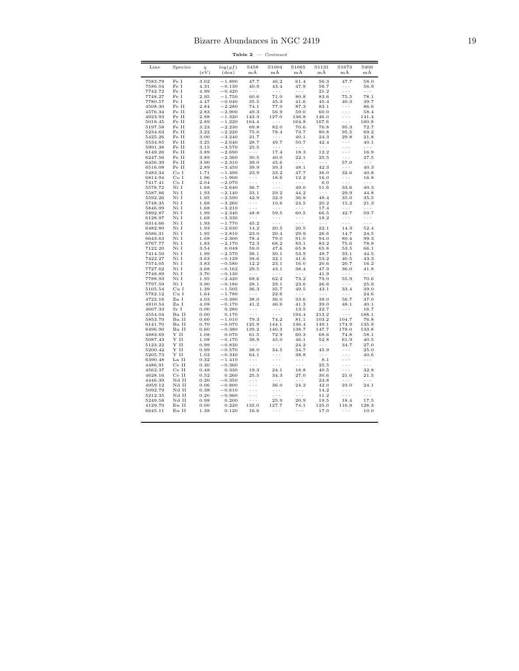| 3.02<br>47.7<br>46.2<br>56.3<br>47.7<br>7583.79<br>Fe I<br>$-1.890$<br>61.4<br>Fe I<br>4.31<br>$-0.130$<br>40.9<br>43.4<br>47.9<br>56.7<br>7586.04<br>$\cdots$<br>Fe I<br>7742.72<br>4.99<br>$-0.420$<br>$\cdots$<br>$\ldots$<br>$\ldots$<br>21.2<br>$\ldots$ .<br>7748.27<br>Fe I<br>2.95<br>$-1.750$<br>60.6<br>71.0<br>80.8<br>83.6<br>75.5<br>7780.57<br>Fe I<br>4.47<br>$-0.040$<br>35.5<br>45.3<br>41.6<br>45.4<br>40.3<br>4508.30<br>Fe II<br>2.84<br>$-2.280$<br>77.0<br>87.3<br>83.1<br>74.1<br>$\ldots$<br>$-2.900$<br>$\sim$ $\sim$ $\sim$<br>4576.34<br>Fe II<br>2.83<br>49.3<br>56.9<br>59.0<br>60.0<br>Fe II<br>$-1.320$<br>4923.93<br>2.88<br>143.3<br>127.0<br>136.8<br>146.0<br>$\cdots$<br>141.4<br>5018.45<br>Fe II<br>2.89<br>$-1.220$<br>164.4<br>$\ldots$ .<br>164.8<br>167.6<br>160.8<br>$\sim$ $\sim$ $\sim$<br>5197.58<br>Fe II<br>3.23<br>$-2.230$<br>69.8<br>82.0<br>70.6<br>76.8<br>95.3<br>72.7<br>5234.63<br>Fe II<br>3.22<br>$-2.220$<br>75.0<br>78.4<br>73.7<br>80.8<br>95.5<br>69.2<br>Fe II<br>3.00<br>$-3.240$<br>24.3<br>5425.26<br>21.7<br>$\ldots$<br>40.1<br>29.8<br>5534.85<br>Fe II<br>3.25<br>$-2.640$<br>28.7<br>49.7<br>50.7<br>42.4<br>$\ldots$<br>$-3.570$<br>5991.38<br>Fe II<br>3.15<br>25.5<br>$\ldots$<br>$\sim$ $\sim$ $\sim$<br>.<br>$\cdots$<br>12.2<br>6149.26<br>Fe II<br>3.89<br>$-2.690$<br>17.4<br>18.3<br>$\cdots$<br>$\cdots$<br>6247.56<br>Fe II<br>3.89<br>$-2.360$<br>40.0<br>22.1<br>25.5<br>30.5<br>.<br>6456.39<br>Fe II<br>3.90<br>$-2.310$<br>39.0<br>45.6<br>57.0<br>.<br>$\sim$ $\sim$ $\sim$<br>Fe II<br>6516.08<br>2.89<br>$-3.450$<br>39.9<br>39.3<br>48.1<br>42.3<br>$\sim$ $\sim$ $\sim$<br>1.71<br>$-1.490$<br>23.9<br>33.2<br>5483.34<br>Co <sub>I</sub><br>47.7<br>36.0<br>32.6<br>Co I<br>$-1.900$<br>12.2<br>6814.94<br>1.96<br>18.6<br>16.0<br>$\sim$ $\sim$ $\sim$<br>$\cdots$<br>7417.41<br>Co I<br>2.04<br>$-2.070$<br>$\sim$ $\sim$ $\sim$<br>$\sim$ $\sim$ $\sim$<br>$\sim$ $\sim$ $\sim$<br>6.0<br>$\sim$ $\sim$ $\sim$<br>Ni I<br>$-2.640$<br>51.6<br>5578.72<br>1.68<br>36.7<br>$\sim$ $\sim$ $\sim$<br>49.0<br>33.6<br>5587.86<br>$-2.140$<br>29.2<br>44.2<br>Ni I<br>1.93<br>33.1<br>$\cdots$<br>29.9<br>$-2.590$<br>48.4<br>5592.26<br>Ni I<br>1.95<br>42.9<br>32.0<br>36.9<br>35.0<br>5748.35<br>Ni I<br>1.68<br>$-3.260$<br>$\ldots$ .<br>10.6<br>24.5<br>20.2<br>15.2<br>1.68<br>$-3.210$<br>5846.99<br>Ni I<br>$\ldots$ .<br>$\ldots$ .<br>$\ldots$ .<br>17.4<br>$\ldots$ .<br>$\ldots$ .<br>5892.87<br>Ni I<br>1.99<br>$-2.340$<br>48.8<br>59.5<br>60.5<br>66.5<br>42.7<br>59.7<br>Ni I<br>1.68<br>$-3.330$<br>18.2<br>6128.97<br>$\sim$ $\sim$ $\sim$<br>$\cdots$<br>$\sim$ $\sim$ $\sim$<br>$\sim$ $\sim$ $\sim$<br>$\cdots$<br>$-1.770$<br>6314.66<br>Ni I<br>1.93<br>45.2<br>$\cdots$<br>$\cdots$<br>$\ldots$ .<br>$\ldots$<br>$\ldots$ .<br>$-2.630$<br>6482.80<br>Ni I<br>1.93<br>14.2<br>20.5<br>20.5<br>22.1<br>14.3<br>52.4<br>6586.31<br>Ni I<br>1.95<br>$-2.810$<br>23.0<br>20.4<br>29.9<br>26.6<br>24.5<br>14.7<br>6643.63<br>Ni I<br>1.68<br>$-2.300$<br>78.4<br>79.0<br>91.0<br>94.0<br>80.4<br>99.3<br>6767.77<br>Ni I<br>$-2.170$<br>68.2<br>1.83<br>72.3<br>83.1<br>83.2<br>75.6<br>78.9<br>47.6<br>7122.20<br>Ni I<br>3.54<br>0.048<br>59.0<br>65.8<br>65.8<br>53.5<br>7414.50<br>Ni I<br>1.99<br>$-2.570$<br>36.1<br>30.1<br>53.9<br>48.7<br>33.1<br>7422.27<br>Ni I<br>3.63<br>$-0.129$<br>38.6<br>32.1<br>41.6<br>53.2<br>40.5<br>7574.05<br>Ni I<br>3.83<br>$-0.580$<br>12.2<br>23.1<br>16.0<br>20.6<br>20.7<br>7727.62<br>Ni I<br>$-0.162$<br>29.5<br>43.1<br>38.4<br>47.9<br>36.0<br>3.68<br>7748.89<br>Ni I<br>3.70<br>$-0.130$<br>41.9<br>$\sim$ $\sim$ $\sim$<br>$\cdots$<br>.<br>$\sim$ $\sim$ $\sim$<br>62.2<br>79.0<br>7788.93<br>Ni I<br>1.95<br>$-2.420$<br>68.6<br>73.2<br>55.9<br>7797.59<br>$-0.180$<br>Ni I<br>3.90<br>28.1<br>29.1<br>23.6<br>26.6<br>$\cdots$<br>5105.54<br>Cu I<br>1.39<br>$-1.505$<br>36.3<br>35.7<br>49.5<br>43.1<br>33.4<br>$-1.780$<br>5782.12<br>Cu I<br>1.64<br>$\sim$ $\sim$ $\sim$<br>22.6<br>$\sim$ $\sim$ $\sim$<br>$\sim$ $\sim$ $\sim$<br>$\sim$ $\sim$ $\sim$<br>4722.16<br>Zn I<br>4.03<br>$-0.390$<br>38.0<br>36.0<br>33.6<br>39.0<br>56.7<br>37.0<br>Zn I<br>$-0.170$<br>39.0<br>4810.54<br>4.08<br>41.2<br>46.6<br>41.3<br>48.1<br>40.1<br>Sr I<br>0.00<br>0.280<br>13.5<br>22.7<br>16.7<br>4607.33<br>$\ldots$ .<br>$\ldots$ .<br>$\cdots$<br>Ba II<br>188.1<br>4554.04<br>0.00<br>0.170<br>$\ldots$ .<br>$\ldots$ .<br>194.4<br>213.2<br>$\ldots$ .<br>Ba II<br>5853.70<br>0.60<br>$-1.010$<br>79.3<br>74.2<br>81.1<br>103.2<br>104.7<br>76.8<br>6141.70<br>Ba II<br>0.70<br>$-0.070$<br>125.9<br>144.1<br>136.4<br>149.1<br>174.9<br>135.9<br>6496.90<br>Ba II<br>0.60<br>$-0.380$<br>139.2<br>140.3<br>138.7<br>147.7<br>178.0<br>133.8<br>$\mathbf Y$ II<br>0.070<br>68.6<br>4883.69<br>1.08<br>61.5<br>72.9<br>60.3<br>74.8<br>Y II<br>5087.43<br>1.08<br>$-0.170$<br>38.9<br>45.0<br>46.1<br>52.8<br>61.9<br>5123.22<br>Y II<br>0.99<br>$-0.830$<br>24.2<br>34.7<br>$\ldots$<br>$\cdots$<br>$\ldots$ .<br>5200.42<br>Y II<br>0.99<br>$-0.570$<br>38.0<br>34.5<br>34.7<br>45.9<br>.<br>5205.73<br>Y II<br>1.03<br>$-0.340$<br>64.1<br>38.8<br>$\cdots$<br>$\cdots$<br>.<br>La II<br>6390.48<br>0.32<br>$-1.410$<br>.<br>.<br>$\ldots$ .<br>8.1<br>.<br>4486.91<br>Ce II<br>0.30<br>$-0.360$<br>25.5<br>.<br>$\cdots$<br>$\cdots$<br>.<br>4562.37<br>Ce II<br>0.48<br>0.330<br>24.1<br>40.5<br>$\sim$ $\sim$ $\sim$<br>19.3<br>18.8<br>Ce II<br>4628.16<br>0.52<br>0.260<br>27.0<br>30.6<br>25.5<br>34.3<br>21.0<br>Nd II<br>0.20<br>4446.39<br>$-0.350$<br>$\sim$ $\sim$ $\sim$<br>$\sim$ $\sim$ $\sim$<br>24.8<br>$\cdots$<br>$\cdots$<br>Nd II<br>36.0<br>24.2<br>42.0<br>23.0<br>4959.12<br>0.06<br>$-0.800$<br>$\sim$ $\sim$ $\sim$<br>5092.79<br>Nd II<br>0.38<br>$-0.610$<br>14.2<br>$\cdots$<br>$\cdots$<br>$\cdots$<br>5212.35<br>Nd II<br>0.20<br>$-0.960$<br>11.2<br>$\cdots$<br>$\sim$ $\sim$ $\sim$<br>$\cdots$<br>$\sim$ $\sim$ $\sim$<br>0.200<br>5249.58<br>Nd II<br>0.98<br>25.9<br>20.9<br>19.5<br>18.4<br>$\sim$ $\sim$ $\sim$<br>4129.70<br>Eu II<br>0.00<br>0.220<br>135.0<br>125.0<br>127.7<br>74.1<br>116.9<br>128.3 |  |  |  |  | 58.0<br>56.9         |
|---------------------------------------------------------------------------------------------------------------------------------------------------------------------------------------------------------------------------------------------------------------------------------------------------------------------------------------------------------------------------------------------------------------------------------------------------------------------------------------------------------------------------------------------------------------------------------------------------------------------------------------------------------------------------------------------------------------------------------------------------------------------------------------------------------------------------------------------------------------------------------------------------------------------------------------------------------------------------------------------------------------------------------------------------------------------------------------------------------------------------------------------------------------------------------------------------------------------------------------------------------------------------------------------------------------------------------------------------------------------------------------------------------------------------------------------------------------------------------------------------------------------------------------------------------------------------------------------------------------------------------------------------------------------------------------------------------------------------------------------------------------------------------------------------------------------------------------------------------------------------------------------------------------------------------------------------------------------------------------------------------------------------------------------------------------------------------------------------------------------------------------------------------------------------------------------------------------------------------------------------------------------------------------------------------------------------------------------------------------------------------------------------------------------------------------------------------------------------------------------------------------------------------------------------------------------------------------------------------------------------------------------------------------------------------------------------------------------------------------------------------------------------------------------------------------------------------------------------------------------------------------------------------------------------------------------------------------------------------------------------------------------------------------------------------------------------------------------------------------------------------------------------------------------------------------------------------------------------------------------------------------------------------------------------------------------------------------------------------------------------------------------------------------------------------------------------------------------------------------------------------------------------------------------------------------------------------------------------------------------------------------------------------------------------------------------------------------------------------------------------------------------------------------------------------------------------------------------------------------------------------------------------------------------------------------------------------------------------------------------------------------------------------------------------------------------------------------------------------------------------------------------------------------------------------------------------------------------------------------------------------------------------------------------------------------------------------------------------------------------------------------------------------------------------------------------------------------------------------------------------------------------------------------------------------------------------------------------------------------------------------------------------------------------------------------------------------------------------------------------------------------------------------------------------------------------------------------------------------------------------------------------------------------------------------------------------------------------------------------------------------------------------------------------------------------------------------------------------------------------------------------------------------------------------------------------------------------------------------------------------------------------------------------------------------------------------------------------------------------------------------------------------------------------------------------------------------------------------------------------------------------------------------------------------------------------------------------------------------------------------------------------------------------------------------------------------------------------------------------------------------------------------------------------------------------------------------------------------------------------------------------------------------------------------------------------------------------------------------------------------------------------------------------------------------------------------------------------------------------------------------------------------------------------------------------------------------------------------|--|--|--|--|----------------------|
|                                                                                                                                                                                                                                                                                                                                                                                                                                                                                                                                                                                                                                                                                                                                                                                                                                                                                                                                                                                                                                                                                                                                                                                                                                                                                                                                                                                                                                                                                                                                                                                                                                                                                                                                                                                                                                                                                                                                                                                                                                                                                                                                                                                                                                                                                                                                                                                                                                                                                                                                                                                                                                                                                                                                                                                                                                                                                                                                                                                                                                                                                                                                                                                                                                                                                                                                                                                                                                                                                                                                                                                                                                                                                                                                                                                                                                                                                                                                                                                                                                                                                                                                                                                                                                                                                                                                                                                                                                                                                                                                                                                                                                                                                                                                                                                                                                                                                                                                                                                                                                                                                                                                                                                                                                                                                                                                                                                                                                                                                                                                                                                                                                                                                                                                                                                                                                                                                                                                                                                                                                                                                                                                                                                                                           |  |  |  |  |                      |
|                                                                                                                                                                                                                                                                                                                                                                                                                                                                                                                                                                                                                                                                                                                                                                                                                                                                                                                                                                                                                                                                                                                                                                                                                                                                                                                                                                                                                                                                                                                                                                                                                                                                                                                                                                                                                                                                                                                                                                                                                                                                                                                                                                                                                                                                                                                                                                                                                                                                                                                                                                                                                                                                                                                                                                                                                                                                                                                                                                                                                                                                                                                                                                                                                                                                                                                                                                                                                                                                                                                                                                                                                                                                                                                                                                                                                                                                                                                                                                                                                                                                                                                                                                                                                                                                                                                                                                                                                                                                                                                                                                                                                                                                                                                                                                                                                                                                                                                                                                                                                                                                                                                                                                                                                                                                                                                                                                                                                                                                                                                                                                                                                                                                                                                                                                                                                                                                                                                                                                                                                                                                                                                                                                                                                           |  |  |  |  |                      |
|                                                                                                                                                                                                                                                                                                                                                                                                                                                                                                                                                                                                                                                                                                                                                                                                                                                                                                                                                                                                                                                                                                                                                                                                                                                                                                                                                                                                                                                                                                                                                                                                                                                                                                                                                                                                                                                                                                                                                                                                                                                                                                                                                                                                                                                                                                                                                                                                                                                                                                                                                                                                                                                                                                                                                                                                                                                                                                                                                                                                                                                                                                                                                                                                                                                                                                                                                                                                                                                                                                                                                                                                                                                                                                                                                                                                                                                                                                                                                                                                                                                                                                                                                                                                                                                                                                                                                                                                                                                                                                                                                                                                                                                                                                                                                                                                                                                                                                                                                                                                                                                                                                                                                                                                                                                                                                                                                                                                                                                                                                                                                                                                                                                                                                                                                                                                                                                                                                                                                                                                                                                                                                                                                                                                                           |  |  |  |  | $\ldots$ .           |
|                                                                                                                                                                                                                                                                                                                                                                                                                                                                                                                                                                                                                                                                                                                                                                                                                                                                                                                                                                                                                                                                                                                                                                                                                                                                                                                                                                                                                                                                                                                                                                                                                                                                                                                                                                                                                                                                                                                                                                                                                                                                                                                                                                                                                                                                                                                                                                                                                                                                                                                                                                                                                                                                                                                                                                                                                                                                                                                                                                                                                                                                                                                                                                                                                                                                                                                                                                                                                                                                                                                                                                                                                                                                                                                                                                                                                                                                                                                                                                                                                                                                                                                                                                                                                                                                                                                                                                                                                                                                                                                                                                                                                                                                                                                                                                                                                                                                                                                                                                                                                                                                                                                                                                                                                                                                                                                                                                                                                                                                                                                                                                                                                                                                                                                                                                                                                                                                                                                                                                                                                                                                                                                                                                                                                           |  |  |  |  | 78.1                 |
|                                                                                                                                                                                                                                                                                                                                                                                                                                                                                                                                                                                                                                                                                                                                                                                                                                                                                                                                                                                                                                                                                                                                                                                                                                                                                                                                                                                                                                                                                                                                                                                                                                                                                                                                                                                                                                                                                                                                                                                                                                                                                                                                                                                                                                                                                                                                                                                                                                                                                                                                                                                                                                                                                                                                                                                                                                                                                                                                                                                                                                                                                                                                                                                                                                                                                                                                                                                                                                                                                                                                                                                                                                                                                                                                                                                                                                                                                                                                                                                                                                                                                                                                                                                                                                                                                                                                                                                                                                                                                                                                                                                                                                                                                                                                                                                                                                                                                                                                                                                                                                                                                                                                                                                                                                                                                                                                                                                                                                                                                                                                                                                                                                                                                                                                                                                                                                                                                                                                                                                                                                                                                                                                                                                                                           |  |  |  |  | 39.7                 |
|                                                                                                                                                                                                                                                                                                                                                                                                                                                                                                                                                                                                                                                                                                                                                                                                                                                                                                                                                                                                                                                                                                                                                                                                                                                                                                                                                                                                                                                                                                                                                                                                                                                                                                                                                                                                                                                                                                                                                                                                                                                                                                                                                                                                                                                                                                                                                                                                                                                                                                                                                                                                                                                                                                                                                                                                                                                                                                                                                                                                                                                                                                                                                                                                                                                                                                                                                                                                                                                                                                                                                                                                                                                                                                                                                                                                                                                                                                                                                                                                                                                                                                                                                                                                                                                                                                                                                                                                                                                                                                                                                                                                                                                                                                                                                                                                                                                                                                                                                                                                                                                                                                                                                                                                                                                                                                                                                                                                                                                                                                                                                                                                                                                                                                                                                                                                                                                                                                                                                                                                                                                                                                                                                                                                                           |  |  |  |  | 86.6                 |
|                                                                                                                                                                                                                                                                                                                                                                                                                                                                                                                                                                                                                                                                                                                                                                                                                                                                                                                                                                                                                                                                                                                                                                                                                                                                                                                                                                                                                                                                                                                                                                                                                                                                                                                                                                                                                                                                                                                                                                                                                                                                                                                                                                                                                                                                                                                                                                                                                                                                                                                                                                                                                                                                                                                                                                                                                                                                                                                                                                                                                                                                                                                                                                                                                                                                                                                                                                                                                                                                                                                                                                                                                                                                                                                                                                                                                                                                                                                                                                                                                                                                                                                                                                                                                                                                                                                                                                                                                                                                                                                                                                                                                                                                                                                                                                                                                                                                                                                                                                                                                                                                                                                                                                                                                                                                                                                                                                                                                                                                                                                                                                                                                                                                                                                                                                                                                                                                                                                                                                                                                                                                                                                                                                                                                           |  |  |  |  | 58.4                 |
|                                                                                                                                                                                                                                                                                                                                                                                                                                                                                                                                                                                                                                                                                                                                                                                                                                                                                                                                                                                                                                                                                                                                                                                                                                                                                                                                                                                                                                                                                                                                                                                                                                                                                                                                                                                                                                                                                                                                                                                                                                                                                                                                                                                                                                                                                                                                                                                                                                                                                                                                                                                                                                                                                                                                                                                                                                                                                                                                                                                                                                                                                                                                                                                                                                                                                                                                                                                                                                                                                                                                                                                                                                                                                                                                                                                                                                                                                                                                                                                                                                                                                                                                                                                                                                                                                                                                                                                                                                                                                                                                                                                                                                                                                                                                                                                                                                                                                                                                                                                                                                                                                                                                                                                                                                                                                                                                                                                                                                                                                                                                                                                                                                                                                                                                                                                                                                                                                                                                                                                                                                                                                                                                                                                                                           |  |  |  |  |                      |
|                                                                                                                                                                                                                                                                                                                                                                                                                                                                                                                                                                                                                                                                                                                                                                                                                                                                                                                                                                                                                                                                                                                                                                                                                                                                                                                                                                                                                                                                                                                                                                                                                                                                                                                                                                                                                                                                                                                                                                                                                                                                                                                                                                                                                                                                                                                                                                                                                                                                                                                                                                                                                                                                                                                                                                                                                                                                                                                                                                                                                                                                                                                                                                                                                                                                                                                                                                                                                                                                                                                                                                                                                                                                                                                                                                                                                                                                                                                                                                                                                                                                                                                                                                                                                                                                                                                                                                                                                                                                                                                                                                                                                                                                                                                                                                                                                                                                                                                                                                                                                                                                                                                                                                                                                                                                                                                                                                                                                                                                                                                                                                                                                                                                                                                                                                                                                                                                                                                                                                                                                                                                                                                                                                                                                           |  |  |  |  |                      |
|                                                                                                                                                                                                                                                                                                                                                                                                                                                                                                                                                                                                                                                                                                                                                                                                                                                                                                                                                                                                                                                                                                                                                                                                                                                                                                                                                                                                                                                                                                                                                                                                                                                                                                                                                                                                                                                                                                                                                                                                                                                                                                                                                                                                                                                                                                                                                                                                                                                                                                                                                                                                                                                                                                                                                                                                                                                                                                                                                                                                                                                                                                                                                                                                                                                                                                                                                                                                                                                                                                                                                                                                                                                                                                                                                                                                                                                                                                                                                                                                                                                                                                                                                                                                                                                                                                                                                                                                                                                                                                                                                                                                                                                                                                                                                                                                                                                                                                                                                                                                                                                                                                                                                                                                                                                                                                                                                                                                                                                                                                                                                                                                                                                                                                                                                                                                                                                                                                                                                                                                                                                                                                                                                                                                                           |  |  |  |  |                      |
|                                                                                                                                                                                                                                                                                                                                                                                                                                                                                                                                                                                                                                                                                                                                                                                                                                                                                                                                                                                                                                                                                                                                                                                                                                                                                                                                                                                                                                                                                                                                                                                                                                                                                                                                                                                                                                                                                                                                                                                                                                                                                                                                                                                                                                                                                                                                                                                                                                                                                                                                                                                                                                                                                                                                                                                                                                                                                                                                                                                                                                                                                                                                                                                                                                                                                                                                                                                                                                                                                                                                                                                                                                                                                                                                                                                                                                                                                                                                                                                                                                                                                                                                                                                                                                                                                                                                                                                                                                                                                                                                                                                                                                                                                                                                                                                                                                                                                                                                                                                                                                                                                                                                                                                                                                                                                                                                                                                                                                                                                                                                                                                                                                                                                                                                                                                                                                                                                                                                                                                                                                                                                                                                                                                                                           |  |  |  |  | 21.8                 |
|                                                                                                                                                                                                                                                                                                                                                                                                                                                                                                                                                                                                                                                                                                                                                                                                                                                                                                                                                                                                                                                                                                                                                                                                                                                                                                                                                                                                                                                                                                                                                                                                                                                                                                                                                                                                                                                                                                                                                                                                                                                                                                                                                                                                                                                                                                                                                                                                                                                                                                                                                                                                                                                                                                                                                                                                                                                                                                                                                                                                                                                                                                                                                                                                                                                                                                                                                                                                                                                                                                                                                                                                                                                                                                                                                                                                                                                                                                                                                                                                                                                                                                                                                                                                                                                                                                                                                                                                                                                                                                                                                                                                                                                                                                                                                                                                                                                                                                                                                                                                                                                                                                                                                                                                                                                                                                                                                                                                                                                                                                                                                                                                                                                                                                                                                                                                                                                                                                                                                                                                                                                                                                                                                                                                                           |  |  |  |  | 40.1                 |
|                                                                                                                                                                                                                                                                                                                                                                                                                                                                                                                                                                                                                                                                                                                                                                                                                                                                                                                                                                                                                                                                                                                                                                                                                                                                                                                                                                                                                                                                                                                                                                                                                                                                                                                                                                                                                                                                                                                                                                                                                                                                                                                                                                                                                                                                                                                                                                                                                                                                                                                                                                                                                                                                                                                                                                                                                                                                                                                                                                                                                                                                                                                                                                                                                                                                                                                                                                                                                                                                                                                                                                                                                                                                                                                                                                                                                                                                                                                                                                                                                                                                                                                                                                                                                                                                                                                                                                                                                                                                                                                                                                                                                                                                                                                                                                                                                                                                                                                                                                                                                                                                                                                                                                                                                                                                                                                                                                                                                                                                                                                                                                                                                                                                                                                                                                                                                                                                                                                                                                                                                                                                                                                                                                                                                           |  |  |  |  | $\sim$ $\sim$        |
|                                                                                                                                                                                                                                                                                                                                                                                                                                                                                                                                                                                                                                                                                                                                                                                                                                                                                                                                                                                                                                                                                                                                                                                                                                                                                                                                                                                                                                                                                                                                                                                                                                                                                                                                                                                                                                                                                                                                                                                                                                                                                                                                                                                                                                                                                                                                                                                                                                                                                                                                                                                                                                                                                                                                                                                                                                                                                                                                                                                                                                                                                                                                                                                                                                                                                                                                                                                                                                                                                                                                                                                                                                                                                                                                                                                                                                                                                                                                                                                                                                                                                                                                                                                                                                                                                                                                                                                                                                                                                                                                                                                                                                                                                                                                                                                                                                                                                                                                                                                                                                                                                                                                                                                                                                                                                                                                                                                                                                                                                                                                                                                                                                                                                                                                                                                                                                                                                                                                                                                                                                                                                                                                                                                                                           |  |  |  |  | 16.9                 |
|                                                                                                                                                                                                                                                                                                                                                                                                                                                                                                                                                                                                                                                                                                                                                                                                                                                                                                                                                                                                                                                                                                                                                                                                                                                                                                                                                                                                                                                                                                                                                                                                                                                                                                                                                                                                                                                                                                                                                                                                                                                                                                                                                                                                                                                                                                                                                                                                                                                                                                                                                                                                                                                                                                                                                                                                                                                                                                                                                                                                                                                                                                                                                                                                                                                                                                                                                                                                                                                                                                                                                                                                                                                                                                                                                                                                                                                                                                                                                                                                                                                                                                                                                                                                                                                                                                                                                                                                                                                                                                                                                                                                                                                                                                                                                                                                                                                                                                                                                                                                                                                                                                                                                                                                                                                                                                                                                                                                                                                                                                                                                                                                                                                                                                                                                                                                                                                                                                                                                                                                                                                                                                                                                                                                                           |  |  |  |  | 27.5                 |
|                                                                                                                                                                                                                                                                                                                                                                                                                                                                                                                                                                                                                                                                                                                                                                                                                                                                                                                                                                                                                                                                                                                                                                                                                                                                                                                                                                                                                                                                                                                                                                                                                                                                                                                                                                                                                                                                                                                                                                                                                                                                                                                                                                                                                                                                                                                                                                                                                                                                                                                                                                                                                                                                                                                                                                                                                                                                                                                                                                                                                                                                                                                                                                                                                                                                                                                                                                                                                                                                                                                                                                                                                                                                                                                                                                                                                                                                                                                                                                                                                                                                                                                                                                                                                                                                                                                                                                                                                                                                                                                                                                                                                                                                                                                                                                                                                                                                                                                                                                                                                                                                                                                                                                                                                                                                                                                                                                                                                                                                                                                                                                                                                                                                                                                                                                                                                                                                                                                                                                                                                                                                                                                                                                                                                           |  |  |  |  | $\sim$ $\sim$ $\sim$ |
|                                                                                                                                                                                                                                                                                                                                                                                                                                                                                                                                                                                                                                                                                                                                                                                                                                                                                                                                                                                                                                                                                                                                                                                                                                                                                                                                                                                                                                                                                                                                                                                                                                                                                                                                                                                                                                                                                                                                                                                                                                                                                                                                                                                                                                                                                                                                                                                                                                                                                                                                                                                                                                                                                                                                                                                                                                                                                                                                                                                                                                                                                                                                                                                                                                                                                                                                                                                                                                                                                                                                                                                                                                                                                                                                                                                                                                                                                                                                                                                                                                                                                                                                                                                                                                                                                                                                                                                                                                                                                                                                                                                                                                                                                                                                                                                                                                                                                                                                                                                                                                                                                                                                                                                                                                                                                                                                                                                                                                                                                                                                                                                                                                                                                                                                                                                                                                                                                                                                                                                                                                                                                                                                                                                                                           |  |  |  |  | 40.3                 |
|                                                                                                                                                                                                                                                                                                                                                                                                                                                                                                                                                                                                                                                                                                                                                                                                                                                                                                                                                                                                                                                                                                                                                                                                                                                                                                                                                                                                                                                                                                                                                                                                                                                                                                                                                                                                                                                                                                                                                                                                                                                                                                                                                                                                                                                                                                                                                                                                                                                                                                                                                                                                                                                                                                                                                                                                                                                                                                                                                                                                                                                                                                                                                                                                                                                                                                                                                                                                                                                                                                                                                                                                                                                                                                                                                                                                                                                                                                                                                                                                                                                                                                                                                                                                                                                                                                                                                                                                                                                                                                                                                                                                                                                                                                                                                                                                                                                                                                                                                                                                                                                                                                                                                                                                                                                                                                                                                                                                                                                                                                                                                                                                                                                                                                                                                                                                                                                                                                                                                                                                                                                                                                                                                                                                                           |  |  |  |  | 40.8                 |
|                                                                                                                                                                                                                                                                                                                                                                                                                                                                                                                                                                                                                                                                                                                                                                                                                                                                                                                                                                                                                                                                                                                                                                                                                                                                                                                                                                                                                                                                                                                                                                                                                                                                                                                                                                                                                                                                                                                                                                                                                                                                                                                                                                                                                                                                                                                                                                                                                                                                                                                                                                                                                                                                                                                                                                                                                                                                                                                                                                                                                                                                                                                                                                                                                                                                                                                                                                                                                                                                                                                                                                                                                                                                                                                                                                                                                                                                                                                                                                                                                                                                                                                                                                                                                                                                                                                                                                                                                                                                                                                                                                                                                                                                                                                                                                                                                                                                                                                                                                                                                                                                                                                                                                                                                                                                                                                                                                                                                                                                                                                                                                                                                                                                                                                                                                                                                                                                                                                                                                                                                                                                                                                                                                                                                           |  |  |  |  | 16.8                 |
|                                                                                                                                                                                                                                                                                                                                                                                                                                                                                                                                                                                                                                                                                                                                                                                                                                                                                                                                                                                                                                                                                                                                                                                                                                                                                                                                                                                                                                                                                                                                                                                                                                                                                                                                                                                                                                                                                                                                                                                                                                                                                                                                                                                                                                                                                                                                                                                                                                                                                                                                                                                                                                                                                                                                                                                                                                                                                                                                                                                                                                                                                                                                                                                                                                                                                                                                                                                                                                                                                                                                                                                                                                                                                                                                                                                                                                                                                                                                                                                                                                                                                                                                                                                                                                                                                                                                                                                                                                                                                                                                                                                                                                                                                                                                                                                                                                                                                                                                                                                                                                                                                                                                                                                                                                                                                                                                                                                                                                                                                                                                                                                                                                                                                                                                                                                                                                                                                                                                                                                                                                                                                                                                                                                                                           |  |  |  |  | $\sim$ $\sim$ $\sim$ |
|                                                                                                                                                                                                                                                                                                                                                                                                                                                                                                                                                                                                                                                                                                                                                                                                                                                                                                                                                                                                                                                                                                                                                                                                                                                                                                                                                                                                                                                                                                                                                                                                                                                                                                                                                                                                                                                                                                                                                                                                                                                                                                                                                                                                                                                                                                                                                                                                                                                                                                                                                                                                                                                                                                                                                                                                                                                                                                                                                                                                                                                                                                                                                                                                                                                                                                                                                                                                                                                                                                                                                                                                                                                                                                                                                                                                                                                                                                                                                                                                                                                                                                                                                                                                                                                                                                                                                                                                                                                                                                                                                                                                                                                                                                                                                                                                                                                                                                                                                                                                                                                                                                                                                                                                                                                                                                                                                                                                                                                                                                                                                                                                                                                                                                                                                                                                                                                                                                                                                                                                                                                                                                                                                                                                                           |  |  |  |  | 40.3                 |
|                                                                                                                                                                                                                                                                                                                                                                                                                                                                                                                                                                                                                                                                                                                                                                                                                                                                                                                                                                                                                                                                                                                                                                                                                                                                                                                                                                                                                                                                                                                                                                                                                                                                                                                                                                                                                                                                                                                                                                                                                                                                                                                                                                                                                                                                                                                                                                                                                                                                                                                                                                                                                                                                                                                                                                                                                                                                                                                                                                                                                                                                                                                                                                                                                                                                                                                                                                                                                                                                                                                                                                                                                                                                                                                                                                                                                                                                                                                                                                                                                                                                                                                                                                                                                                                                                                                                                                                                                                                                                                                                                                                                                                                                                                                                                                                                                                                                                                                                                                                                                                                                                                                                                                                                                                                                                                                                                                                                                                                                                                                                                                                                                                                                                                                                                                                                                                                                                                                                                                                                                                                                                                                                                                                                                           |  |  |  |  | 44.8                 |
|                                                                                                                                                                                                                                                                                                                                                                                                                                                                                                                                                                                                                                                                                                                                                                                                                                                                                                                                                                                                                                                                                                                                                                                                                                                                                                                                                                                                                                                                                                                                                                                                                                                                                                                                                                                                                                                                                                                                                                                                                                                                                                                                                                                                                                                                                                                                                                                                                                                                                                                                                                                                                                                                                                                                                                                                                                                                                                                                                                                                                                                                                                                                                                                                                                                                                                                                                                                                                                                                                                                                                                                                                                                                                                                                                                                                                                                                                                                                                                                                                                                                                                                                                                                                                                                                                                                                                                                                                                                                                                                                                                                                                                                                                                                                                                                                                                                                                                                                                                                                                                                                                                                                                                                                                                                                                                                                                                                                                                                                                                                                                                                                                                                                                                                                                                                                                                                                                                                                                                                                                                                                                                                                                                                                                           |  |  |  |  | 35.5                 |
|                                                                                                                                                                                                                                                                                                                                                                                                                                                                                                                                                                                                                                                                                                                                                                                                                                                                                                                                                                                                                                                                                                                                                                                                                                                                                                                                                                                                                                                                                                                                                                                                                                                                                                                                                                                                                                                                                                                                                                                                                                                                                                                                                                                                                                                                                                                                                                                                                                                                                                                                                                                                                                                                                                                                                                                                                                                                                                                                                                                                                                                                                                                                                                                                                                                                                                                                                                                                                                                                                                                                                                                                                                                                                                                                                                                                                                                                                                                                                                                                                                                                                                                                                                                                                                                                                                                                                                                                                                                                                                                                                                                                                                                                                                                                                                                                                                                                                                                                                                                                                                                                                                                                                                                                                                                                                                                                                                                                                                                                                                                                                                                                                                                                                                                                                                                                                                                                                                                                                                                                                                                                                                                                                                                                                           |  |  |  |  | 21.3                 |
|                                                                                                                                                                                                                                                                                                                                                                                                                                                                                                                                                                                                                                                                                                                                                                                                                                                                                                                                                                                                                                                                                                                                                                                                                                                                                                                                                                                                                                                                                                                                                                                                                                                                                                                                                                                                                                                                                                                                                                                                                                                                                                                                                                                                                                                                                                                                                                                                                                                                                                                                                                                                                                                                                                                                                                                                                                                                                                                                                                                                                                                                                                                                                                                                                                                                                                                                                                                                                                                                                                                                                                                                                                                                                                                                                                                                                                                                                                                                                                                                                                                                                                                                                                                                                                                                                                                                                                                                                                                                                                                                                                                                                                                                                                                                                                                                                                                                                                                                                                                                                                                                                                                                                                                                                                                                                                                                                                                                                                                                                                                                                                                                                                                                                                                                                                                                                                                                                                                                                                                                                                                                                                                                                                                                                           |  |  |  |  |                      |
|                                                                                                                                                                                                                                                                                                                                                                                                                                                                                                                                                                                                                                                                                                                                                                                                                                                                                                                                                                                                                                                                                                                                                                                                                                                                                                                                                                                                                                                                                                                                                                                                                                                                                                                                                                                                                                                                                                                                                                                                                                                                                                                                                                                                                                                                                                                                                                                                                                                                                                                                                                                                                                                                                                                                                                                                                                                                                                                                                                                                                                                                                                                                                                                                                                                                                                                                                                                                                                                                                                                                                                                                                                                                                                                                                                                                                                                                                                                                                                                                                                                                                                                                                                                                                                                                                                                                                                                                                                                                                                                                                                                                                                                                                                                                                                                                                                                                                                                                                                                                                                                                                                                                                                                                                                                                                                                                                                                                                                                                                                                                                                                                                                                                                                                                                                                                                                                                                                                                                                                                                                                                                                                                                                                                                           |  |  |  |  |                      |
|                                                                                                                                                                                                                                                                                                                                                                                                                                                                                                                                                                                                                                                                                                                                                                                                                                                                                                                                                                                                                                                                                                                                                                                                                                                                                                                                                                                                                                                                                                                                                                                                                                                                                                                                                                                                                                                                                                                                                                                                                                                                                                                                                                                                                                                                                                                                                                                                                                                                                                                                                                                                                                                                                                                                                                                                                                                                                                                                                                                                                                                                                                                                                                                                                                                                                                                                                                                                                                                                                                                                                                                                                                                                                                                                                                                                                                                                                                                                                                                                                                                                                                                                                                                                                                                                                                                                                                                                                                                                                                                                                                                                                                                                                                                                                                                                                                                                                                                                                                                                                                                                                                                                                                                                                                                                                                                                                                                                                                                                                                                                                                                                                                                                                                                                                                                                                                                                                                                                                                                                                                                                                                                                                                                                                           |  |  |  |  |                      |
|                                                                                                                                                                                                                                                                                                                                                                                                                                                                                                                                                                                                                                                                                                                                                                                                                                                                                                                                                                                                                                                                                                                                                                                                                                                                                                                                                                                                                                                                                                                                                                                                                                                                                                                                                                                                                                                                                                                                                                                                                                                                                                                                                                                                                                                                                                                                                                                                                                                                                                                                                                                                                                                                                                                                                                                                                                                                                                                                                                                                                                                                                                                                                                                                                                                                                                                                                                                                                                                                                                                                                                                                                                                                                                                                                                                                                                                                                                                                                                                                                                                                                                                                                                                                                                                                                                                                                                                                                                                                                                                                                                                                                                                                                                                                                                                                                                                                                                                                                                                                                                                                                                                                                                                                                                                                                                                                                                                                                                                                                                                                                                                                                                                                                                                                                                                                                                                                                                                                                                                                                                                                                                                                                                                                                           |  |  |  |  |                      |
|                                                                                                                                                                                                                                                                                                                                                                                                                                                                                                                                                                                                                                                                                                                                                                                                                                                                                                                                                                                                                                                                                                                                                                                                                                                                                                                                                                                                                                                                                                                                                                                                                                                                                                                                                                                                                                                                                                                                                                                                                                                                                                                                                                                                                                                                                                                                                                                                                                                                                                                                                                                                                                                                                                                                                                                                                                                                                                                                                                                                                                                                                                                                                                                                                                                                                                                                                                                                                                                                                                                                                                                                                                                                                                                                                                                                                                                                                                                                                                                                                                                                                                                                                                                                                                                                                                                                                                                                                                                                                                                                                                                                                                                                                                                                                                                                                                                                                                                                                                                                                                                                                                                                                                                                                                                                                                                                                                                                                                                                                                                                                                                                                                                                                                                                                                                                                                                                                                                                                                                                                                                                                                                                                                                                                           |  |  |  |  |                      |
|                                                                                                                                                                                                                                                                                                                                                                                                                                                                                                                                                                                                                                                                                                                                                                                                                                                                                                                                                                                                                                                                                                                                                                                                                                                                                                                                                                                                                                                                                                                                                                                                                                                                                                                                                                                                                                                                                                                                                                                                                                                                                                                                                                                                                                                                                                                                                                                                                                                                                                                                                                                                                                                                                                                                                                                                                                                                                                                                                                                                                                                                                                                                                                                                                                                                                                                                                                                                                                                                                                                                                                                                                                                                                                                                                                                                                                                                                                                                                                                                                                                                                                                                                                                                                                                                                                                                                                                                                                                                                                                                                                                                                                                                                                                                                                                                                                                                                                                                                                                                                                                                                                                                                                                                                                                                                                                                                                                                                                                                                                                                                                                                                                                                                                                                                                                                                                                                                                                                                                                                                                                                                                                                                                                                                           |  |  |  |  |                      |
|                                                                                                                                                                                                                                                                                                                                                                                                                                                                                                                                                                                                                                                                                                                                                                                                                                                                                                                                                                                                                                                                                                                                                                                                                                                                                                                                                                                                                                                                                                                                                                                                                                                                                                                                                                                                                                                                                                                                                                                                                                                                                                                                                                                                                                                                                                                                                                                                                                                                                                                                                                                                                                                                                                                                                                                                                                                                                                                                                                                                                                                                                                                                                                                                                                                                                                                                                                                                                                                                                                                                                                                                                                                                                                                                                                                                                                                                                                                                                                                                                                                                                                                                                                                                                                                                                                                                                                                                                                                                                                                                                                                                                                                                                                                                                                                                                                                                                                                                                                                                                                                                                                                                                                                                                                                                                                                                                                                                                                                                                                                                                                                                                                                                                                                                                                                                                                                                                                                                                                                                                                                                                                                                                                                                                           |  |  |  |  |                      |
|                                                                                                                                                                                                                                                                                                                                                                                                                                                                                                                                                                                                                                                                                                                                                                                                                                                                                                                                                                                                                                                                                                                                                                                                                                                                                                                                                                                                                                                                                                                                                                                                                                                                                                                                                                                                                                                                                                                                                                                                                                                                                                                                                                                                                                                                                                                                                                                                                                                                                                                                                                                                                                                                                                                                                                                                                                                                                                                                                                                                                                                                                                                                                                                                                                                                                                                                                                                                                                                                                                                                                                                                                                                                                                                                                                                                                                                                                                                                                                                                                                                                                                                                                                                                                                                                                                                                                                                                                                                                                                                                                                                                                                                                                                                                                                                                                                                                                                                                                                                                                                                                                                                                                                                                                                                                                                                                                                                                                                                                                                                                                                                                                                                                                                                                                                                                                                                                                                                                                                                                                                                                                                                                                                                                                           |  |  |  |  | 66.1                 |
|                                                                                                                                                                                                                                                                                                                                                                                                                                                                                                                                                                                                                                                                                                                                                                                                                                                                                                                                                                                                                                                                                                                                                                                                                                                                                                                                                                                                                                                                                                                                                                                                                                                                                                                                                                                                                                                                                                                                                                                                                                                                                                                                                                                                                                                                                                                                                                                                                                                                                                                                                                                                                                                                                                                                                                                                                                                                                                                                                                                                                                                                                                                                                                                                                                                                                                                                                                                                                                                                                                                                                                                                                                                                                                                                                                                                                                                                                                                                                                                                                                                                                                                                                                                                                                                                                                                                                                                                                                                                                                                                                                                                                                                                                                                                                                                                                                                                                                                                                                                                                                                                                                                                                                                                                                                                                                                                                                                                                                                                                                                                                                                                                                                                                                                                                                                                                                                                                                                                                                                                                                                                                                                                                                                                                           |  |  |  |  | 44.5                 |
|                                                                                                                                                                                                                                                                                                                                                                                                                                                                                                                                                                                                                                                                                                                                                                                                                                                                                                                                                                                                                                                                                                                                                                                                                                                                                                                                                                                                                                                                                                                                                                                                                                                                                                                                                                                                                                                                                                                                                                                                                                                                                                                                                                                                                                                                                                                                                                                                                                                                                                                                                                                                                                                                                                                                                                                                                                                                                                                                                                                                                                                                                                                                                                                                                                                                                                                                                                                                                                                                                                                                                                                                                                                                                                                                                                                                                                                                                                                                                                                                                                                                                                                                                                                                                                                                                                                                                                                                                                                                                                                                                                                                                                                                                                                                                                                                                                                                                                                                                                                                                                                                                                                                                                                                                                                                                                                                                                                                                                                                                                                                                                                                                                                                                                                                                                                                                                                                                                                                                                                                                                                                                                                                                                                                                           |  |  |  |  | 43.3                 |
|                                                                                                                                                                                                                                                                                                                                                                                                                                                                                                                                                                                                                                                                                                                                                                                                                                                                                                                                                                                                                                                                                                                                                                                                                                                                                                                                                                                                                                                                                                                                                                                                                                                                                                                                                                                                                                                                                                                                                                                                                                                                                                                                                                                                                                                                                                                                                                                                                                                                                                                                                                                                                                                                                                                                                                                                                                                                                                                                                                                                                                                                                                                                                                                                                                                                                                                                                                                                                                                                                                                                                                                                                                                                                                                                                                                                                                                                                                                                                                                                                                                                                                                                                                                                                                                                                                                                                                                                                                                                                                                                                                                                                                                                                                                                                                                                                                                                                                                                                                                                                                                                                                                                                                                                                                                                                                                                                                                                                                                                                                                                                                                                                                                                                                                                                                                                                                                                                                                                                                                                                                                                                                                                                                                                                           |  |  |  |  | 16.2                 |
|                                                                                                                                                                                                                                                                                                                                                                                                                                                                                                                                                                                                                                                                                                                                                                                                                                                                                                                                                                                                                                                                                                                                                                                                                                                                                                                                                                                                                                                                                                                                                                                                                                                                                                                                                                                                                                                                                                                                                                                                                                                                                                                                                                                                                                                                                                                                                                                                                                                                                                                                                                                                                                                                                                                                                                                                                                                                                                                                                                                                                                                                                                                                                                                                                                                                                                                                                                                                                                                                                                                                                                                                                                                                                                                                                                                                                                                                                                                                                                                                                                                                                                                                                                                                                                                                                                                                                                                                                                                                                                                                                                                                                                                                                                                                                                                                                                                                                                                                                                                                                                                                                                                                                                                                                                                                                                                                                                                                                                                                                                                                                                                                                                                                                                                                                                                                                                                                                                                                                                                                                                                                                                                                                                                                                           |  |  |  |  | 41.8                 |
|                                                                                                                                                                                                                                                                                                                                                                                                                                                                                                                                                                                                                                                                                                                                                                                                                                                                                                                                                                                                                                                                                                                                                                                                                                                                                                                                                                                                                                                                                                                                                                                                                                                                                                                                                                                                                                                                                                                                                                                                                                                                                                                                                                                                                                                                                                                                                                                                                                                                                                                                                                                                                                                                                                                                                                                                                                                                                                                                                                                                                                                                                                                                                                                                                                                                                                                                                                                                                                                                                                                                                                                                                                                                                                                                                                                                                                                                                                                                                                                                                                                                                                                                                                                                                                                                                                                                                                                                                                                                                                                                                                                                                                                                                                                                                                                                                                                                                                                                                                                                                                                                                                                                                                                                                                                                                                                                                                                                                                                                                                                                                                                                                                                                                                                                                                                                                                                                                                                                                                                                                                                                                                                                                                                                                           |  |  |  |  | $\sim$ $\sim$ $\sim$ |
|                                                                                                                                                                                                                                                                                                                                                                                                                                                                                                                                                                                                                                                                                                                                                                                                                                                                                                                                                                                                                                                                                                                                                                                                                                                                                                                                                                                                                                                                                                                                                                                                                                                                                                                                                                                                                                                                                                                                                                                                                                                                                                                                                                                                                                                                                                                                                                                                                                                                                                                                                                                                                                                                                                                                                                                                                                                                                                                                                                                                                                                                                                                                                                                                                                                                                                                                                                                                                                                                                                                                                                                                                                                                                                                                                                                                                                                                                                                                                                                                                                                                                                                                                                                                                                                                                                                                                                                                                                                                                                                                                                                                                                                                                                                                                                                                                                                                                                                                                                                                                                                                                                                                                                                                                                                                                                                                                                                                                                                                                                                                                                                                                                                                                                                                                                                                                                                                                                                                                                                                                                                                                                                                                                                                                           |  |  |  |  | 70.6                 |
|                                                                                                                                                                                                                                                                                                                                                                                                                                                                                                                                                                                                                                                                                                                                                                                                                                                                                                                                                                                                                                                                                                                                                                                                                                                                                                                                                                                                                                                                                                                                                                                                                                                                                                                                                                                                                                                                                                                                                                                                                                                                                                                                                                                                                                                                                                                                                                                                                                                                                                                                                                                                                                                                                                                                                                                                                                                                                                                                                                                                                                                                                                                                                                                                                                                                                                                                                                                                                                                                                                                                                                                                                                                                                                                                                                                                                                                                                                                                                                                                                                                                                                                                                                                                                                                                                                                                                                                                                                                                                                                                                                                                                                                                                                                                                                                                                                                                                                                                                                                                                                                                                                                                                                                                                                                                                                                                                                                                                                                                                                                                                                                                                                                                                                                                                                                                                                                                                                                                                                                                                                                                                                                                                                                                                           |  |  |  |  | 25.9                 |
|                                                                                                                                                                                                                                                                                                                                                                                                                                                                                                                                                                                                                                                                                                                                                                                                                                                                                                                                                                                                                                                                                                                                                                                                                                                                                                                                                                                                                                                                                                                                                                                                                                                                                                                                                                                                                                                                                                                                                                                                                                                                                                                                                                                                                                                                                                                                                                                                                                                                                                                                                                                                                                                                                                                                                                                                                                                                                                                                                                                                                                                                                                                                                                                                                                                                                                                                                                                                                                                                                                                                                                                                                                                                                                                                                                                                                                                                                                                                                                                                                                                                                                                                                                                                                                                                                                                                                                                                                                                                                                                                                                                                                                                                                                                                                                                                                                                                                                                                                                                                                                                                                                                                                                                                                                                                                                                                                                                                                                                                                                                                                                                                                                                                                                                                                                                                                                                                                                                                                                                                                                                                                                                                                                                                                           |  |  |  |  | 39.0                 |
|                                                                                                                                                                                                                                                                                                                                                                                                                                                                                                                                                                                                                                                                                                                                                                                                                                                                                                                                                                                                                                                                                                                                                                                                                                                                                                                                                                                                                                                                                                                                                                                                                                                                                                                                                                                                                                                                                                                                                                                                                                                                                                                                                                                                                                                                                                                                                                                                                                                                                                                                                                                                                                                                                                                                                                                                                                                                                                                                                                                                                                                                                                                                                                                                                                                                                                                                                                                                                                                                                                                                                                                                                                                                                                                                                                                                                                                                                                                                                                                                                                                                                                                                                                                                                                                                                                                                                                                                                                                                                                                                                                                                                                                                                                                                                                                                                                                                                                                                                                                                                                                                                                                                                                                                                                                                                                                                                                                                                                                                                                                                                                                                                                                                                                                                                                                                                                                                                                                                                                                                                                                                                                                                                                                                                           |  |  |  |  | 24.6                 |
|                                                                                                                                                                                                                                                                                                                                                                                                                                                                                                                                                                                                                                                                                                                                                                                                                                                                                                                                                                                                                                                                                                                                                                                                                                                                                                                                                                                                                                                                                                                                                                                                                                                                                                                                                                                                                                                                                                                                                                                                                                                                                                                                                                                                                                                                                                                                                                                                                                                                                                                                                                                                                                                                                                                                                                                                                                                                                                                                                                                                                                                                                                                                                                                                                                                                                                                                                                                                                                                                                                                                                                                                                                                                                                                                                                                                                                                                                                                                                                                                                                                                                                                                                                                                                                                                                                                                                                                                                                                                                                                                                                                                                                                                                                                                                                                                                                                                                                                                                                                                                                                                                                                                                                                                                                                                                                                                                                                                                                                                                                                                                                                                                                                                                                                                                                                                                                                                                                                                                                                                                                                                                                                                                                                                                           |  |  |  |  |                      |
|                                                                                                                                                                                                                                                                                                                                                                                                                                                                                                                                                                                                                                                                                                                                                                                                                                                                                                                                                                                                                                                                                                                                                                                                                                                                                                                                                                                                                                                                                                                                                                                                                                                                                                                                                                                                                                                                                                                                                                                                                                                                                                                                                                                                                                                                                                                                                                                                                                                                                                                                                                                                                                                                                                                                                                                                                                                                                                                                                                                                                                                                                                                                                                                                                                                                                                                                                                                                                                                                                                                                                                                                                                                                                                                                                                                                                                                                                                                                                                                                                                                                                                                                                                                                                                                                                                                                                                                                                                                                                                                                                                                                                                                                                                                                                                                                                                                                                                                                                                                                                                                                                                                                                                                                                                                                                                                                                                                                                                                                                                                                                                                                                                                                                                                                                                                                                                                                                                                                                                                                                                                                                                                                                                                                                           |  |  |  |  |                      |
|                                                                                                                                                                                                                                                                                                                                                                                                                                                                                                                                                                                                                                                                                                                                                                                                                                                                                                                                                                                                                                                                                                                                                                                                                                                                                                                                                                                                                                                                                                                                                                                                                                                                                                                                                                                                                                                                                                                                                                                                                                                                                                                                                                                                                                                                                                                                                                                                                                                                                                                                                                                                                                                                                                                                                                                                                                                                                                                                                                                                                                                                                                                                                                                                                                                                                                                                                                                                                                                                                                                                                                                                                                                                                                                                                                                                                                                                                                                                                                                                                                                                                                                                                                                                                                                                                                                                                                                                                                                                                                                                                                                                                                                                                                                                                                                                                                                                                                                                                                                                                                                                                                                                                                                                                                                                                                                                                                                                                                                                                                                                                                                                                                                                                                                                                                                                                                                                                                                                                                                                                                                                                                                                                                                                                           |  |  |  |  |                      |
|                                                                                                                                                                                                                                                                                                                                                                                                                                                                                                                                                                                                                                                                                                                                                                                                                                                                                                                                                                                                                                                                                                                                                                                                                                                                                                                                                                                                                                                                                                                                                                                                                                                                                                                                                                                                                                                                                                                                                                                                                                                                                                                                                                                                                                                                                                                                                                                                                                                                                                                                                                                                                                                                                                                                                                                                                                                                                                                                                                                                                                                                                                                                                                                                                                                                                                                                                                                                                                                                                                                                                                                                                                                                                                                                                                                                                                                                                                                                                                                                                                                                                                                                                                                                                                                                                                                                                                                                                                                                                                                                                                                                                                                                                                                                                                                                                                                                                                                                                                                                                                                                                                                                                                                                                                                                                                                                                                                                                                                                                                                                                                                                                                                                                                                                                                                                                                                                                                                                                                                                                                                                                                                                                                                                                           |  |  |  |  |                      |
|                                                                                                                                                                                                                                                                                                                                                                                                                                                                                                                                                                                                                                                                                                                                                                                                                                                                                                                                                                                                                                                                                                                                                                                                                                                                                                                                                                                                                                                                                                                                                                                                                                                                                                                                                                                                                                                                                                                                                                                                                                                                                                                                                                                                                                                                                                                                                                                                                                                                                                                                                                                                                                                                                                                                                                                                                                                                                                                                                                                                                                                                                                                                                                                                                                                                                                                                                                                                                                                                                                                                                                                                                                                                                                                                                                                                                                                                                                                                                                                                                                                                                                                                                                                                                                                                                                                                                                                                                                                                                                                                                                                                                                                                                                                                                                                                                                                                                                                                                                                                                                                                                                                                                                                                                                                                                                                                                                                                                                                                                                                                                                                                                                                                                                                                                                                                                                                                                                                                                                                                                                                                                                                                                                                                                           |  |  |  |  |                      |
|                                                                                                                                                                                                                                                                                                                                                                                                                                                                                                                                                                                                                                                                                                                                                                                                                                                                                                                                                                                                                                                                                                                                                                                                                                                                                                                                                                                                                                                                                                                                                                                                                                                                                                                                                                                                                                                                                                                                                                                                                                                                                                                                                                                                                                                                                                                                                                                                                                                                                                                                                                                                                                                                                                                                                                                                                                                                                                                                                                                                                                                                                                                                                                                                                                                                                                                                                                                                                                                                                                                                                                                                                                                                                                                                                                                                                                                                                                                                                                                                                                                                                                                                                                                                                                                                                                                                                                                                                                                                                                                                                                                                                                                                                                                                                                                                                                                                                                                                                                                                                                                                                                                                                                                                                                                                                                                                                                                                                                                                                                                                                                                                                                                                                                                                                                                                                                                                                                                                                                                                                                                                                                                                                                                                                           |  |  |  |  |                      |
|                                                                                                                                                                                                                                                                                                                                                                                                                                                                                                                                                                                                                                                                                                                                                                                                                                                                                                                                                                                                                                                                                                                                                                                                                                                                                                                                                                                                                                                                                                                                                                                                                                                                                                                                                                                                                                                                                                                                                                                                                                                                                                                                                                                                                                                                                                                                                                                                                                                                                                                                                                                                                                                                                                                                                                                                                                                                                                                                                                                                                                                                                                                                                                                                                                                                                                                                                                                                                                                                                                                                                                                                                                                                                                                                                                                                                                                                                                                                                                                                                                                                                                                                                                                                                                                                                                                                                                                                                                                                                                                                                                                                                                                                                                                                                                                                                                                                                                                                                                                                                                                                                                                                                                                                                                                                                                                                                                                                                                                                                                                                                                                                                                                                                                                                                                                                                                                                                                                                                                                                                                                                                                                                                                                                                           |  |  |  |  | 58.1                 |
|                                                                                                                                                                                                                                                                                                                                                                                                                                                                                                                                                                                                                                                                                                                                                                                                                                                                                                                                                                                                                                                                                                                                                                                                                                                                                                                                                                                                                                                                                                                                                                                                                                                                                                                                                                                                                                                                                                                                                                                                                                                                                                                                                                                                                                                                                                                                                                                                                                                                                                                                                                                                                                                                                                                                                                                                                                                                                                                                                                                                                                                                                                                                                                                                                                                                                                                                                                                                                                                                                                                                                                                                                                                                                                                                                                                                                                                                                                                                                                                                                                                                                                                                                                                                                                                                                                                                                                                                                                                                                                                                                                                                                                                                                                                                                                                                                                                                                                                                                                                                                                                                                                                                                                                                                                                                                                                                                                                                                                                                                                                                                                                                                                                                                                                                                                                                                                                                                                                                                                                                                                                                                                                                                                                                                           |  |  |  |  | 40.5                 |
|                                                                                                                                                                                                                                                                                                                                                                                                                                                                                                                                                                                                                                                                                                                                                                                                                                                                                                                                                                                                                                                                                                                                                                                                                                                                                                                                                                                                                                                                                                                                                                                                                                                                                                                                                                                                                                                                                                                                                                                                                                                                                                                                                                                                                                                                                                                                                                                                                                                                                                                                                                                                                                                                                                                                                                                                                                                                                                                                                                                                                                                                                                                                                                                                                                                                                                                                                                                                                                                                                                                                                                                                                                                                                                                                                                                                                                                                                                                                                                                                                                                                                                                                                                                                                                                                                                                                                                                                                                                                                                                                                                                                                                                                                                                                                                                                                                                                                                                                                                                                                                                                                                                                                                                                                                                                                                                                                                                                                                                                                                                                                                                                                                                                                                                                                                                                                                                                                                                                                                                                                                                                                                                                                                                                                           |  |  |  |  | 27.0                 |
|                                                                                                                                                                                                                                                                                                                                                                                                                                                                                                                                                                                                                                                                                                                                                                                                                                                                                                                                                                                                                                                                                                                                                                                                                                                                                                                                                                                                                                                                                                                                                                                                                                                                                                                                                                                                                                                                                                                                                                                                                                                                                                                                                                                                                                                                                                                                                                                                                                                                                                                                                                                                                                                                                                                                                                                                                                                                                                                                                                                                                                                                                                                                                                                                                                                                                                                                                                                                                                                                                                                                                                                                                                                                                                                                                                                                                                                                                                                                                                                                                                                                                                                                                                                                                                                                                                                                                                                                                                                                                                                                                                                                                                                                                                                                                                                                                                                                                                                                                                                                                                                                                                                                                                                                                                                                                                                                                                                                                                                                                                                                                                                                                                                                                                                                                                                                                                                                                                                                                                                                                                                                                                                                                                                                                           |  |  |  |  | 25.0                 |
|                                                                                                                                                                                                                                                                                                                                                                                                                                                                                                                                                                                                                                                                                                                                                                                                                                                                                                                                                                                                                                                                                                                                                                                                                                                                                                                                                                                                                                                                                                                                                                                                                                                                                                                                                                                                                                                                                                                                                                                                                                                                                                                                                                                                                                                                                                                                                                                                                                                                                                                                                                                                                                                                                                                                                                                                                                                                                                                                                                                                                                                                                                                                                                                                                                                                                                                                                                                                                                                                                                                                                                                                                                                                                                                                                                                                                                                                                                                                                                                                                                                                                                                                                                                                                                                                                                                                                                                                                                                                                                                                                                                                                                                                                                                                                                                                                                                                                                                                                                                                                                                                                                                                                                                                                                                                                                                                                                                                                                                                                                                                                                                                                                                                                                                                                                                                                                                                                                                                                                                                                                                                                                                                                                                                                           |  |  |  |  | 40.6                 |
|                                                                                                                                                                                                                                                                                                                                                                                                                                                                                                                                                                                                                                                                                                                                                                                                                                                                                                                                                                                                                                                                                                                                                                                                                                                                                                                                                                                                                                                                                                                                                                                                                                                                                                                                                                                                                                                                                                                                                                                                                                                                                                                                                                                                                                                                                                                                                                                                                                                                                                                                                                                                                                                                                                                                                                                                                                                                                                                                                                                                                                                                                                                                                                                                                                                                                                                                                                                                                                                                                                                                                                                                                                                                                                                                                                                                                                                                                                                                                                                                                                                                                                                                                                                                                                                                                                                                                                                                                                                                                                                                                                                                                                                                                                                                                                                                                                                                                                                                                                                                                                                                                                                                                                                                                                                                                                                                                                                                                                                                                                                                                                                                                                                                                                                                                                                                                                                                                                                                                                                                                                                                                                                                                                                                                           |  |  |  |  | $\cdots$             |
|                                                                                                                                                                                                                                                                                                                                                                                                                                                                                                                                                                                                                                                                                                                                                                                                                                                                                                                                                                                                                                                                                                                                                                                                                                                                                                                                                                                                                                                                                                                                                                                                                                                                                                                                                                                                                                                                                                                                                                                                                                                                                                                                                                                                                                                                                                                                                                                                                                                                                                                                                                                                                                                                                                                                                                                                                                                                                                                                                                                                                                                                                                                                                                                                                                                                                                                                                                                                                                                                                                                                                                                                                                                                                                                                                                                                                                                                                                                                                                                                                                                                                                                                                                                                                                                                                                                                                                                                                                                                                                                                                                                                                                                                                                                                                                                                                                                                                                                                                                                                                                                                                                                                                                                                                                                                                                                                                                                                                                                                                                                                                                                                                                                                                                                                                                                                                                                                                                                                                                                                                                                                                                                                                                                                                           |  |  |  |  | $\cdots$             |
|                                                                                                                                                                                                                                                                                                                                                                                                                                                                                                                                                                                                                                                                                                                                                                                                                                                                                                                                                                                                                                                                                                                                                                                                                                                                                                                                                                                                                                                                                                                                                                                                                                                                                                                                                                                                                                                                                                                                                                                                                                                                                                                                                                                                                                                                                                                                                                                                                                                                                                                                                                                                                                                                                                                                                                                                                                                                                                                                                                                                                                                                                                                                                                                                                                                                                                                                                                                                                                                                                                                                                                                                                                                                                                                                                                                                                                                                                                                                                                                                                                                                                                                                                                                                                                                                                                                                                                                                                                                                                                                                                                                                                                                                                                                                                                                                                                                                                                                                                                                                                                                                                                                                                                                                                                                                                                                                                                                                                                                                                                                                                                                                                                                                                                                                                                                                                                                                                                                                                                                                                                                                                                                                                                                                                           |  |  |  |  | 32.8                 |
|                                                                                                                                                                                                                                                                                                                                                                                                                                                                                                                                                                                                                                                                                                                                                                                                                                                                                                                                                                                                                                                                                                                                                                                                                                                                                                                                                                                                                                                                                                                                                                                                                                                                                                                                                                                                                                                                                                                                                                                                                                                                                                                                                                                                                                                                                                                                                                                                                                                                                                                                                                                                                                                                                                                                                                                                                                                                                                                                                                                                                                                                                                                                                                                                                                                                                                                                                                                                                                                                                                                                                                                                                                                                                                                                                                                                                                                                                                                                                                                                                                                                                                                                                                                                                                                                                                                                                                                                                                                                                                                                                                                                                                                                                                                                                                                                                                                                                                                                                                                                                                                                                                                                                                                                                                                                                                                                                                                                                                                                                                                                                                                                                                                                                                                                                                                                                                                                                                                                                                                                                                                                                                                                                                                                                           |  |  |  |  | 21.5                 |
|                                                                                                                                                                                                                                                                                                                                                                                                                                                                                                                                                                                                                                                                                                                                                                                                                                                                                                                                                                                                                                                                                                                                                                                                                                                                                                                                                                                                                                                                                                                                                                                                                                                                                                                                                                                                                                                                                                                                                                                                                                                                                                                                                                                                                                                                                                                                                                                                                                                                                                                                                                                                                                                                                                                                                                                                                                                                                                                                                                                                                                                                                                                                                                                                                                                                                                                                                                                                                                                                                                                                                                                                                                                                                                                                                                                                                                                                                                                                                                                                                                                                                                                                                                                                                                                                                                                                                                                                                                                                                                                                                                                                                                                                                                                                                                                                                                                                                                                                                                                                                                                                                                                                                                                                                                                                                                                                                                                                                                                                                                                                                                                                                                                                                                                                                                                                                                                                                                                                                                                                                                                                                                                                                                                                                           |  |  |  |  | $\sim$ $\sim$ $\sim$ |
|                                                                                                                                                                                                                                                                                                                                                                                                                                                                                                                                                                                                                                                                                                                                                                                                                                                                                                                                                                                                                                                                                                                                                                                                                                                                                                                                                                                                                                                                                                                                                                                                                                                                                                                                                                                                                                                                                                                                                                                                                                                                                                                                                                                                                                                                                                                                                                                                                                                                                                                                                                                                                                                                                                                                                                                                                                                                                                                                                                                                                                                                                                                                                                                                                                                                                                                                                                                                                                                                                                                                                                                                                                                                                                                                                                                                                                                                                                                                                                                                                                                                                                                                                                                                                                                                                                                                                                                                                                                                                                                                                                                                                                                                                                                                                                                                                                                                                                                                                                                                                                                                                                                                                                                                                                                                                                                                                                                                                                                                                                                                                                                                                                                                                                                                                                                                                                                                                                                                                                                                                                                                                                                                                                                                                           |  |  |  |  | 24.1                 |
|                                                                                                                                                                                                                                                                                                                                                                                                                                                                                                                                                                                                                                                                                                                                                                                                                                                                                                                                                                                                                                                                                                                                                                                                                                                                                                                                                                                                                                                                                                                                                                                                                                                                                                                                                                                                                                                                                                                                                                                                                                                                                                                                                                                                                                                                                                                                                                                                                                                                                                                                                                                                                                                                                                                                                                                                                                                                                                                                                                                                                                                                                                                                                                                                                                                                                                                                                                                                                                                                                                                                                                                                                                                                                                                                                                                                                                                                                                                                                                                                                                                                                                                                                                                                                                                                                                                                                                                                                                                                                                                                                                                                                                                                                                                                                                                                                                                                                                                                                                                                                                                                                                                                                                                                                                                                                                                                                                                                                                                                                                                                                                                                                                                                                                                                                                                                                                                                                                                                                                                                                                                                                                                                                                                                                           |  |  |  |  | $\cdots$             |
|                                                                                                                                                                                                                                                                                                                                                                                                                                                                                                                                                                                                                                                                                                                                                                                                                                                                                                                                                                                                                                                                                                                                                                                                                                                                                                                                                                                                                                                                                                                                                                                                                                                                                                                                                                                                                                                                                                                                                                                                                                                                                                                                                                                                                                                                                                                                                                                                                                                                                                                                                                                                                                                                                                                                                                                                                                                                                                                                                                                                                                                                                                                                                                                                                                                                                                                                                                                                                                                                                                                                                                                                                                                                                                                                                                                                                                                                                                                                                                                                                                                                                                                                                                                                                                                                                                                                                                                                                                                                                                                                                                                                                                                                                                                                                                                                                                                                                                                                                                                                                                                                                                                                                                                                                                                                                                                                                                                                                                                                                                                                                                                                                                                                                                                                                                                                                                                                                                                                                                                                                                                                                                                                                                                                                           |  |  |  |  | $\sim$ $\sim$ $\sim$ |
|                                                                                                                                                                                                                                                                                                                                                                                                                                                                                                                                                                                                                                                                                                                                                                                                                                                                                                                                                                                                                                                                                                                                                                                                                                                                                                                                                                                                                                                                                                                                                                                                                                                                                                                                                                                                                                                                                                                                                                                                                                                                                                                                                                                                                                                                                                                                                                                                                                                                                                                                                                                                                                                                                                                                                                                                                                                                                                                                                                                                                                                                                                                                                                                                                                                                                                                                                                                                                                                                                                                                                                                                                                                                                                                                                                                                                                                                                                                                                                                                                                                                                                                                                                                                                                                                                                                                                                                                                                                                                                                                                                                                                                                                                                                                                                                                                                                                                                                                                                                                                                                                                                                                                                                                                                                                                                                                                                                                                                                                                                                                                                                                                                                                                                                                                                                                                                                                                                                                                                                                                                                                                                                                                                                                                           |  |  |  |  | 17.5                 |
| 6645.11<br>Eu II<br>1.38<br>0.120<br>16.6<br>17.0<br>.<br>.<br>$\ldots$                                                                                                                                                                                                                                                                                                                                                                                                                                                                                                                                                                                                                                                                                                                                                                                                                                                                                                                                                                                                                                                                                                                                                                                                                                                                                                                                                                                                                                                                                                                                                                                                                                                                                                                                                                                                                                                                                                                                                                                                                                                                                                                                                                                                                                                                                                                                                                                                                                                                                                                                                                                                                                                                                                                                                                                                                                                                                                                                                                                                                                                                                                                                                                                                                                                                                                                                                                                                                                                                                                                                                                                                                                                                                                                                                                                                                                                                                                                                                                                                                                                                                                                                                                                                                                                                                                                                                                                                                                                                                                                                                                                                                                                                                                                                                                                                                                                                                                                                                                                                                                                                                                                                                                                                                                                                                                                                                                                                                                                                                                                                                                                                                                                                                                                                                                                                                                                                                                                                                                                                                                                                                                                                                   |  |  |  |  | 10.0                 |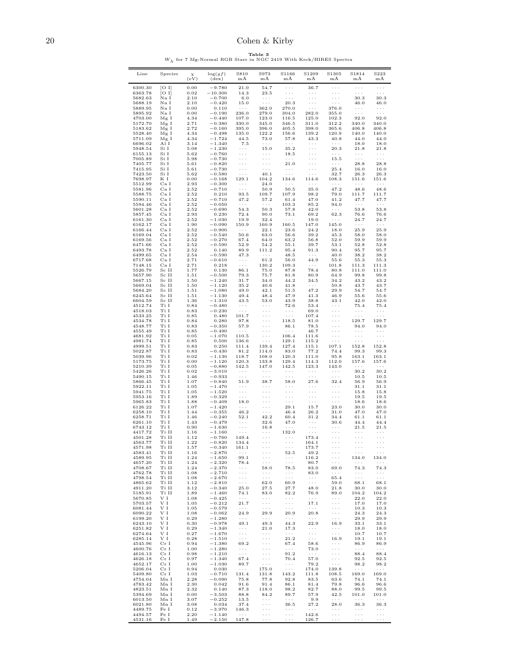# <span id="page-19-0"></span>20 Cohen & Kirby

 $W_{\lambda} \ \, \mbox{for 7 Mg-Normal RGB Stars in NGC 2419 With Keck/HIRES Spectra}$ 

| Line               | Species               | $\chi$<br>(eV) | $\log(gf)$<br>$(\text{dex})$ | S810<br>mÄ                                      | S973<br>mÅ                                                     | S1166<br>mÅ                                          | S1209<br>mÄ                                          | S1305<br>mÅ                                                    | S1814<br>mÅ                                               | S223<br>mÅ                                   |
|--------------------|-----------------------|----------------|------------------------------|-------------------------------------------------|----------------------------------------------------------------|------------------------------------------------------|------------------------------------------------------|----------------------------------------------------------------|-----------------------------------------------------------|----------------------------------------------|
| 6300.30            | [O I]                 | 0.00           | $-9.780$                     | 21.0                                            | 54.7                                                           | $\ldots$                                             | 36.7                                                 | $\ldots$                                                       | $\epsilon$ .                                              | $\bar{1}$ , $\bar{1}$                        |
| 6363.78<br>5682.63 | [O I]<br>Na I         | 0.02<br>2.10   | $-10.300$<br>$-0.700$        | 14.3<br>6.0                                     | 23.5<br>$\sim$ $\sim$ $\sim$                                   | $\sim$ $\sim$<br>$\sim$ $\sim$ $\sim$                | $\ldots$ .<br>$\ldots$ .                             | $\epsilon \sim 1$<br>$\epsilon \rightarrow \infty$             | $\sim$ $\sim$ $\sim$<br>30.3                              | $\sim$ $\sim$ $\sim$<br>30.3                 |
| 5688.19            | Na I                  | 2.10           | $-0.420$                     | 15.0                                            | $\sim$ $\sim$ $\sim$                                           | 20.3                                                 | $\sim$ $\sim$ $\sim$                                 | $\epsilon \sim 1$                                              | 46.0                                                      | 46.0                                         |
| 5889.95<br>5895.92 | Na I<br>Na I          | 0.00<br>0.00   | 0.110<br>$-0.190$            | $\sim$ $\sim$ $\sim$<br>236.0                   | 362.0<br>279.0                                                 | 270.0<br>304.0                                       | $\sim$ $\sim$ $\sim$<br>282.0                        | 376.0<br>355.0                                                 | $\sim$ $\sim$ $\sim$<br>$\sim$ $\sim$ $\sim$              | $\cdots$<br>$\ldots$                         |
| 4703.00            | Mg I                  | 4.34           | $-0.440$                     | 107.0                                           | 123.0                                                          | 116.5                                                | 125.0                                                | 102.3                                                          | 92.0                                                      | 92.0                                         |
| 5172.70<br>5183.62 | $_{\rm Mg~I}$<br>Mg I | 2.71<br>2.72   | $-0.380$<br>$-0.160$         | 330.0<br>395.0                                  | 345.0<br>396.0                                                 | 346.5<br>405.5                                       | 311.0<br>398.0                                       | 312.2<br>365.6                                                 | 340.0<br>406.8                                            | 340.0<br>406.8                               |
| 5528.40            | Mg I                  | 4.34           | $-0.498$                     | 135.0                                           | 122.2                                                          | 156.6                                                | 139.2                                                | 120.9                                                          | 140.0                                                     | 140.0                                        |
| 5711.09<br>6696.02 | Mg I<br>Al I          | 4.34<br>3.14   | $-1.724$<br>$-1.340$         | 44.5<br>7.5                                     | 73.0<br>$\sim$ $\sim$ $\sim$                                   | 57.8<br>$\ldots$ .                                   | 43.3<br>$\sim$ $\sim$ $\sim$                         | 40.8<br>$\ldots$ .                                             | 44.0<br>18.0                                              | 44.0<br>18.0                                 |
| 5948.54            | Si I                  | 5.08           | $-1.230$                     | $\sim$ $\sim$ $\sim$                            | 15.0                                                           | 35.2                                                 | $\ldots$ .                                           | 20.3                                                           | 21.8                                                      | 21.8                                         |
| 6155.13            | Si I                  | 5.62           | $-0.760$                     | $\ldots$ .<br>$\epsilon \sim \epsilon$          | $\sim$ $\sim$ $\sim$<br>$\sim$ $\sim$ $\sim$                   | 18.5                                                 | $\ldots$ .                                           | $\sim$ $\sim$ $\sim$                                           | $\sim$ $\sim$ $\sim$<br>$\sim$ $\sim$ $\sim$              | $\epsilon \sim \epsilon$                     |
| 7005.89<br>7405.77 | Si I<br>Si I          | 5.98<br>5.61   | $-0.730$<br>$-0.820$         | $\epsilon \sim \epsilon$                        | $\sim$ $\sim$ $\sim$                                           | $\sim$ $\sim$ $\sim$<br>21.0                         | $\ldots$ .<br>$\cdots$                               | 15.5<br>$\sim$ $\sim$ $\sim$                                   | 28.8                                                      | $\ldots$ .<br>28.8                           |
| 7415.95            | Si I                  | 5.61           | $-0.730$                     | $\ldots$ .                                      | $\sim$ $\sim$ $\sim$                                           | $\sim$ $\sim$ $\sim$                                 | $\ldots$ .                                           | 25.4                                                           | 16.0                                                      | 16.0                                         |
| 7423.50<br>7698.97 | Si I<br>КI            | 5.62<br>0.00   | $-0.580$<br>$-0.168$         | $\sim$ $\sim$ $\sim$<br>129.1                   | 40.1<br>104.2                                                  | $\sim$ $\sim$ $\sim$<br>134.6                        | $\sim$ $\sim$ $\sim$<br>114.6                        | 32.7<br>108.3                                                  | 26.3<br>151.6                                             | 26.3<br>151.6                                |
| 5512.99            | Ca I                  | 2.93           | $-0.300$                     | $\sim$ $\sim$ $\sim$                            | 24.0                                                           | $\sim$ $\sim$ $\sim$                                 | $\sim$ $\sim$ $\sim$                                 | $\sim$ $\sim$ $\sim$                                           | $\sim$ $\sim$ $\sim$                                      | $\sim$ $\sim$ $\sim$                         |
| 5581.96<br>5588.75 | Ca I<br>Ca I          | 2.52<br>2.52   | $-0.710$<br>0.210            | $\sim$ $\sim$ $\sim$<br>93.5                    | 50.9<br>109.7                                                  | 50.5<br>107.9                                        | 35.0<br>98.2                                         | 47.2<br>79.0                                                   | 48.6<br>111.7                                             | 48.6<br>111.7                                |
| 5590.11            | Ca I                  | 2.52           | $-0.710$                     | 47.2                                            | 57.2                                                           | 61.4                                                 | 47.0                                                 | 41.2                                                           | 47.7                                                      | 47.7                                         |
| 5594.46<br>5601.28 | Ca I<br>Ca I          | 2.52<br>2.52   | $-0.050$<br>$-0.690$         | $\sim$ $\sim$ $\sim$<br>54.3                    | $\sim$ $\sim$ $\sim$<br>50.3                                   | 103.3<br>57.8                                        | 85.2<br>42.0                                         | 94.0<br>$\sim$ $\sim$ $\sim$                                   | $\sim$ $\sim$ $\sim$<br>53.8                              | $\ldots$ .<br>53.8                           |
| 5857.45            | Ca I                  | 2.93           | 0.230                        | 72.4                                            | 90.0                                                           | 73.1                                                 | 69.2                                                 | 62.3                                                           | 76.6                                                      | 76.6                                         |
| 6161.30<br>6162.17 | Ca I<br>Ca I          | 2.52<br>1.90   | $-1.030$<br>$-0.090$         | 19.9<br>150.9                                   | 32.4<br>160.9                                                  | $\sim$ $\sim$ $\sim$<br>160.5                        | 19.0<br>147.0                                        | $\sim$ $\sim$ $\sim$<br>145.0                                  | 24.7<br>$\sim$ $\sim$ $\sim$                              | 24.7<br>$\ldots$ .                           |
| 6166.44            | Ca I                  | 2.52           | $-0.900$                     | $\sim$ $\sim$ $\sim$                            | 22.1                                                           | 23.6                                                 | 24.2                                                 | 18.0                                                           | 25.9                                                      | 25.9                                         |
| 6169.04            | Ca <sub>I</sub>       | 2.52           | $-0.540$                     | 50.6                                            | 63.0                                                           | 56.6                                                 | 39.2                                                 | 45.3                                                           | 58.0                                                      | 58.0                                         |
| 6169.56<br>6471.66 | Ca I<br>Ca I          | 2.52<br>2.52   | $-0.270$<br>$-0.590$         | 67.4<br>52.9                                    | 64.0<br>54.2                                                   | 63.2<br>55.1                                         | 56.8<br>39.7                                         | 52.0<br>53.1                                                   | 59.9<br>52.8                                              | 59.9<br>52.8                                 |
| 6493.78            | Ca I                  | 2.52           | 0.140                        | 89.9                                            | 111.2                                                          | 95.4                                                 | 91.3                                                 | 90.4                                                           | 95.7                                                      | 95.7                                         |
| 6499.65<br>6717.68 | Ca I<br>Ca I          | 2.54<br>2.71   | $-0.590$<br>$-0.610$         | 47.3<br>$\cdot$ $\cdot$ $\cdot$                 | $\sim$ $\sim$ $\sim$<br>61.2                                   | 48.5<br>56.0                                         | $\sim$ $\sim$ $\sim$<br>44.9                         | 40.0<br>55.6                                                   | 38.2<br>55.3                                              | 38.2<br>55.3                                 |
| 7148.15            | Ca I                  | 2.71           | 0.218                        | $\sim$ $\sim$ $\sim$                            | 130.2                                                          | 109.3                                                | $\sim$ $\sim$ $\sim$                                 | 101.8                                                          | 111.3                                                     | 111.3                                        |
| 5526.79<br>5657.90 | Sc II<br>Sc II        | 1.77<br>1.51   | 0.130<br>$-0.500$            | 86.1<br>79.3                                    | 75.0<br>75.7                                                   | 87.8<br>81.8                                         | 78.4<br>80.9                                         | 80.8<br>64.9                                                   | 111.0<br>99.8                                             | 111.0<br>99.8                                |
| 5667.15            | Sc II                 | 1.50           | $-1.240$                     | 31.7                                            | 34.0                                                           | 44.2                                                 | 34.5                                                 | 34.2                                                           | 43.2                                                      | 43.2                                         |
| 5669.04<br>5684.20 | Sc II<br>Sc II        | 1.50<br>1.51   | $-1.120$<br>$-1.080$         | 35.2<br>49.0                                    | 40.6<br>42.1                                                   | 41.8<br>51.5                                         | $\sim$ $\sim$ $\sim$<br>47.2                         | 50.8<br>29.9                                                   | 43.7<br>54.7                                              | 43.7<br>54.7                                 |
| 6245.64            | Sc II                 | 1.51           | $-1.130$                     | 49.4                                            | 48.4                                                           | 47.9                                                 | 41.3                                                 | 46.9                                                           | 55.6                                                      | 55.6                                         |
| 6604.59<br>4512.74 | Sc II<br>Ti I         | 1.36<br>0.84   | $-1.310$<br>$-0.480$         | 43.5<br>$\sim$ $\sim$ $\sim$                    | 53.0<br>$\sim$ $\sim$ $\sim$                                   | 43.9<br>72.6                                         | 38.8<br>53.4                                         | 43.1<br>$\sim$ $\sim$ $\sim$                                   | 42.0<br>75.4                                              | 42.0<br>75.4                                 |
| 4518.03            | Ti I                  | 0.83           | $-0.230$                     | $\sim$ $\sim$ $\sim$                            | $\epsilon \rightarrow \infty$                                  | $\sim$ $\sim$ $\sim$                                 | 69.0                                                 | $\epsilon \rightarrow \infty$                                  | $\sim$ $\sim$ $\sim$                                      | $\sim$ $\sim$ $\sim$                         |
| 4533.25            | Ti I                  | 0.85           | 0.480                        | 101.7                                           | $\sim$ $\sim$ $\sim$                                           | $\sim$ $\sim$ $\sim$                                 | 107.4                                                | $\epsilon \rightarrow \infty$                                  | $\sim$ $\sim$ $\sim$                                      | $\sim$ $\sim$ $\sim$                         |
| 4534.78<br>4548.77 | Ti I<br>Ti I          | 0.84<br>0.83   | 0.280<br>$-0.350$            | 97.8<br>57.9                                    | $\epsilon \rightarrow \infty$<br>$\epsilon \rightarrow \infty$ | 118.5<br>86.1                                        | 81.0<br>78.5                                         | $\epsilon \rightarrow \infty$<br>$\epsilon \rightarrow \infty$ | 129.7<br>94.0                                             | 129.7<br>94.0                                |
| 4555.49            | Ti I                  | 0.85           | $-0.490$                     | $\sim$ $\sim$ $\sim$                            | $\epsilon \rightarrow \infty$                                  | $\sim$ $\sim$ $\sim$                                 | 46.7                                                 | $\epsilon \rightarrow \infty$                                  | $\sim$ $\sim$ $\sim$                                      | $\cdots$                                     |
| 4681.92<br>4981.74 | Ti I<br>Ti I          | 0.05<br>0.85   | $-1.070$<br>0.500            | 110.5<br>136.6                                  | $\sim$ $\sim$ $\sim$<br>$\sim$ $\sim$ $\sim$                   | 106.4<br>129.1                                       | 111.6<br>115.2                                       | $\sim$ $\sim$ $\sim$<br>$\sim$ $\sim$ $\sim$                   | $\sim$ $\sim$ $\sim$<br>$\sim$ $\sim$ $\sim$              | $\sim$ $\sim$ $\sim$<br>$\sim$ $\sim$ $\sim$ |
| 4999.51            | Ti I                  | 0.83           | 0.250                        | 111.4                                           | 139.4                                                          | 127.4                                                | 115.1                                                | 107.1                                                          | 152.8                                                     | 152.8                                        |
| 5022.87<br>5039.96 | Ti I<br>Ti I          | 0.83<br>0.02   | $-0.430$<br>$-1.130$         | 81.2<br>118.7                                   | 114.0<br>108.0                                                 | 83.0<br>120.3                                        | 77.2<br>111.0                                        | 74.4<br>95.8                                                   | 99.3<br>163.1                                             | 99.3<br>163.1                                |
| 5173.75            | Ti I                  | 0.00           | $-1.120$                     | 120.3                                           | 133.8                                                          | 129.4                                                | 114.3                                                | 112.0                                                          | 157.6                                                     | 157.6                                        |
| 5210.39<br>5426.26 | Ti I<br>Ti I          | 0.05<br>0.02   | $-0.880$<br>$-3.010$         | 142.5<br>$\sim$ $\sim$ $\sim$                   | 147.0<br>$\sim$ $\sim$ $\sim$                                  | 142.5<br>$\sim$ $\sim$ $\sim$                        | 123.3<br>$\sim$ $\sim$ $\sim$                        | 143.0<br>$\sim$ $\sim$ $\sim$                                  | $\sim$ $\sim$ $\sim$<br>30.2                              | $\sim$ $\sim$ $\sim$<br>30.2                 |
| 5490.15            | Ti I                  | 1.46           | $-0.933$                     | $\sim$ $\sim$ $\sim$                            | $\sim 100$                                                     | $\sim$ $\sim$ $\sim$                                 | $\sim$ $\sim$ $\sim$                                 | $\sim$ $\sim$ $\sim$                                           | 10.5                                                      | 10.5                                         |
| 5866.45            | Ti I                  | 1.07           | $-0.840$                     | 51.9                                            | 38.7                                                           | 58.0                                                 | 27.6                                                 | 32.4                                                           | 56.9                                                      | 56.9                                         |
| 5922.11<br>5941.75 | Ti I<br>Ti I          | 1.05<br>1.05   | $-1.470$<br>$-1.520$         | $\sim$ $\sim$ $\sim$<br>$\epsilon \ll \epsilon$ | $\sim$ $\sim$ $\sim$<br>$\epsilon \sim 1$                      | $\sim$ $\sim$ $\sim$<br>$\sim$ $\sim$ $\sim$         | $\sim$ $\sim$ $\sim$<br>$\ldots$ .                   | $\epsilon \sim \epsilon$<br>$\sim$ $\sim$ $\sim$               | 31.1<br>15.8                                              | 31.1<br>15.8                                 |
| 5953.16            | Ti I                  | 1.89           | $-0.329$                     | $\sim$ $\sim$ $\sim$                            | $\epsilon \sim 1$                                              | $\epsilon \rightarrow \infty$                        | $\epsilon \rightarrow \infty$                        | $\epsilon \rightarrow \infty$                                  | 19.5                                                      | 19.5                                         |
| 5965.83<br>6126.22 | Ti I<br>Ti I          | 1.88<br>1.07   | $-0.409$<br>$-1.420$         | 18.0<br>$\sim$ $\sim$ $\sim$                    | $\sim$ $\sim$ $\sim$<br>$\epsilon \rightarrow \infty$          | $\sim$ $\sim$ $\sim$<br>29.1                         | $\sim$ $\sim$ $\sim$<br>15.7                         | $\sim$ $\sim$ $\sim$<br>23.0                                   | 18.6<br>30.0                                              | 18.6<br>30.0                                 |
| 6258.10            | Ti I                  | 1.44           | $-0.355$                     | 46.2                                            | $\sim$ $\sim$ $\sim$                                           | 46.4                                                 | 26.2                                                 | 31.0                                                           | 47.0                                                      | 47.0                                         |
| 6258.71<br>6261.10 | Ti I<br>Ti I          | 1.46<br>1.43   | $-0.240$<br>$-0.479$         | 52.1<br>$\sim$ $\sim$ $\sim$                    | 42.2<br>32.6                                                   | 60.4<br>47.0                                         | 31.2<br>$\sim$ $\sim$ $\sim$                         | 34.4<br>30.6                                                   | 61.1<br>44.4                                              | 61.1<br>44.4                                 |
| 6743.12            | Ti I                  | 0.90           | $-\boldsymbol{1.630}$        | $\epsilon \ll \epsilon$                         | 16.8                                                           | $\sim$ $\sim$ $\sim$                                 | $\ldots$ .                                           | $\sim$ $\sim$                                                  | 21.5                                                      | 21.5                                         |
| 4417.72<br>4501.28 | Ti II<br>Ti II        | 1.16<br>1.12   | $-1.160$<br>$-0.760$         | $\sim$ $\sim$ $\sim$<br>149.4                   | $\sim$ $\sim$ $\sim$<br>$\sim$ $\sim$ $\sim$                   | 132.0<br>$\sim$ $\sim$ $\sim$                        | $\sim$ $\sim$ $\sim$<br>173.4                        | $\epsilon \rightarrow \infty$<br>$\epsilon \rightarrow \infty$ | $\sim$ $\sim$ $\sim$<br>$\epsilon \rightarrow - \epsilon$ | $\sim$ $\sim$ $\sim$<br>$\ldots$ .           |
| 4563.77            | Ti II                 | 1.22           | $-0.820$                     | 134.4                                           | $\epsilon \rightarrow \infty$                                  | $\epsilon \rightarrow \infty$                        | 164.1                                                | $\epsilon \rightarrow \infty$                                  | $\ldots$ .                                                | $\sim$ $\sim$ $\sim$                         |
| 4571.98<br>4583.41 | Ti II<br>Ti II        | 1.57<br>1.16   | $-0.340$<br>$-2.870$         | 161.1<br>$\sim$ $\sim$ $\sim$                   | $\sim$ $\sim$ $\sim$                                           | 52.5                                                 | 173.7<br>49.2                                        | $\sim$ $\sim$                                                  | $\epsilon \sim \epsilon$                                  | $\epsilon \sim \epsilon$                     |
| 4589.95            | Ti II                 | 1.24           | $-1.650$                     | 99.1                                            | $\sim$ $\sim$ $\sim$                                           | $\epsilon \rightarrow \infty$                        | 116.2                                                | $\sim$ $\sim$ $\sim$                                           | 134.0                                                     | 134.0                                        |
| 4657.20<br>4708.67 | Ti II<br>Ti II        | 1.24<br>1.24   | $-2.320$<br>$-2.370$         | 78.4<br>$\sim$ $\sim$ $\sim$                    | $\sim$ $\sim$ $\sim$<br>58.0                                   | $\ldots$ .<br>78.5                                   | 80.7<br>83.0                                         | $\ldots$ .<br>69.0                                             | $\sim$ $\sim$ $\sim$<br>74.3                              | $\sim$ $\sim$ $\sim$<br>74.3                 |
| 4762.78            | Ti II                 | 1.08           | $-2.710$                     | $\sim$ $\sim$ $\sim$                            | $\sim$ $\sim$ $\sim$                                           | $\cdot$ $\cdot$ $\cdot$                              | 83.0                                                 | $\ldots$ .                                                     | $\sim$ $\sim$ $\sim$                                      | $\sim$ $\sim$ $\sim$                         |
| 4798.54<br>4865.62 | Ti II<br>Ti II        | 1.08<br>1.12   | $-2.670$<br>$-2.810$         | $\epsilon \ll \epsilon$<br>$\sim$ $\sim$ $\sim$ | $\sim$ $\sim$ $\sim$<br>62.0                                   | $\sim$ $\sim$ $\sim$<br>60.9                         | $\epsilon \rightarrow \infty$<br>$\ldots$ .          | 65.4<br>59.0                                                   | $\sim$ $\sim$ $\sim$<br>68.1                              | $\ldots$ .<br>68.1                           |
| 4911.20            | Ti II                 | 3.12           | $-0.340$                     | 25.0                                            | 27.5                                                           | 27.7                                                 | 48.0                                                 | 21.8                                                           | 30.0                                                      | 30.0                                         |
| 5185.91            | Ti II                 | 1.89           | $-1.460$                     | 74.1                                            | 83.0                                                           | 82.2                                                 | 76.9                                                 | 89.0                                                           | 104.2                                                     | 104.2                                        |
| 5670.85<br>5703.57 | V I<br>VΙ             | 1.08<br>1.05   | $-0.425$<br>$-0.212$         | $\ldots$ .<br>21.7                              | $\sim$ $\sim$ $\sim$<br>$\epsilon \rightarrow \infty$          | $\sim$ $\sim$ $\sim$<br>$\epsilon \rightarrow \beta$ | $\sim$ $\sim$ $\sim$<br>17.1                         | $\sim$ $\sim$<br>$\epsilon \rightarrow \infty$                 | 22.0<br>17.0                                              | 22.0<br>17.0                                 |
| 6081.44            | V I                   | 1.05           | $-0.579$                     | $\sim$ $\sim$ $\sim$                            | $\sim$ $\sim$ $\sim$                                           | $\ldots$ .                                           | $\sim$ $\sim$ $\sim$                                 | $\epsilon \rightarrow \infty$                                  | 10.3                                                      | 10.3                                         |
| 6090.22<br>6199.20 | VΙ<br>VΙ              | 1.08<br>0.29   | $-0.062$<br>$-1.280$         | 24.9<br>$\sim$ $\sim$ $\sim$                    | 29.9<br>$\sim$ $\sim$ $\sim$                                   | 20.9<br>$\ldots$ .                                   | 20.8<br>$\sim$ $\sim$ $\sim$                         | $\sim$ $\sim$ $\sim$<br>$\sim$ $\sim$ $\sim$                   | 24.3<br>29.9                                              | 24.3<br>29.9                                 |
| 6243.10            | V I                   | 0.30           | $-0.978$                     | 49.1                                            | 49.3                                                           | 44.3                                                 | 22.9                                                 | 16.9                                                           | 33.1                                                      | 33.1                                         |
| 6251.82<br>6274.64 | V I<br>V I            | 0.29<br>0.27   | $-1.340$<br>$-1.670$         | $\sim$ $\sim$ $\sim$<br>$\epsilon \ll \epsilon$ | 21.0<br>$\sim$ $\sim$ $\sim$                                   | 17.3<br>$\epsilon \rightarrow \infty$                | $\sim$ $\sim$ $\sim$<br>$\epsilon \rightarrow \beta$ | $\sim$ $\sim$ $\sim$<br>$\sim$ $\sim$ $\sim$                   | 18.0<br>10.7                                              | 18.0<br>10.7                                 |
| 6285.14            | V I                   | 0.28           | $-1.510$                     | $\sim$ $\sim$ $\sim$                            | $\epsilon \rightarrow \beta$                                   | 21.2                                                 | $\sim$ $\sim$ $\sim$                                 | 16.9                                                           | 19.1                                                      | 19.1                                         |
| 4545.96<br>4600.76 | Cr I<br>Cr I          | 0.94<br>1.00   | $-1.380$<br>$-1.280$         | 69.2<br>$\sim$ $\sim$ $\sim$                    | $\epsilon \rightarrow \beta$<br>$\epsilon \rightarrow \beta$   | 67.4<br>$\sim$ $\sim$ $\sim$                         | 58.6<br>73.0                                         | $\sim$ $\sim$ $\sim$<br>$\epsilon \rightarrow \infty$          | 86.9<br>$\sim$ $\sim$ $\sim$                              | 86.9<br>$\sim$ $\sim$ $\sim$                 |
| 4616.13            | Cr I                  | 0.98           | $-1.210$                     | $\ldots$ .                                      | $\epsilon \rightarrow \infty$                                  | 91.2                                                 | $\sim$ $\sim$ $\sim$                                 | $\epsilon \rightarrow \infty$                                  | 88.4                                                      | 88.4                                         |
| 4626.18<br>4652.17 | Cr I<br>Cr I          | 0.97<br>1.00   | $-1.340$                     | 67.4<br>89.7                                    | $\epsilon \rightarrow \infty$<br>$\sim$ $\sim$ $\sim$          | 70.4                                                 | 57.0                                                 | $\epsilon \rightarrow \infty$<br>$\sim$ $\sim$ $\sim$          | 92.5<br>98.2                                              | 92.5                                         |
| 5206.04            | Cr I                  | 0.94           | $-1.030$<br>0.030            | $\sim$ $\sim$ $\sim$                            | 175.0                                                          | $\cdot$ .<br>$\ldots$                                | 79.2<br>174.0                                        | 139.8                                                          | $\epsilon \ll \epsilon$                                   | 98.2<br>$\sim$ $\sim$ $\sim$                 |
| 5409.80            | Cr I                  | 1.03           | $-0.710$                     | 131.4                                           | 131.8                                                          | 143.2                                                | 111.8                                                | 108.5                                                          | 169.0                                                     | 169.0                                        |
| 4754.04<br>4783.42 | Mn I<br>Mn I          | 2.28<br>2.30   | $-0.090$<br>0.042            | 75.8<br>91.6                                    | 77.8<br>91.4                                                   | 92.8<br>86.1                                         | 83.5<br>81.4                                         | 63.6<br>79.8                                                   | 74.1<br>96.6                                              | 74.1<br>96.6                                 |
| 4823.51            | Mn I                  | 2.32           | 0.140                        | 87.3                                            | 118.0                                                          | 98.2                                                 | 82.7                                                 | 88.0                                                           | 99.5                                                      | 99.5                                         |
| 5394.69<br>6013.50 | Mn I<br>Mn I          | 0.00<br>3.07   | $-3.503$<br>$-0.252$         | 88.8<br>13.5                                    | 84.2<br>$\sim$ $\sim$ $\sim$                                   | 89.7<br>$\sim$ $\sim$ $\sim$                         | 57.9<br>9.9                                          | 42.5<br>$\sim$ $\sim$ $\sim$                                   | 101.0<br>$\ldots$ .                                       | 101.0<br>$\cdots$                            |
| 6021.80            | $Mn$ I                | 3.08           | 0.034                        | 37.4                                            | $\epsilon \rightarrow \infty$                                  | 36.5                                                 | 27.2                                                 | 28.0                                                           | 36.3                                                      | 36.3                                         |
| 4489.75<br>4494.57 | Fe I<br>Fe I          | 0.12<br>2.20   | $-3.970$<br>$-1.140$         | 146.3<br>$\sim$ $\sim$ $\sim$                   | $\epsilon \rightarrow \infty$<br>$\epsilon \rightarrow \infty$ | $\cdot$ .<br>$\cdots$                                | $\sim$ $\sim$ $\sim$<br>142.6                        | $\cdots$<br>$\epsilon \rightarrow \infty$                      | $\cdot$ .<br>$\epsilon \rightarrow \infty$                | $\cdot$ .<br>$\epsilon \rightarrow \beta$    |
| 4531.16            | Fe I                  | 1.49           | $-2.150$                     | 147.8                                           | $\sim$ $\sim$ $\sim$                                           | $\cdots$                                             | 126.7                                                | $\ldots$                                                       | $\cdots$                                                  | $\cdots$                                     |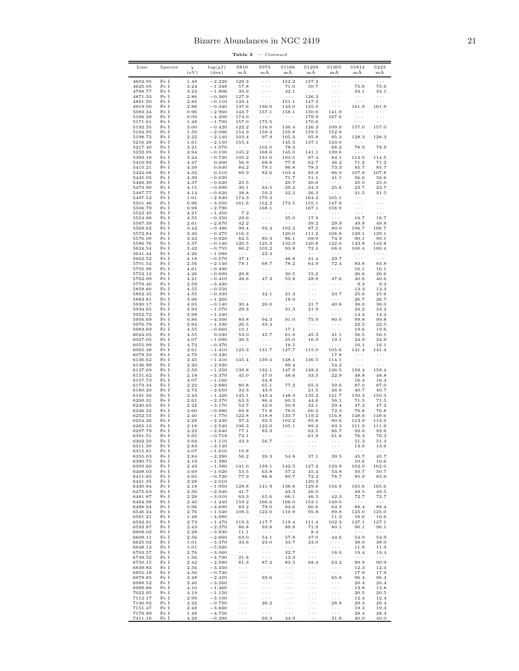Table  $3$  – Continued

| Line               | Species                  | $\chi$<br>(eV) | $\log(gf)$<br>$(\text{dex})$ | S810<br>$m\overline{A}$                      | S973<br>$m\bar{A}$                           | S1166<br>mÅ                                  | S1209<br>mÅ                                           | S1305<br>mÅ                                      | S1814<br>$m\bar{A}$                             | S223<br>$m\AA$                          |
|--------------------|--------------------------|----------------|------------------------------|----------------------------------------------|----------------------------------------------|----------------------------------------------|-------------------------------------------------------|--------------------------------------------------|-------------------------------------------------|-----------------------------------------|
| 4602.95            | Fe I                     | 1.49           | $-2.220$                     | 129.3                                        | $\sim$ $\sim$ $\sim$                         | 152.2                                        | 137.3                                                 | $\sim$ $\sim$ $\sim$                             | $\ldots$ .                                      | $\sim$ $\sim$ $\sim$                    |
| 4625.05<br>4788.77 | Fe I<br>$\rm Fe\ I$      | 3.24<br>3.24   | $-1.348$<br>$-1.806$         | 57.8<br>35.9                                 | $\sim$ $\sim$<br>$\cdots$                    | 71.0<br>42.1                                 | 50.7<br>$\sim$ $\sim$ $\sim$                          | $\ldots$ .<br>$\ldots$                           | 75.6<br>34.1                                    | 75.6<br>34.1                            |
| 4871.33            | Fe I                     | 2.86           | $-0.360$                     | 127.9                                        | $\cdots$                                     | $\sim$ $\sim$ $\sim$                         | 126.3                                                 | $\ldots$                                         | $\sim$ $\sim$ $\sim$                            | $\sim$ $\sim$ $\sim$                    |
| 4891.50<br>4919.00 | $\rm Fe\ I$<br>Fe I      | 2.85<br>2.86   | $-0.110$<br>$-0.340$         | 149.4<br>137.6                               | $\sim$ $\sim$ $\sim$<br>136.0                | 151.1<br>143.0                               | 147.3<br>135.0                                        | $\sim$ $\sim$ $\sim$<br>$\sim$ $\sim$ $\sim$     | $\cdots$<br>161.9                               | $\cdots$<br>161.9                       |
| 5083.34            | $\rm Fe~I$<br>$\rm Fe~I$ | 0.96           | $-2.960$                     | 143.7                                        | 157.1                                        | 158.1                                        | 150.6                                                 | 141.9                                            | $\sim$ $\sim$ $\sim$                            | $\cdots$                                |
| 5166.28<br>5171.61 | $\rm Fe~I$               | 0.00<br>1.48   | $-4.200$<br>$-1.790$         | 174.0<br>157.0                               | $\sim$ $\sim$ $\sim$<br>175.5                | $\sim$ $\sim$ $\sim$<br>$\sim$ $\sim$ $\sim$ | 179.9<br>170.6                                        | 167.6<br>$\sim$ $\sim$ $\sim$                    | $\ldots$ .<br>$\sim$ $\sim$ $\sim$              | $\cdots$<br>$\sim$ $\sim$ $\sim$        |
| 5192.35            | $\rm Fe~I$<br>$\rm Fe~I$ | 3.00           | $-0.420$                     | 122.2                                        | 116.0                                        | 136.4                                        | 126.3                                                 | 109.0                                            | 157.0<br>$\sim$ $\sim$ $\sim$                   | 157.0<br>$\alpha$ , $\alpha$ , $\alpha$ |
| 5194.95<br>5198.72 | $\rm Fe~I$               | 1.56<br>2.22   | $-2.090$<br>$-2.140$         | 154.9<br>103.4                               | 159.4<br>97.9                                | 159.8<br>105.3                               | 159.5<br>95.8                                         | 152.9<br>95.2                                    | 128.3                                           | 128.3                                   |
| 5216.28<br>5217.40 | $\rm Fe~I$<br>$\rm Fe~I$ | 1.61<br>3.21   | $-2.150$<br>$-1.070$         | 155.4<br>$\sim$ $\sim$ $\sim$                | $\alpha$ , $\alpha$ , $\alpha$<br>102.0      | 145.5<br>78.3                                | 137.1<br>$\sim$ $\sim$ $\sim$                         | 133.0<br>68.2                                    | $\alpha$ , $\alpha$ , $\alpha$<br>78.9          | $\alpha$ , $\alpha$ , $\alpha$<br>78.9  |
| 5232.95            | $\rm Fe~I$               | 2.94           | $-0.100$                     | 145.2                                        | 168.6                                        | 145.0                                        | 141.1                                                 | 139.6                                            | $\sim$ $\sim$ $\sim$                            | $\sim$ $\sim$ $\sim$                    |
| 5393.18<br>5410.92 | $\rm Fe~I$<br>$\rm Fe~I$ | 3.24<br>4.47   | $-0.720$<br>0.400            | 105.2<br>56.9                                | 131.0<br>69.6                                | 103.5<br>77.8                                | 87.4<br>62.7                                          | 84.1<br>46.2                                     | 114.5<br>71.2                                   | 114.5<br>71.2                           |
| 5415.21            | $\rm Fe~I$               | 4.39           | 0.640                        | 84.2                                         | 79.1                                         | 96.8                                         | 78.3                                                  | 73.3                                             | 85.7                                            | 85.7                                    |
| 5424.08<br>5445.05 | $\rm Fe~I$<br>$\rm Fe~I$ | 4.32<br>4.39   | 0.510<br>$-0.030$            | 89.9<br>$\sim$ $\sim$ $\sim$                 | 82.6<br>$\sim$ $\sim$ $\sim$                 | 103.4<br>71.7                                | 85.9<br>51.1                                          | 86.0<br>41.1                                     | 107.8<br>56.6                                   | 107.8<br>56.6                           |
| 5466.39            | $\rm Fe~I$               | 4.37           | $-0.620$                     | 25.5                                         | $\sim$ $\sim$ $\sim$                         | 29.7                                         | 20.6                                                  | $\alpha$ , $\alpha$ , $\alpha$                   | 25.0                                            | 25.0                                    |
| 5473.90<br>5487.77 | $\rm Fe~I$<br>$\rm Fe~I$ | 4.15<br>4.14   | $-0.690$<br>$-0.620$         | 30.1<br>38.8                                 | 34.5<br>59.2                                 | 29.2<br>42.2                                 | 24.3<br>26.3                                          | 25.6<br>$\alpha$ , $\alpha$ , $\alpha$           | 23.7<br>31.5                                    | 23.7<br>31.5                            |
| 5497.52            | $\rm Fe~I$               | 1.01           | $-2.830$                     | 174.3                                        | 170.3                                        | $\sim$ $\sim$ $\sim$                         | 164.2                                                 | 165.1                                            | $\ldots$ .                                      | $\sim$ $\sim$ $\sim$                    |
| 5501.46<br>5506.79 | $\rm Fe~I$<br>$\rm Fe~I$ | 0.96<br>0.99   | $-3.050$<br>$-2.790$         | 161.6<br>$\sim$ $\sim$ $\sim$                | 152.2<br>168.1                               | 173.5<br>$\sim$ $\sim$ $\sim$                | 155.1<br>167.1                                        | 147.9<br>158.9                                   | $\ldots$ .<br>$\epsilon \rightarrow - \epsilon$ | $\ldots$ .<br>$\ldots$ .                |
| 5522.45            | $\rm Fe~I$               | 4.21           | $-1.450$                     | 7.2                                          | $\sim$ $\sim$ $\sim$                         | $\ldots$ .                                   | <b>Service</b>                                        | $\sim$ $\sim$ $\sim$                             | $\sim$ $\sim$ $\sim$                            | $\cdots$                                |
| 5554.88<br>5567.39 | Fe I<br>Fe I             | 4.55<br>2.61   | $-0.350$<br>$-2.670$         | 29.6<br>42.2                                 | $\sim$ $\sim$ $\sim$<br>$\epsilon \sim 1$    | 35.0<br>$\sim$ $\sim$ $\sim$                 | 17.9<br>39.2                                          | $\sim$ $\sim$ $\sim$<br>29.9                     | 16.7<br>49.8                                    | 16.7<br>49.8                            |
| 5569.62            | Fe I<br>Fe I             | 3.42           | $-0.486$                     | 99.4                                         | 92.4                                         | 103.2<br>120.0                               | 87.5                                                  | 80.0<br>108.8                                    | 106.7                                           | 106.7<br>129.1                          |
| 5572.84<br>5576.09 | Fe I                     | 3.40<br>3.43   | $-0.275$<br>$-0.920$         | 116.3<br>82.5                                | $\sim$ $\sim$ $\sim$<br>80.3                 | 86.1                                         | 111.2<br>69.9                                         | 74.9                                             | 129.1<br>90.1                                   | 90.1                                    |
| 5586.76            | Fe I                     | 3.37           | $-0.140$                     | 120.5                                        | 125.3                                        | 132.9                                        | 120.8                                                 | 122.0                                            | 143.8                                           | 143.8                                   |
| 5624.54<br>5641.44 | Fe I<br>Fe I             | 3.42<br>4.26   | $-0.755$<br>$-1.080$         | 86.2<br>$\sim$ $\sim$ $\sim$                 | 103.2<br>22.3                                | 93.8<br>$\sim$ $\sim$ $\sim$                 | 72.4<br>$\sim$ $\sim$ $\sim$                          | 68.0<br>$\sim$ $\sim$ $\sim$                     | 100.4<br>$\epsilon \ll \epsilon$                | 100.4<br>$\epsilon \ll \epsilon$        |
| 5662.52<br>5701.54 | Fe I<br>Fe I             | 4.18<br>2.56   | $-0.570$<br>$-2.140$         | 37.4<br>78.1                                 | $\sim$ $\sim$ $\sim$<br>68.7                 | 46.8<br>78.2                                 | 41.4<br>64.9                                          | 29.7<br>72.4                                     | $\sim$ $\sim$ $\sim$<br>83.8                    | $\epsilon \sim \epsilon$<br>83.8        |
| 5705.98            | Fe I                     | 4.61           | $-0.490$                     | $\sim$ $\sim$ $\sim$                         | $\epsilon \rightarrow \infty$                | $\ldots$ .                                   | $\ldots$ .                                            | $\sim$ $\sim$ $\sim$                             | 16.1                                            | 16.1                                    |
| 5753.12<br>5762.99 | Fe I<br>Fe I             | 4.26<br>4.21   | $-0.690$<br>$-0.410$         | 26.8<br>48.6                                 | $\sim$ $\sim$ $\sim$<br>47.3                 | 30.5<br>53.8                                 | 15.2<br>28.9                                          | $\sim$ $\sim$ $\sim$<br>47.6                     | 26.6<br>40.6                                    | 26.6<br>40.6                            |
| 5778.46            | Fe I                     | 2.59           | $-3.430$                     | $\sim$ $\sim$ $\sim$                         | $\epsilon \rightarrow \infty$                | $\sim$ $\sim$ $\sim$                         | $\sim$ $\sim$ $\sim$                                  | $\sim$ $\sim$ $\sim$                             | 9.3                                             | 9.3                                     |
| 5859.60<br>5862.35 | Fe I<br>Fe I             | 4.55<br>4.55   | $-0.550$<br>$-0.330$         | $\ldots$ .<br>$\sim$ $\sim$ $\sim$           | $\sim$ $\sim$ $\sim$<br>32.1                 | $\sim$ $\sim$ $\sim$<br>21.3                 | $\sim$ $\sim$ $\sim$<br>$\epsilon \rightarrow \infty$ | $\sim$ $\sim$ $\sim$<br>23.7                     | 13.3<br>25.6                                    | 13.3<br>25.6                            |
| 5883.81            | Fe I                     | 3.96           | $-1.260$                     | $\sim$ $\sim$ $\sim$                         | $\cdots$                                     | 18.0                                         | $\sim$ $\sim$ $\sim$                                  | $\ldots$                                         | 26.7                                            | 26.7                                    |
| 5930.17<br>5934.65 | Fe I<br>Fe I             | 4.65<br>3.93   | $-0.140$<br>$-1.070$         | 30.4<br>29.3                                 | 26.0<br>$\sim$ $\sim$ $\sim$                 | $\ldots$ .<br>31.3                           | 21.7<br>21.9                                          | 40.6<br>$\sim$ $\sim$ $\sim$                     | 36.0<br>34.2                                    | 36.0<br>34.2                            |
| 5952.72            | Fe I                     | 3.98           | $-1.340$                     | $\sim$ $\sim$ $\sim$                         | $\sim$ $\sim$ $\sim$                         | $\ldots$ .                                   | $\sim$ $\sim$ $\sim$                                  | $\sim$ $\sim$ $\sim$                             | 14.2                                            | 14.2                                    |
| 5956.69<br>5976.79 | Fe I<br>Fe I             | 0.86<br>3.94   | $-4.500$<br>$-1.330$         | 89.8<br>26.5                                 | 94.3<br>33.4                                 | 91.0<br>$\sim$ $\sim$ $\sim$                 | 75.9<br>$\sim$ $\sim$ $\sim$                          | 80.0<br>$\sim$ $\sim$ $\sim$                     | 99.8<br>22.5                                    | 99.8<br>22.5                            |
| 5983.69            | Fe I                     | 4.55           | $-0.660$                     | 10.1                                         | $\sim$ $\sim$ $\sim$                         | 17.1                                         | $\sim$ $\sim$ $\sim$                                  | $\sim$ $\sim$ $\sim$                             | 19.6                                            | 19.6                                    |
| 6024.05<br>6027.05 | Fe I<br>Fe I             | 4.55<br>4.07   | 0.030<br>$-1.090$            | 53.0<br>36.3                                 | 45.7<br>$\sim$ $\sim$ $\sim$                 | 61.8<br>25.0                                 | 45.3<br>16.9                                          | 41.1<br>19.1                                     | 56.5<br>24.9                                    | 56.5<br>24.9                            |
| 6055.99            | Fe I                     | 4.73           | $-0.370$                     | $\sim$ $\sim$ $\sim$                         | $\sim$ $\sim$ $\sim$                         | 18.5                                         | $\sim$ $\sim$ $\sim$                                  | $\sim$ $\sim$ $\sim$                             | 16.1                                            | 16.1                                    |
| 6065.48<br>6078.50 | Fe I<br>Fe I             | 2.61<br>4.79   | $-1.410$<br>$-0.330$         | 125.3<br>$\sim$ $\sim$ $\sim$                | 131.7<br>$\sim$ $\sim$ $\sim$                | 127.7<br>$\sim$ $\sim$ $\sim$                | 115.0<br>$\sim$ $\sim$ $\sim$                         | 105.6<br>17.8                                    | 141.4<br>$\sim$ $\sim$ $\sim$                   | 141.4<br>$\ldots$ .                     |
| 6136.62            | Fe I                     | 2.45           | $-1.410$                     | 145.4                                        | 139.4                                        | 148.1                                        | 136.5                                                 | 114.1                                            | $\epsilon \rightarrow \beta$                    | $\epsilon \rightarrow \infty$           |
| 6136.99<br>6137.69 | Fe I<br>Fe I             | 2.20<br>2.59   | $-2.930$<br>$-1.350$         | $\sim$ $\sim$ $\sim$<br>139.8                | $\sim$ $\sim$ $\sim$<br>132.1                | 89.4<br>147.9                                | $\sim$ $\sim$ $\sim$<br>128.2                         | 54.2<br>126.5                                    | $\sim$ $\sim$ $\sim$<br>159.4                   | $\sim$ $\sim$ $\sim$<br>159.4           |
| 6151.62            | Fe I                     | 2.18           | $-3.370$                     | 45.0                                         | 47.0                                         | 48.6                                         | 33.3                                                  | 22.9                                             | 48.8                                            | 48.8                                    |
| 6157.73<br>6173.34 | Fe I<br>Fe I             | 4.07<br>2.22   | $-1.160$<br>$-2.880$         | $\sim$ $\sim$ $\sim$<br>80.8                 | 34.8<br>65.1                                 | $\ldots$ .<br>77.2                           | $\sim$ $\sim$ $\sim$<br>65.3                          | $\ldots$ .<br>59.6                               | 16.4<br>87.0                                    | 16.4<br>87.0                            |
| 6180.20<br>6191.56 | Fe I                     | 2.73<br>2.43   | $-2.650$                     | 34.3                                         | 43.0                                         | $\sim$ $\sim$ $\sim$<br>148.3                | 21.5                                                  | 26.8<br>121.7                                    | 40.7                                            | 40.7                                    |
| 6200.31            | Fe I<br>Fe I             | 2.61           | $-1.420$<br>$-2.370$         | 145.1<br>63.3                                | 143.4<br>86.4                                | 60.3                                         | 135.2<br>44.6                                         | 56.1                                             | 150.3<br>71.5                                   | 150.3<br>71.5                           |
| 6240.65<br>6246.32 | Fe I<br>Fe I             | 2.22<br>3.60   | $-3.170$<br>$-0.880$         | 52.7<br>69.8                                 | 42.6<br>71.8                                 | 50.8<br>78.0                                 | 32.1<br>60.2                                          | 29.4<br>72.3                                     | 47.2<br>76.8                                    | 47.2<br>76.8                            |
| 6252.55            | Fe I                     | 2.40           | $-1.770$                     | 122.8                                        | 118.8                                        | 133.7                                        | 119.2                                                 | 116.8                                            | 148.6                                           | 148.6                                   |
| 6254.26<br>6265.13 | Fe I<br>Fe I             | 2.28<br>2.18   | $-2.430$<br>$-2.540$         | 97.3<br>106.3                                | 93.5<br>122.0                                | 102.2<br>105.1                               | 85.8<br>89.2                                          | 80.6<br>83.3                                     | 113.9<br>111.9                                  | 113.9<br>111.9                          |
| 6297.79            | Fe I                     | 2.22           | $-2.640$                     | 77.1                                         | 85.3                                         | $\sim$ $\sim$ $\sim$                         | 62.5                                                  | 66.7                                             | 92.6                                            | 92.6                                    |
| 6301.51<br>6302.50 | Fe I<br>Fe I             | 3.65<br>3.69   | $-0.718$<br>$-1.110$         | 72.1<br>43.3                                 | $\sim$ $\sim$ $\sim$<br>56.7                 | $\cdots$<br>$\sim$ $\sim$ $\sim$             | 61.9<br>$\cdot$ $\cdot$ $\cdot$                       | 61.6<br>$\sim$ $\sim$ $\sim$                     | 76.3<br>51.3                                    | 76.3<br>51.3                            |
| 6311.50            | Fe I                     | 2.83           | $-3.140$                     | $\sim$ $\sim$ $\sim$                         | $\sim$ $\sim$ $\sim$                         | $\cdot$ .                                    | $\cdot$ $\cdot$ $\cdot$                               | $\epsilon \rightarrow \infty$                    | 13.6                                            | 13.6                                    |
| 6315.81<br>6355.03 | Fe I<br>Fe I             | 4.07<br>2.84   | $-1.610$<br>$-2.290$         | 10.8<br>56.2                                 | $\sim$ $\sim$ $\sim$<br>39.3                 | $\sim$ $\sim$ $\sim$<br>54.8                 | $\sim$ $\sim$ $\sim$<br>37.1                          | $\sim$ $\sim$ $\sim$<br>39.5                     | $\sim$ $\sim$ $\sim$<br>45.7                    | $\sim$ $\sim$ $\sim$<br>45.7            |
| 6380.75            | Fe I                     | 4.19           | $-1.380$                     | $\sim$ $\sim$ $\sim$                         | $\alpha$ , $\alpha$ , $\alpha$               | <b>Service</b>                               | <b>Service</b>                                        | $\alpha$ , $\alpha$ , $\alpha$                   | 10.6                                            | 10.6                                    |
| 6393.60<br>6408.03 | Fe I<br>Fe I             | 2.43<br>3.69   | $-1.580$<br>$-1.020$         | 141.0<br>53.5                                | 139.1<br>63.8                                | 142.5<br>57.2                                | 127.2<br>45.4                                         | 133.9<br>53.8                                    | 162.0<br>50.7                                   | 162.0<br>50.7                           |
| 6411.65            | Fe I                     | 3.65           | $-0.720$                     | 77.9                                         | 86.8                                         | 80.7                                         | 72.2                                                  | 78.7                                             | 85.9                                            | 85.9                                    |
| 6421.35<br>6430.84 | Fe I<br>Fe I             | 2.28<br>2.18   | $-2.010$<br>$-1.950$         | $\sim$ $\sim$ $\sim$<br>128.8                | $\alpha$ , $\alpha$ , $\alpha$<br>141.9      | $\sim$ $\sim$ $\sim$<br>138.8                | 120.3<br>129.6                                        | $\sim$ $\sim$ $\sim$<br>134.9                    | $\ldots$ .<br>165.6                             | $\sim$ $\sim$ $\sim$<br>165.6           |
| 6475.63            | Fe I                     | 2.56           | $-2.940$                     | 41.7                                         | <b>Service</b>                               | 43.3                                         | 26.0                                                  | $\sim$ $\sim$ $\sim$                             | 49.5                                            | 49.5                                    |
| 6481.87<br>6494.98 | Fe I<br>Fe I             | 2.28<br>2.40   | $-3.010$<br>$-1.240$         | 63.3<br>159.2                                | 65.6<br>166.6                                | 66.1<br>166.0                                | 46.5<br>153.1                                         | 42.3<br>149.0                                    | 72.7<br>$\sim$ $\sim$ $\sim$                    | 72.7<br>$\alpha$ , $\alpha$ , $\alpha$  |
| 6498.94            | Fe I                     | 0.96           | $-4.690$                     | 83.2<br>108.5                                | 79.0<br>122.0                                | 84.6<br>110.9                                | 60.6                                                  | 64.3                                             | 88.4                                            | 88.4                                    |
| 6546.24<br>6581.21 | Fe I<br>Fe I             | 2.76<br>1.48   | $-1.540$<br>$-4.680$         | $\sim$ $\sim$ $\sim$                         | <b>Service</b>                               | $\sim$ $\sim$ $\sim$                         | 95.8<br>$\sim$ $\sim$ $\sim$                          | 89.8<br>11.3                                     | 125.0<br>16.6                                   | 125.0<br>16.6                           |
| 6592.91            | Fe I                     | 2.73           | $-1.470$                     | 119.3                                        | 117.7                                        | 119.4                                        | 111.4                                                 | 102.3                                            | 127.1                                           | 127.1                                   |
| 6593.87<br>6608.02 | Fe I<br>Fe I             | 2.43<br>2.28   | $-2.370$<br>$-3.930$         | 86.8<br>11.1                                 | 93.8<br>$\sim$ $\sim$ $\sim$                 | 89.8<br>$\sim$ $\sim$ $\sim$                 | 71.9<br>8.4                                           | 80.1<br>$\alpha$ , $\alpha$ , $\alpha$           | 96.1<br>$\alpha$ , $\alpha$ , $\alpha$          | 96.1<br>$\sim$ $\sim$ $\sim$            |
| 6609.11<br>6625.02 | Fe I<br>Fe I             | 2.56<br>1.01   | $-2.660$<br>$-5.370$         | 63.0<br>33.6                                 | 54.1<br>23.0                                 | 57.8<br>33.7                                 | 47.0<br>23.0                                          | 44.6<br>$\sim$ $\sim$ $\sim$                     | 54.9<br>38.0                                    | 54.9<br>38.0                            |
| 6648.12            | Fe I                     | 1.01           | $-5.920$                     | $\sim$ $\sim$ $\sim$                         | $\sim$ $\sim$ $\sim$                         | $\ldots$ .                                   | $\sim$ $\sim$ $\sim$                                  | $\sim$ $\sim$ $\sim$                             | 11.9                                            | 11.9                                    |
| 6703.57<br>6739.52 | Fe I<br>Fe I             | 2.76<br>1.56   | $-3.060$<br>$-4.790$         | $\sim$ $\sim$ $\sim$<br>21.8                 | $\sim$ $\sim$ $\sim$<br>$\sim$ $\sim$ $\sim$ | 32.7<br>13.3                                 | $\epsilon \sim \epsilon$<br>$\epsilon \sim \epsilon$  | 18.0<br>$\sim$ $\sim$ $\sim$                     | 19.4<br>$\sim$ $\sim$ $\sim$                    | 19.4<br>$\ldots$ .                      |
| 6750.15            | Fe I                     | 2.42           | $-2.580$                     | 81.3                                         | 87.2                                         | 83.5                                         | 68.4                                                  | 63.2                                             | 90.9                                            | 90.9                                    |
| 6839.83<br>6855.18 | Fe I<br>Fe I             | 2.56<br>4.56   | $-3.350$<br>$-0.740$         | $\sim$ $\sim$ $\sim$<br>$\sim$ $\sim$ $\sim$ | $\sim$ $\sim$ $\sim$<br>$\sim$ $\sim$ $\sim$ | $\sim$ $\sim$ $\sim$<br>$\ldots$ .           | $\sim$ $\sim$ $\sim$<br>$\ldots$ .                    | $\sim$ $\sim$ $\sim$<br>$\sim$ $\sim$ $\sim$     | 12.3<br>17.9                                    | 12.3<br>17.9                            |
| 6978.85            | Fe I                     | 2.48           | $-2.450$                     | $\sim$ $\sim$ $\sim$                         | 93.6                                         | $\ldots$ .                                   | $\ldots$ .                                            | 65.8                                             | 96.4                                            | 96.4                                    |
| 6988.52<br>6999.88 | Fe I<br>Fe I             | 2.40<br>4.10   | $-3.560$<br>$-1.460$         | $\sim$ $\sim$ $\sim$<br>$\sim$ $\sim$ $\sim$ | $\sim$ $\sim$ $\sim$<br>$\sim$ $\sim$ $\sim$ | $\ldots$ .<br>$\ldots$ .                     | $\ldots$ .<br>$\epsilon \rightarrow \infty$           | $\sim$ $\sim$ $\sim$<br>$\epsilon \sim \epsilon$ | 20.4<br>13.8                                    | 20.4<br>13.8                            |
| 7022.95            | Fe I                     | 4.19           | $-1.150$                     | $\sim$ $\sim$ $\sim$                         | $\sim$ $\sim$ $\sim$                         | $\cdots$                                     | $\epsilon \rightarrow \infty$                         | $\sim$ $\sim$ $\sim$                             | 20.5                                            | 20.5                                    |
| 7112.17<br>7130.92 | Fe I<br>Fe I             | 2.99<br>4.22   | $-3.100$<br>$-0.750$         | $\ldots$ .<br>$\ldots$ .                     | $\sim$ $\sim$ $\sim$<br>26.2                 | $\cdots$<br>$\cdots$                         | $\epsilon \rightarrow \infty$<br>$\cdots$             | $\epsilon \sim 1$<br>28.8                        | 12.4<br>29.4                                    | 12.4<br>29.4                            |
| 7151.47            | Fe I                     | 2.48           | $-3.660$                     | $\sim$ $\sim$ $\sim$                         | $\sim$ $\sim$ $\sim$                         | $\ldots$ .                                   | $\cdots$                                              | $\ldots$ .                                       | 19.3                                            | 19.3                                    |
| 7179.99<br>7411.16 | Fe I<br>Fe I             | 1.48<br>4.28   | $-4.750$<br>$-0.280$         | $\ldots$ .<br>$\ldots$ .                     | $\cdots$<br>69.3                             | $\epsilon \sim 1$<br>44.9                    | $\cdots$<br>$\cdots$                                  | $\ldots$ .<br>31.6                               | 28.4<br>40.0                                    | 28.4<br>40.0                            |